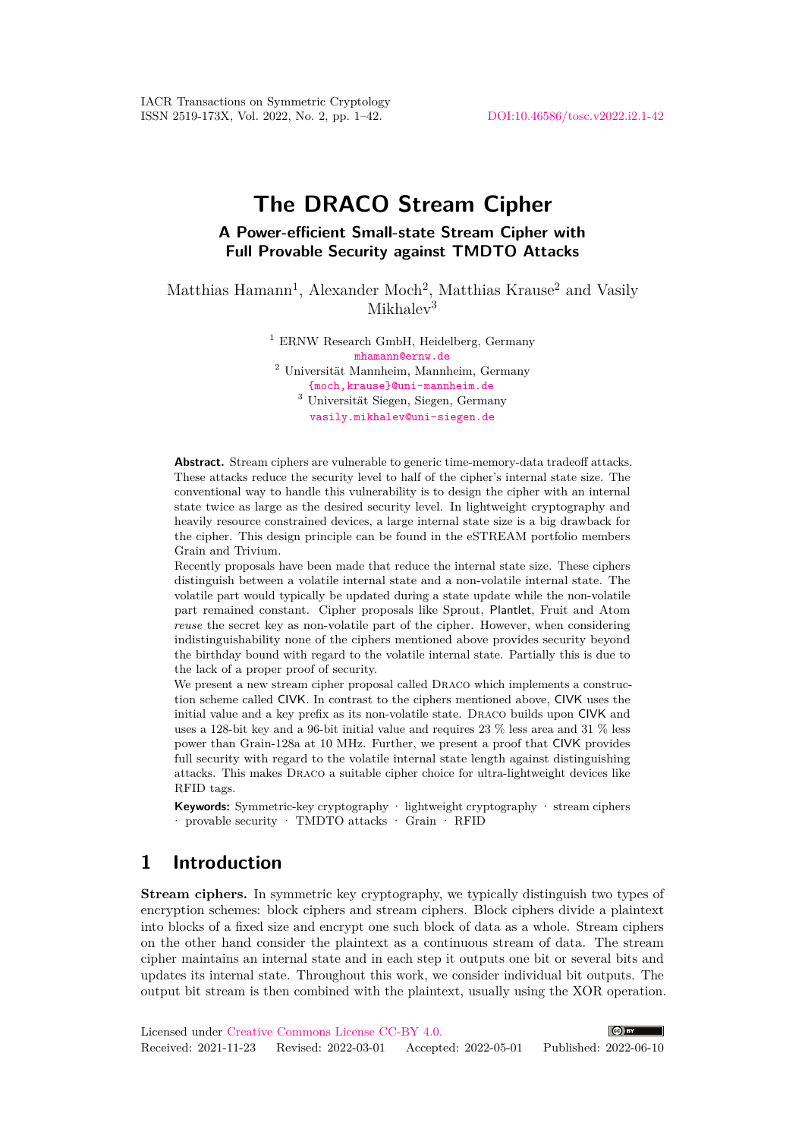IACR Transactions on Symmetric Cryptology ISSN 2519-173X, Vol. 2022, No. 2, pp. 1–42. [DOI:10.46586/tosc.v2022.i2.1-42](https://doi.org/10.46586/tosc.v2022.i2.1-42)

# **The DRACO Stream Cipher**

## **A Power-efficient Small-state Stream Cipher with Full Provable Security against TMDTO Attacks**

Matthias Hamann<sup>1</sup>, Alexander Moch<sup>2</sup>, Matthias Krause<sup>2</sup> and Vasily  $Mikhalav<sup>3</sup>$ 

> <sup>1</sup> ERNW Research GmbH, Heidelberg, Germany [mhamann@ernw.de](mailto:mhamann@ernw.de) <sup>2</sup> Universität Mannheim, Mannheim, Germany [{moch,krause}@uni-mannheim.de](mailto:moch@uni-mannheim.de,krause@uni-mannheim.de) <sup>3</sup> Universität Siegen, Siegen, Germany [vasily.mikhalev@uni-siegen.de](mailto:vasily.mikhalev@uni-siegen.de)

**Abstract.** Stream ciphers are vulnerable to generic time-memory-data tradeoff attacks. These attacks reduce the security level to half of the cipher's internal state size. The conventional way to handle this vulnerability is to design the cipher with an internal state twice as large as the desired security level. In lightweight cryptography and heavily resource constrained devices, a large internal state size is a big drawback for the cipher. This design principle can be found in the eSTREAM portfolio members Grain and Trivium.

Recently proposals have been made that reduce the internal state size. These ciphers distinguish between a volatile internal state and a non-volatile internal state. The volatile part would typically be updated during a state update while the non-volatile part remained constant. Cipher proposals like Sprout, Plantlet, Fruit and Atom *reuse* the secret key as non-volatile part of the cipher. However, when considering indistinguishability none of the ciphers mentioned above provides security beyond the birthday bound with regard to the volatile internal state. Partially this is due to the lack of a proper proof of security.

We present a new stream cipher proposal called Draco which implements a construction scheme called CIVK. In contrast to the ciphers mentioned above, CIVK uses the initial value and a key prefix as its non-volatile state. Draco builds upon CIVK and uses a 128-bit key and a 96-bit initial value and requires 23 % less area and 31 % less power than Grain-128a at 10 MHz. Further, we present a proof that CIVK provides full security with regard to the volatile internal state length against distinguishing attacks. This makes Draco a suitable cipher choice for ultra-lightweight devices like RFID tags.

**Keywords:** Symmetric-key cryptography · lightweight cryptography · stream ciphers · provable security · TMDTO attacks · Grain · RFID

# **1 Introduction**

**Stream ciphers.** In symmetric key cryptography, we typically distinguish two types of encryption schemes: block ciphers and stream ciphers. Block ciphers divide a plaintext into blocks of a fixed size and encrypt one such block of data as a whole. Stream ciphers on the other hand consider the plaintext as a continuous stream of data. The stream cipher maintains an internal state and in each step it outputs one bit or several bits and updates its internal state. Throughout this work, we consider individual bit outputs. The output bit stream is then combined with the plaintext, usually using the XOR operation.

Licensed under [Creative Commons License CC-BY 4.0.](http://creativecommons.org/licenses/by/4.0/)  $(c)$  BY Received: 2021-11-23 Revised: 2022-03-01 Accepted: 2022-05-01 Published: 2022-06-10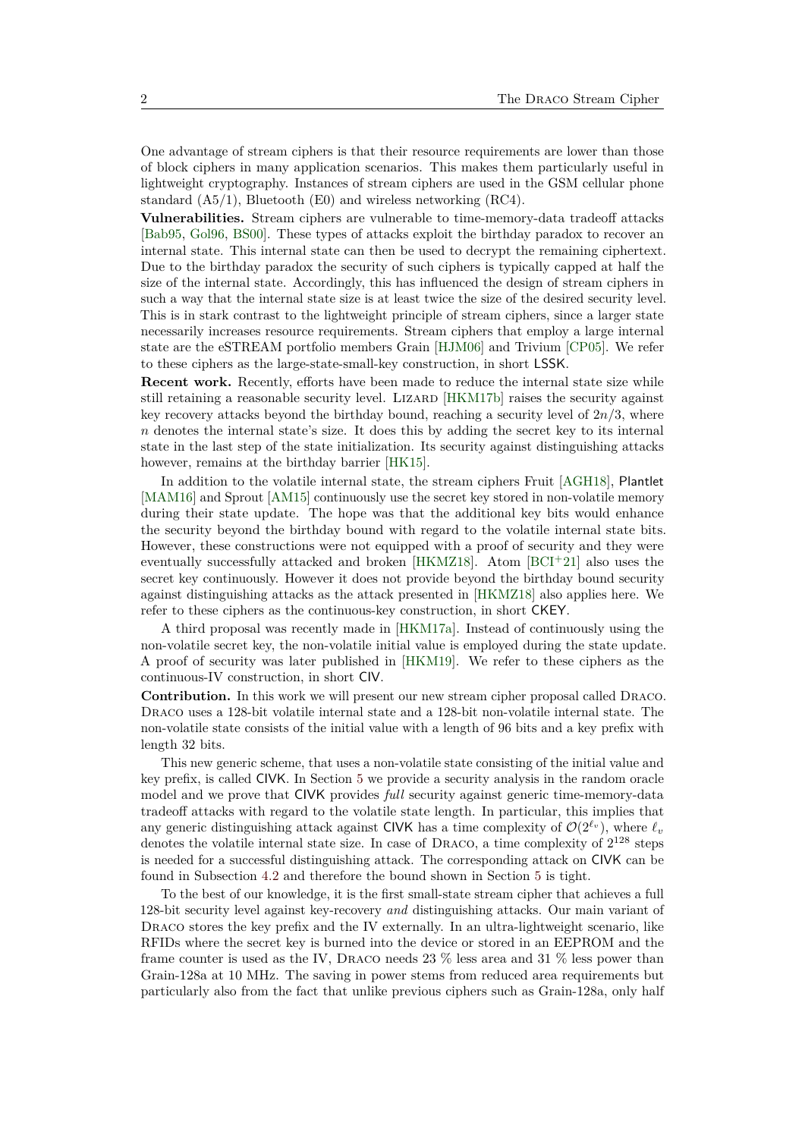One advantage of stream ciphers is that their resource requirements are lower than those of block ciphers in many application scenarios. This makes them particularly useful in lightweight cryptography. Instances of stream ciphers are used in the GSM cellular phone standard (A5/1), Bluetooth (E0) and wireless networking (RC4).

**Vulnerabilities.** Stream ciphers are vulnerable to time-memory-data tradeoff attacks [\[Bab95,](#page-31-0) [Gol96,](#page-32-0) [BS00\]](#page-31-1). These types of attacks exploit the birthday paradox to recover an internal state. This internal state can then be used to decrypt the remaining ciphertext. Due to the birthday paradox the security of such ciphers is typically capped at half the size of the internal state. Accordingly, this has influenced the design of stream ciphers in such a way that the internal state size is at least twice the size of the desired security level. This is in stark contrast to the lightweight principle of stream ciphers, since a larger state necessarily increases resource requirements. Stream ciphers that employ a large internal state are the eSTREAM portfolio members Grain [\[HJM06\]](#page-32-1) and Trivium [\[CP05\]](#page-31-2). We refer to these ciphers as the large-state-small-key construction, in short LSSK.

**Recent work.** Recently, efforts have been made to reduce the internal state size while still retaining a reasonable security level. LIZARD [\[HKM17b\]](#page-33-0) raises the security against key recovery attacks beyond the birthday bound, reaching a security level of  $2n/3$ , where *n* denotes the internal state's size. It does this by adding the secret key to its internal state in the last step of the state initialization. Its security against distinguishing attacks however, remains at the birthday barrier [\[HK15\]](#page-33-1).

In addition to the volatile internal state, the stream ciphers Fruit [\[AGH18\]](#page-30-0), Plantlet [\[MAM16\]](#page-34-0) and Sprout [\[AM15\]](#page-31-3) continuously use the secret key stored in non-volatile memory during their state update. The hope was that the additional key bits would enhance the security beyond the birthday bound with regard to the volatile internal state bits. However, these constructions were not equipped with a proof of security and they were eventually successfully attacked and broken  $[HKMZ18]$ . Atom  $[BCI^+21]$  $[BCI^+21]$  also uses the secret key continuously. However it does not provide beyond the birthday bound security against distinguishing attacks as the attack presented in [\[HKMZ18\]](#page-33-2) also applies here. We refer to these ciphers as the continuous-key construction, in short CKEY.

A third proposal was recently made in [\[HKM17a\]](#page-33-3). Instead of continuously using the non-volatile secret key, the non-volatile initial value is employed during the state update. A proof of security was later published in [\[HKM19\]](#page-33-4). We refer to these ciphers as the continuous-IV construction, in short CIV.

**Contribution.** In this work we will present our new stream cipher proposal called Draco. Draco uses a 128-bit volatile internal state and a 128-bit non-volatile internal state. The non-volatile state consists of the initial value with a length of 96 bits and a key prefix with length 32 bits.

This new generic scheme, that uses a non-volatile state consisting of the initial value and key prefix, is called CIVK. In Section [5](#page-9-0) we provide a security analysis in the random oracle model and we prove that CIVK provides *full* security against generic time-memory-data tradeoff attacks with regard to the volatile state length. In particular, this implies that any generic distinguishing attack against CIVK has a time complexity of  $\mathcal{O}(2^{\ell_v})$ , where  $\ell_v$ denotes the volatile internal state size. In case of DRACO, a time complexity of  $2^{128}$  steps is needed for a successful distinguishing attack. The corresponding attack on CIVK can be found in Subsection [4.2](#page-8-0) and therefore the bound shown in Section [5](#page-9-0) is tight.

To the best of our knowledge, it is the first small-state stream cipher that achieves a full 128-bit security level against key-recovery *and* distinguishing attacks. Our main variant of DRACO stores the key prefix and the IV externally. In an ultra-lightweight scenario, like RFIDs where the secret key is burned into the device or stored in an EEPROM and the frame counter is used as the IV, Draco needs 23 % less area and 31 % less power than Grain-128a at 10 MHz. The saving in power stems from reduced area requirements but particularly also from the fact that unlike previous ciphers such as Grain-128a, only half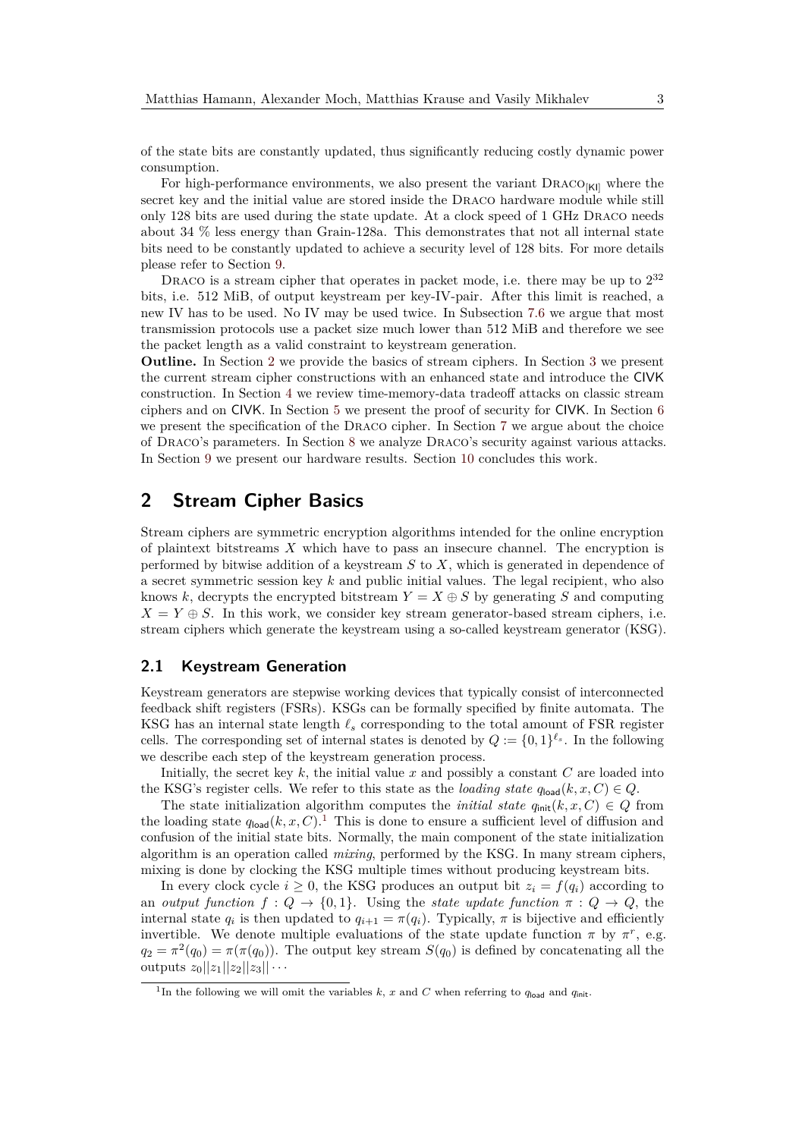of the state bits are constantly updated, thus significantly reducing costly dynamic power consumption.

For high-performance environments, we also present the variant  $\text{DraCO}_{\text{KII}}$  where the secret key and the initial value are stored inside the Draco hardware module while still only 128 bits are used during the state update. At a clock speed of 1 GHz Draco needs about 34 % less energy than Grain-128a. This demonstrates that not all internal state bits need to be constantly updated to achieve a security level of 128 bits. For more details please refer to Section [9.](#page-28-0)

DRACO is a stream cipher that operates in packet mode, i.e. there may be up to  $2^{32}$ bits, i.e. 512 MiB, of output keystream per key-IV-pair. After this limit is reached, a new IV has to be used. No IV may be used twice. In Subsection [7.6](#page-22-0) we argue that most transmission protocols use a packet size much lower than 512 MiB and therefore we see the packet length as a valid constraint to keystream generation.

**Outline.** In Section [2](#page-2-0) we provide the basics of stream ciphers. In Section [3](#page-3-0) we present the current stream cipher constructions with an enhanced state and introduce the CIVK construction. In Section [4](#page-7-0) we review time-memory-data tradeoff attacks on classic stream ciphers and on CIVK. In Section [5](#page-9-0) we present the proof of security for CIVK. In Section [6](#page-14-0) we present the specification of the Draco cipher. In Section [7](#page-18-0) we argue about the choice of Draco's parameters. In Section [8](#page-22-1) we analyze Draco's security against various attacks. In Section [9](#page-28-0) we present our hardware results. Section [10](#page-30-1) concludes this work.

# <span id="page-2-0"></span>**2 Stream Cipher Basics**

Stream ciphers are symmetric encryption algorithms intended for the online encryption of plaintext bitstreams *X* which have to pass an insecure channel. The encryption is performed by bitwise addition of a keystream *S* to *X*, which is generated in dependence of a secret symmetric session key *k* and public initial values. The legal recipient, who also knows  $k$ , decrypts the encrypted bitstream  $Y = X \oplus S$  by generating *S* and computing  $X = Y \oplus S$ . In this work, we consider key stream generator-based stream ciphers, i.e. stream ciphers which generate the keystream using a so-called keystream generator (KSG).

### **2.1 Keystream Generation**

Keystream generators are stepwise working devices that typically consist of interconnected feedback shift registers (FSRs). KSGs can be formally specified by finite automata. The KSG has an internal state length *ℓ<sup>s</sup>* corresponding to the total amount of FSR register cells. The corresponding set of internal states is denoted by  $Q := \{0,1\}^{\ell_s}$ . In the following we describe each step of the keystream generation process.

Initially, the secret key *k*, the initial value *x* and possibly a constant *C* are loaded into the KSG's register cells. We refer to this state as the *loading state*  $q_{\text{load}}(k, x, C) \in Q$ .

The state initialization algorithm computes the *initial state*  $q_{\text{init}}(k, x, C) \in Q$  from the loading state  $q_{\text{load}}(k, x, C)$ .<sup>[1](#page-2-1)</sup> This is done to ensure a sufficient level of diffusion and confusion of the initial state bits. Normally, the main component of the state initialization algorithm is an operation called *mixing*, performed by the KSG. In many stream ciphers, mixing is done by clocking the KSG multiple times without producing keystream bits.

In every clock cycle  $i \geq 0$ , the KSG produces an output bit  $z_i = f(q_i)$  according to an *output function*  $f: Q \to \{0,1\}$ . Using the *state update function*  $\pi: Q \to Q$ , the internal state  $q_i$  is then updated to  $q_{i+1} = \pi(q_i)$ . Typically,  $\pi$  is bijective and efficiently invertible. We denote multiple evaluations of the state update function  $\pi$  by  $\pi^r$ , e.g.  $q_2 = \pi^2(q_0) = \pi(\pi(q_0))$ . The output key stream  $S(q_0)$  is defined by concatenating all the outputs  $z_0||z_1||z_2||z_3|| \cdots$ 

<span id="page-2-1"></span><sup>&</sup>lt;sup>1</sup>In the following we will omit the variables  $k$ ,  $x$  and  $C$  when referring to  $q_{\text{load}}$  and  $q_{\text{init}}$ .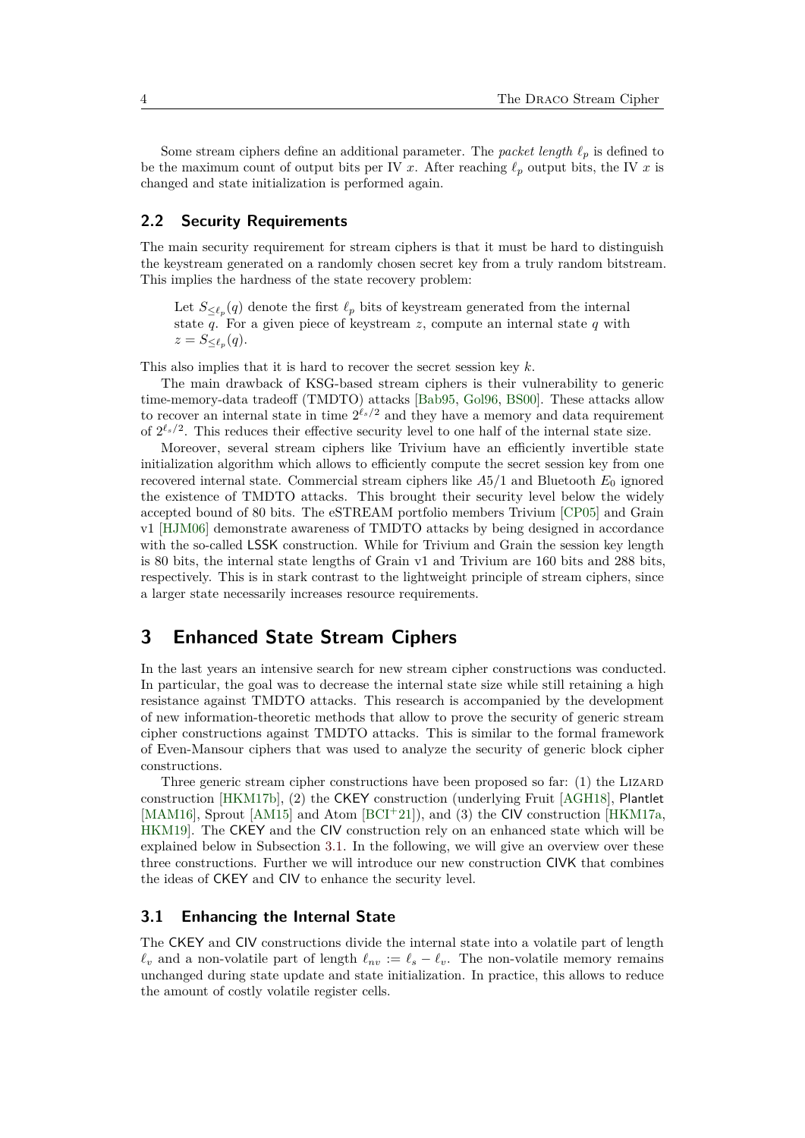Some stream ciphers define an additional parameter. The *packet length*  $\ell_p$  is defined to be the maximum count of output bits per IV *x*. After reaching  $\ell_p$  output bits, the IV *x* is changed and state initialization is performed again.

## **2.2 Security Requirements**

The main security requirement for stream ciphers is that it must be hard to distinguish the keystream generated on a randomly chosen secret key from a truly random bitstream. This implies the hardness of the state recovery problem:

Let  $S_{\leq \ell_p}(q)$  denote the first  $\ell_p$  bits of keystream generated from the internal state  $\overline{q}$ . For a given piece of keystream *z*, compute an internal state  $q$  with  $z = S_{\leq \ell_p}(q).$ 

This also implies that it is hard to recover the secret session key *k*.

The main drawback of KSG-based stream ciphers is their vulnerability to generic time-memory-data tradeoff (TMDTO) attacks [\[Bab95,](#page-31-0) [Gol96,](#page-32-0) [BS00\]](#page-31-1). These attacks allow to recover an internal state in time  $2^{\ell_s/2}$  and they have a memory and data requirement of  $2^{\ell_s/2}$ . This reduces their effective security level to one half of the internal state size.

Moreover, several stream ciphers like Trivium have an efficiently invertible state initialization algorithm which allows to efficiently compute the secret session key from one recovered internal state. Commercial stream ciphers like *A*5*/*1 and Bluetooth *E*<sup>0</sup> ignored the existence of TMDTO attacks. This brought their security level below the widely accepted bound of 80 bits. The eSTREAM portfolio members Trivium [\[CP05\]](#page-31-2) and Grain v1 [\[HJM06\]](#page-32-1) demonstrate awareness of TMDTO attacks by being designed in accordance with the so-called LSSK construction. While for Trivium and Grain the session key length is 80 bits, the internal state lengths of Grain v1 and Trivium are 160 bits and 288 bits, respectively. This is in stark contrast to the lightweight principle of stream ciphers, since a larger state necessarily increases resource requirements.

# <span id="page-3-0"></span>**3 Enhanced State Stream Ciphers**

In the last years an intensive search for new stream cipher constructions was conducted. In particular, the goal was to decrease the internal state size while still retaining a high resistance against TMDTO attacks. This research is accompanied by the development of new information-theoretic methods that allow to prove the security of generic stream cipher constructions against TMDTO attacks. This is similar to the formal framework of Even-Mansour ciphers that was used to analyze the security of generic block cipher constructions.

Three generic stream cipher constructions have been proposed so far: (1) the LIZARD construction [\[HKM17b\]](#page-33-0), (2) the CKEY construction (underlying Fruit [\[AGH18\]](#page-30-0), Plantlet [\[MAM16\]](#page-34-0), Sprout [\[AM15\]](#page-31-3) and Atom [\[BCI](#page-31-4)+21]), and (3) the CIV construction [\[HKM17a,](#page-33-3) [HKM19\]](#page-33-4). The CKEY and the CIV construction rely on an enhanced state which will be explained below in Subsection [3.1.](#page-3-1) In the following, we will give an overview over these three constructions. Further we will introduce our new construction CIVK that combines the ideas of CKEY and CIV to enhance the security level.

### <span id="page-3-1"></span>**3.1 Enhancing the Internal State**

The CKEY and CIV constructions divide the internal state into a volatile part of length  $\ell_v$  and a non-volatile part of length  $\ell_{nv} := \ell_s - \ell_v$ . The non-volatile memory remains unchanged during state update and state initialization. In practice, this allows to reduce the amount of costly volatile register cells.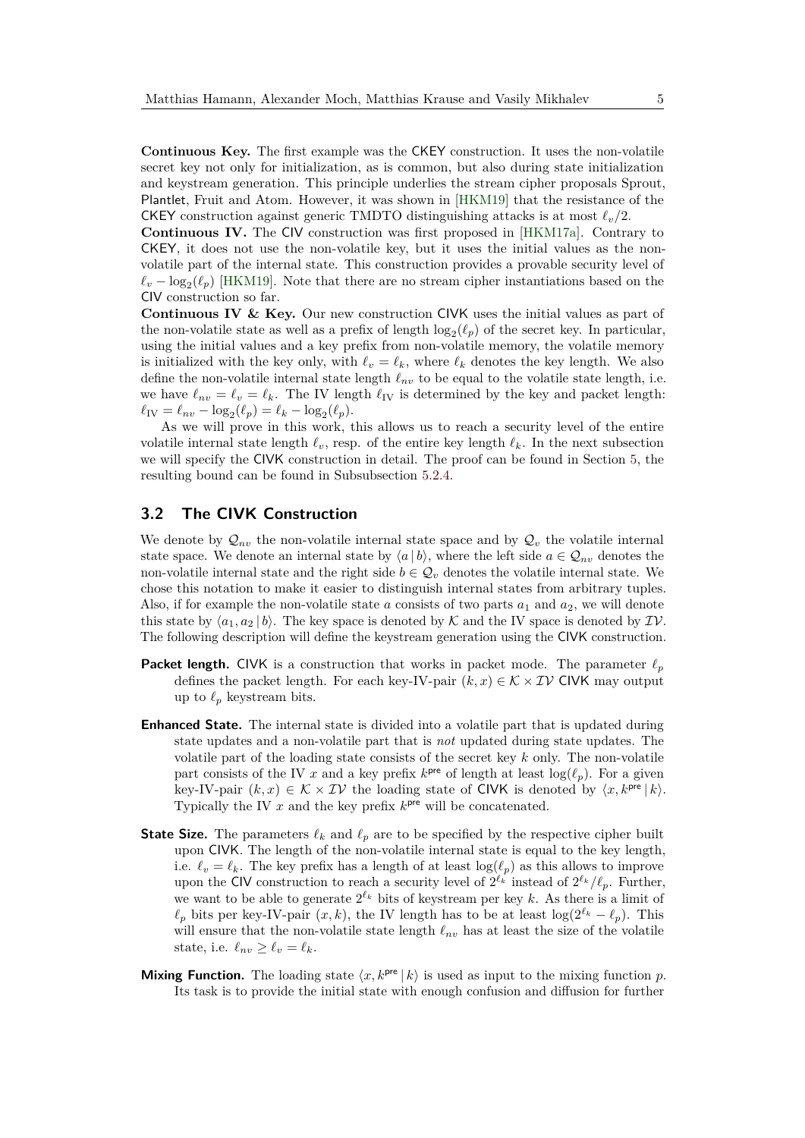**Continuous Key.** The first example was the CKEY construction. It uses the non-volatile secret key not only for initialization, as is common, but also during state initialization and keystream generation. This principle underlies the stream cipher proposals Sprout, Plantlet, Fruit and Atom. However, it was shown in [\[HKM19\]](#page-33-4) that the resistance of the CKEY construction against generic TMDTO distinguishing attacks is at most  $\ell_v/2$ .

**Continuous IV.** The CIV construction was first proposed in [\[HKM17a\]](#page-33-3). Contrary to CKEY, it does not use the non-volatile key, but it uses the initial values as the nonvolatile part of the internal state. This construction provides a provable security level of  $\ell_v - \log_2(\ell_p)$  [\[HKM19\]](#page-33-4). Note that there are no stream cipher instantiations based on the CIV construction so far.

**Continuous IV & Key.** Our new construction CIVK uses the initial values as part of the non-volatile state as well as a prefix of length  $log_2(\ell_p)$  of the secret key. In particular, using the initial values and a key prefix from non-volatile memory, the volatile memory is initialized with the key only, with  $\ell_v = \ell_k$ , where  $\ell_k$  denotes the key length. We also define the non-volatile internal state length  $\ell_{nv}$  to be equal to the volatile state length, i.e. we have  $\ell_{nv} = \ell_v = \ell_k$ . The IV length  $\ell_{\text{IV}}$  is determined by the key and packet length:  $\ell_{\text{IV}} = \ell_{nv} - \log_2(\ell_p) = \ell_k - \log_2(\ell_p).$ 

As we will prove in this work, this allows us to reach a security level of the entire volatile internal state length  $\ell_v$ , resp. of the entire key length  $\ell_k$ . In the next subsection we will specify the CIVK construction in detail. The proof can be found in Section [5,](#page-9-0) the resulting bound can be found in Subsubsection [5.2.4.](#page-14-1)

## <span id="page-4-0"></span>**3.2 The CIVK Construction**

We denote by  $\mathcal{Q}_{nv}$  the non-volatile internal state space and by  $\mathcal{Q}_v$  the volatile internal state space. We denote an internal state by  $\langle a | b \rangle$ , where the left side  $a \in \mathcal{Q}_{nv}$  denotes the non-volatile internal state and the right side  $b \in \mathcal{Q}_v$  denotes the volatile internal state. We chose this notation to make it easier to distinguish internal states from arbitrary tuples. Also, if for example the non-volatile state *a* consists of two parts  $a_1$  and  $a_2$ , we will denote this state by  $\langle a_1, a_2 | b \rangle$ . The key space is denoted by K and the IV space is denoted by  $\mathcal{IV}$ . The following description will define the keystream generation using the CIVK construction.

- **Packet length.** CIVK is a construction that works in packet mode. The parameter  $\ell_p$ defines the packet length. For each key-IV-pair  $(k, x) \in K \times IV$  CIVK may output up to  $\ell_p$  keystream bits.
- **Enhanced State.** The internal state is divided into a volatile part that is updated during state updates and a non-volatile part that is *not* updated during state updates. The volatile part of the loading state consists of the secret key *k* only. The non-volatile part consists of the IV *x* and a key prefix  $k^{\text{pre}}$  of length at least  $\log(\ell_p)$ . For a given key-IV-pair  $(k, x) \in \mathcal{K} \times \mathcal{IV}$  the loading state of CIVK is denoted by  $\langle x, k^{\text{pre}} | k \rangle$ . Typically the IV  $x$  and the key prefix  $k^{pre}$  will be concatenated.
- **State Size.** The parameters  $\ell_k$  and  $\ell_p$  are to be specified by the respective cipher built upon CIVK. The length of the non-volatile internal state is equal to the key length, i.e.  $\ell_v = \ell_k$ . The key prefix has a length of at least  $\log(\ell_p)$  as this allows to improve upon the CIV construction to reach a security level of  $2^{\ell_k}$  instead of  $2^{\ell_k}/\ell_p$ . Further, we want to be able to generate  $2^{\ell_k}$  bits of keystream per key k. As there is a limit of  $\ell_p$  bits per key-IV-pair  $(x, k)$ , the IV length has to be at least  $\log(2^{\ell_k} - \ell_p)$ . This will ensure that the non-volatile state length  $\ell_{nv}$  has at least the size of the volatile state, i.e.  $\ell_{nv} \geq \ell_v = \ell_k$ .
- **Mixing Function.** The loading state  $\langle x, k^{\text{pre}} | k \rangle$  is used as input to the mixing function p. Its task is to provide the initial state with enough confusion and diffusion for further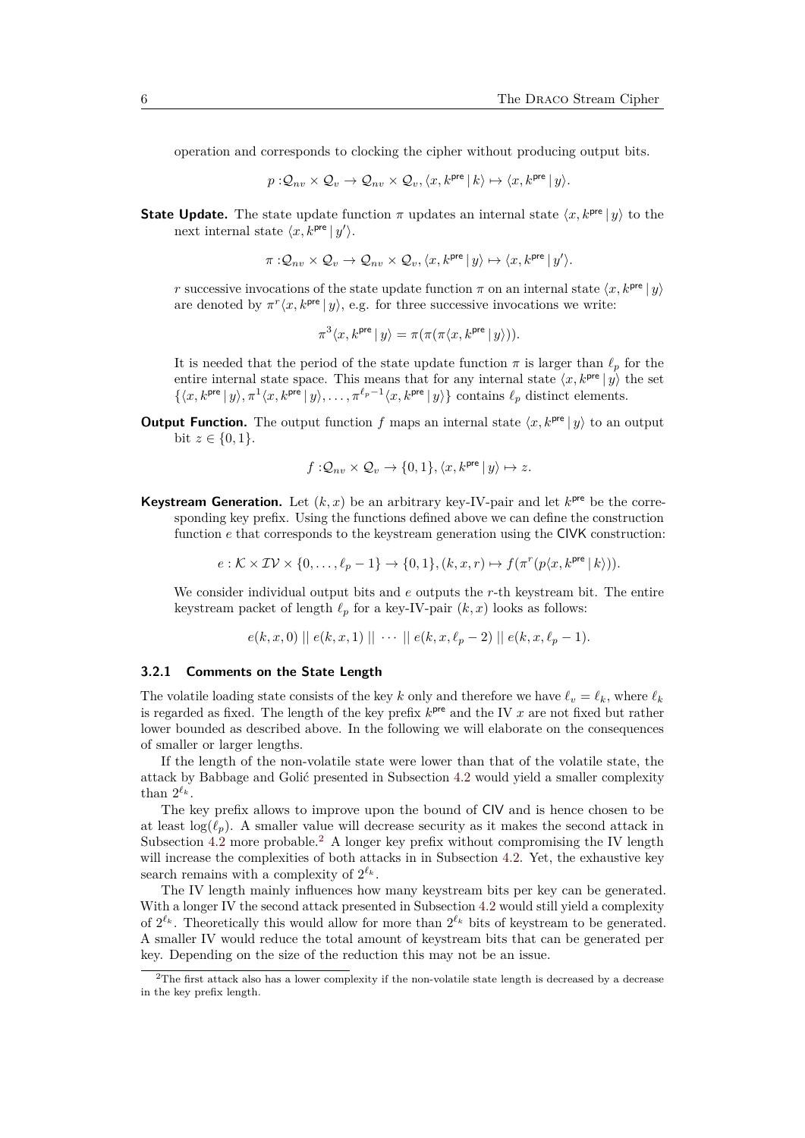operation and corresponds to clocking the cipher without producing output bits.

$$
p: \mathcal{Q}_{nv} \times \mathcal{Q}_v \to \mathcal{Q}_{nv} \times \mathcal{Q}_v, \langle x, k^{\text{pre}} \, | \, k \rangle \mapsto \langle x, k^{\text{pre}} \, | \, y \rangle.
$$

**State Update.** The state update function  $\pi$  updates an internal state  $\langle x, k^{\text{pre}} | y \rangle$  to the next internal state  $\langle x, k^{\text{pre}} | y' \rangle$ .

$$
\pi: \mathcal{Q}_{nv} \times \mathcal{Q}_v \to \mathcal{Q}_{nv} \times \mathcal{Q}_v, \langle x, k^{\text{pre}} \, | \, y \rangle \mapsto \langle x, k^{\text{pre}} \, | \, y' \rangle.
$$

*r* successive invocations of the state update function  $\pi$  on an internal state  $\langle x, k^{\text{pre}} | y \rangle$ are denoted by  $\pi^r\langle x, k^{\text{pre}} | y \rangle$ , e.g. for three successive invocations we write:

$$
\pi^3 \langle x, k^{\text{pre}} \, | \, y \rangle = \pi(\pi(\pi \langle x, k^{\text{pre}} \, | \, y \rangle)).
$$

It is needed that the period of the state update function  $\pi$  is larger than  $\ell_p$  for the entire internal state space. This means that for any internal state  $\langle x, k^{\text{pre}} | y \rangle$  the set  $\{\langle x, k^{\text{pre}} | y \rangle, \pi^1 \langle x, k^{\text{pre}} | y \rangle, \dots, \pi^{\ell_p-1} \langle x, k^{\text{pre}} | y \rangle\}$  contains  $\ell_p$  distinct elements.

**Output Function.** The output function *f* maps an internal state  $\langle x, k^{pre} | y \rangle$  to an output bit  $z \in \{0, 1\}$ .

$$
f:\!\mathcal{Q}_{nv}\times\mathcal{Q}_v\to\{0,1\},\langle x,k^{\text{pre}}\,|\,y\rangle\mapsto z.
$$

**Keystream Generation.** Let  $(k, x)$  be an arbitrary key-IV-pair and let  $k^{pre}$  be the corresponding key prefix. Using the functions defined above we can define the construction function *e* that corresponds to the keystream generation using the CIVK construction:

 $e : \mathcal{K} \times \mathcal{IV} \times \{0, \ldots, \ell_p - 1\} \to \{0, 1\}, (k, x, r) \mapsto f(\pi^r(p\langle x, k^{\text{pre}} | k \rangle)).$ 

We consider individual output bits and *e* outputs the *r*-th keystream bit. The entire keystream packet of length  $\ell_p$  for a key-IV-pair  $(k, x)$  looks as follows:

$$
e(k, x, 0) \parallel e(k, x, 1) \parallel \cdots \parallel e(k, x, \ell_p - 2) \parallel e(k, x, \ell_p - 1).
$$

### **3.2.1 Comments on the State Length**

The volatile loading state consists of the key *k* only and therefore we have  $\ell_v = \ell_k$ , where  $\ell_k$ is regarded as fixed. The length of the key prefix *k* pre and the IV *x* are not fixed but rather lower bounded as described above. In the following we will elaborate on the consequences of smaller or larger lengths.

If the length of the non-volatile state were lower than that of the volatile state, the attack by Babbage and Golić presented in Subsection [4.2](#page-8-0) would yield a smaller complexity than  $2^{\ell_k}$ .

The key prefix allows to improve upon the bound of CIV and is hence chosen to be at least  $\log(\ell_n)$ . A smaller value will decrease security as it makes the second attack in Subsection  $4.2$  more probable.<sup>[2](#page-5-0)</sup> A longer key prefix without compromising the IV length will increase the complexities of both attacks in in Subsection [4.2.](#page-8-0) Yet, the exhaustive key search remains with a complexity of  $2^{\ell_k}$ .

The IV length mainly influences how many keystream bits per key can be generated. With a longer IV the second attack presented in Subsection [4.2](#page-8-0) would still yield a complexity of  $2^{\ell_k}$ . Theoretically this would allow for more than  $2^{\ell_k}$  bits of keystream to be generated. A smaller IV would reduce the total amount of keystream bits that can be generated per key. Depending on the size of the reduction this may not be an issue.

<span id="page-5-0"></span><sup>2</sup>The first attack also has a lower complexity if the non-volatile state length is decreased by a decrease in the key prefix length.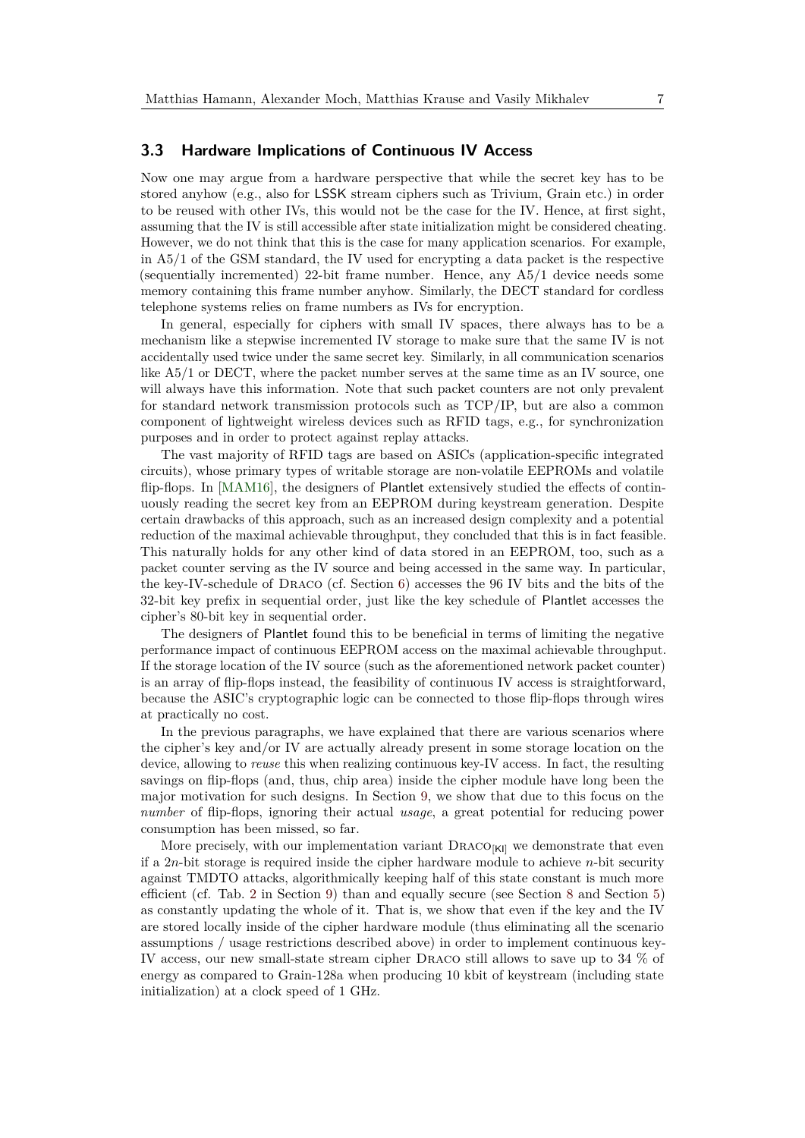### **3.3 Hardware Implications of Continuous IV Access**

Now one may argue from a hardware perspective that while the secret key has to be stored anyhow (e.g., also for LSSK stream ciphers such as Trivium, Grain etc.) in order to be reused with other IVs, this would not be the case for the IV. Hence, at first sight, assuming that the IV is still accessible after state initialization might be considered cheating. However, we do not think that this is the case for many application scenarios. For example, in A5/1 of the GSM standard, the IV used for encrypting a data packet is the respective (sequentially incremented) 22-bit frame number. Hence, any A5/1 device needs some memory containing this frame number anyhow. Similarly, the DECT standard for cordless telephone systems relies on frame numbers as IVs for encryption.

In general, especially for ciphers with small IV spaces, there always has to be a mechanism like a stepwise incremented IV storage to make sure that the same IV is not accidentally used twice under the same secret key. Similarly, in all communication scenarios like A5/1 or DECT, where the packet number serves at the same time as an IV source, one will always have this information. Note that such packet counters are not only prevalent for standard network transmission protocols such as TCP/IP, but are also a common component of lightweight wireless devices such as RFID tags, e.g., for synchronization purposes and in order to protect against replay attacks.

The vast majority of RFID tags are based on ASICs (application-specific integrated circuits), whose primary types of writable storage are non-volatile EEPROMs and volatile flip-flops. In [\[MAM16\]](#page-34-0), the designers of Plantlet extensively studied the effects of continuously reading the secret key from an EEPROM during keystream generation. Despite certain drawbacks of this approach, such as an increased design complexity and a potential reduction of the maximal achievable throughput, they concluded that this is in fact feasible. This naturally holds for any other kind of data stored in an EEPROM, too, such as a packet counter serving as the IV source and being accessed in the same way. In particular, the key-IV-schedule of Draco (cf. Section [6\)](#page-14-0) accesses the 96 IV bits and the bits of the 32-bit key prefix in sequential order, just like the key schedule of Plantlet accesses the cipher's 80-bit key in sequential order.

The designers of Plantlet found this to be beneficial in terms of limiting the negative performance impact of continuous EEPROM access on the maximal achievable throughput. If the storage location of the IV source (such as the aforementioned network packet counter) is an array of flip-flops instead, the feasibility of continuous IV access is straightforward, because the ASIC's cryptographic logic can be connected to those flip-flops through wires at practically no cost.

In the previous paragraphs, we have explained that there are various scenarios where the cipher's key and/or IV are actually already present in some storage location on the device, allowing to *reuse* this when realizing continuous key-IV access. In fact, the resulting savings on flip-flops (and, thus, chip area) inside the cipher module have long been the major motivation for such designs. In Section [9,](#page-28-0) we show that due to this focus on the *number* of flip-flops, ignoring their actual *usage*, a great potential for reducing power consumption has been missed, so far.

More precisely, with our implementation variant  $DRACO<sub>[K]</sub>$  we demonstrate that even if a 2*n*-bit storage is required inside the cipher hardware module to achieve *n*-bit security against TMDTO attacks, algorithmically keeping half of this state constant is much more efficient (cf. Tab. [2](#page-29-0) in Section [9\)](#page-28-0) than and equally secure (see Section [8](#page-22-1) and Section [5\)](#page-9-0) as constantly updating the whole of it. That is, we show that even if the key and the IV are stored locally inside of the cipher hardware module (thus eliminating all the scenario assumptions / usage restrictions described above) in order to implement continuous key-IV access, our new small-state stream cipher Draco still allows to save up to 34 % of energy as compared to Grain-128a when producing 10 kbit of keystream (including state initialization) at a clock speed of 1 GHz.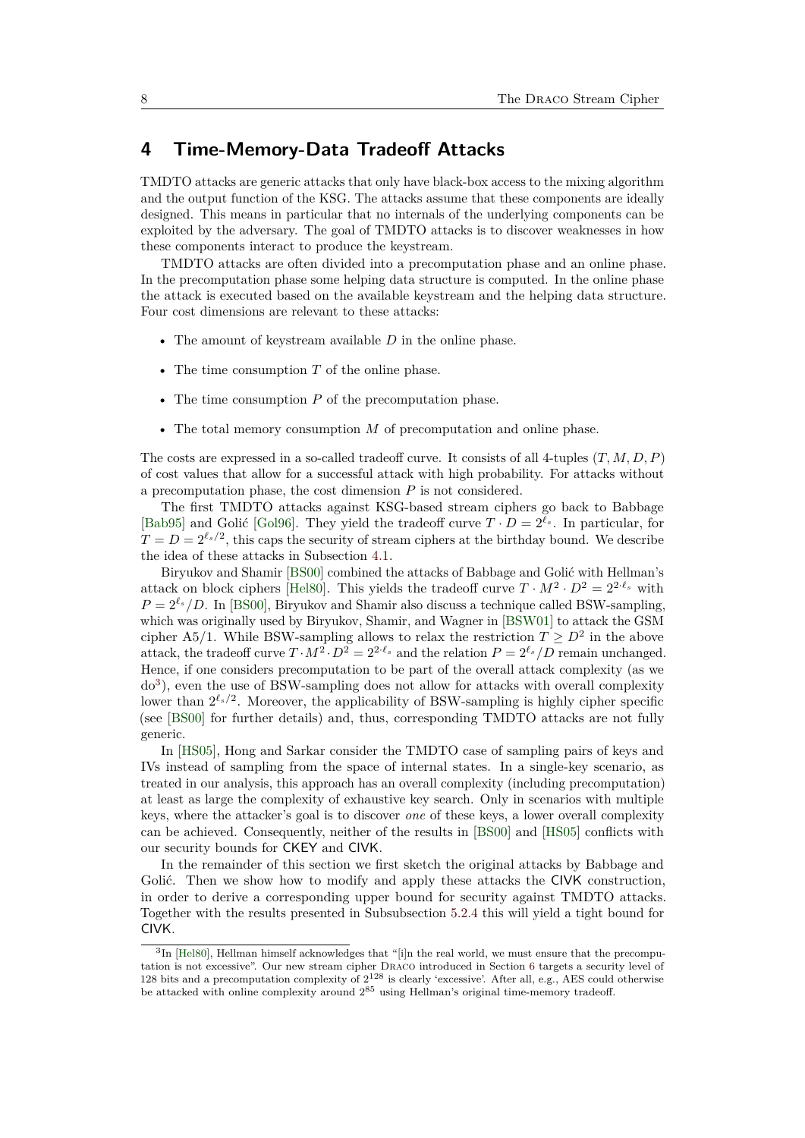# <span id="page-7-0"></span>**4 Time-Memory-Data Tradeoff Attacks**

TMDTO attacks are generic attacks that only have black-box access to the mixing algorithm and the output function of the KSG. The attacks assume that these components are ideally designed. This means in particular that no internals of the underlying components can be exploited by the adversary. The goal of TMDTO attacks is to discover weaknesses in how these components interact to produce the keystream.

TMDTO attacks are often divided into a precomputation phase and an online phase. In the precomputation phase some helping data structure is computed. In the online phase the attack is executed based on the available keystream and the helping data structure. Four cost dimensions are relevant to these attacks:

- The amount of keystream available *D* in the online phase.
- The time consumption *T* of the online phase.
- The time consumption *P* of the precomputation phase.
- The total memory consumption *M* of precomputation and online phase.

The costs are expressed in a so-called tradeoff curve. It consists of all 4-tuples (*T, M, D, P*) of cost values that allow for a successful attack with high probability. For attacks without a precomputation phase, the cost dimension *P* is not considered.

The first TMDTO attacks against KSG-based stream ciphers go back to Babbage [\[Bab95\]](#page-31-0) and Golić [\[Gol96\]](#page-32-0). They yield the tradeoff curve  $T \cdot D = 2^{\ell_s}$ . In particular, for  $T = D = 2^{\ell_s/2}$ , this caps the security of stream ciphers at the birthday bound. We describe the idea of these attacks in Subsection [4.1.](#page-8-1)

Biryukov and Shamir [\[BS00\]](#page-31-1) combined the attacks of Babbage and Golić with Hellman's attack on block ciphers [\[Hel80\]](#page-32-2). This yields the tradeoff curve  $T \cdot M^2 \cdot D^2 = 2^{2 \cdot \ell_s}$  with  $P = 2^{\ell_s}/D$ . In [\[BS00\]](#page-31-1), Biryukov and Shamir also discuss a technique called BSW-sampling, which was originally used by Biryukov, Shamir, and Wagner in [\[BSW01\]](#page-31-5) to attack the GSM cipher A5/1. While BSW-sampling allows to relax the restriction  $T \geq D^2$  in the above attack, the tradeoff curve  $T \cdot M^2 \cdot D^2 = 2^{2 \cdot \ell_s}$  and the relation  $P = 2^{\ell_s}/D$  remain unchanged. Hence, if one considers precomputation to be part of the overall attack complexity (as we do<sup>[3](#page-7-1)</sup>), even the use of BSW-sampling does not allow for attacks with overall complexity lower than  $2^{\ell_s/2}$ . Moreover, the applicability of BSW-sampling is highly cipher specific (see [\[BS00\]](#page-31-1) for further details) and, thus, corresponding TMDTO attacks are not fully generic.

In [\[HS05\]](#page-33-5), Hong and Sarkar consider the TMDTO case of sampling pairs of keys and IVs instead of sampling from the space of internal states. In a single-key scenario, as treated in our analysis, this approach has an overall complexity (including precomputation) at least as large the complexity of exhaustive key search. Only in scenarios with multiple keys, where the attacker's goal is to discover *one* of these keys, a lower overall complexity can be achieved. Consequently, neither of the results in [\[BS00\]](#page-31-1) and [\[HS05\]](#page-33-5) conflicts with our security bounds for CKEY and CIVK.

In the remainder of this section we first sketch the original attacks by Babbage and Golić. Then we show how to modify and apply these attacks the CIVK construction, in order to derive a corresponding upper bound for security against TMDTO attacks. Together with the results presented in Subsubsection [5.2.4](#page-14-1) this will yield a tight bound for CIVK.

<span id="page-7-1"></span><sup>&</sup>lt;sup>3</sup>In [\[Hel80\]](#page-32-2), Hellman himself acknowledges that "[i]n the real world, we must ensure that the precomputation is not excessive". Our new stream cipher Draco introduced in Section [6](#page-14-0) targets a security level of 128 bits and a precomputation complexity of  $2^{128}$  is clearly 'excessive'. After all, e.g., AES could otherwise be attacked with online complexity around  $2^{85}$  using Hellman's original time-memory tradeoff.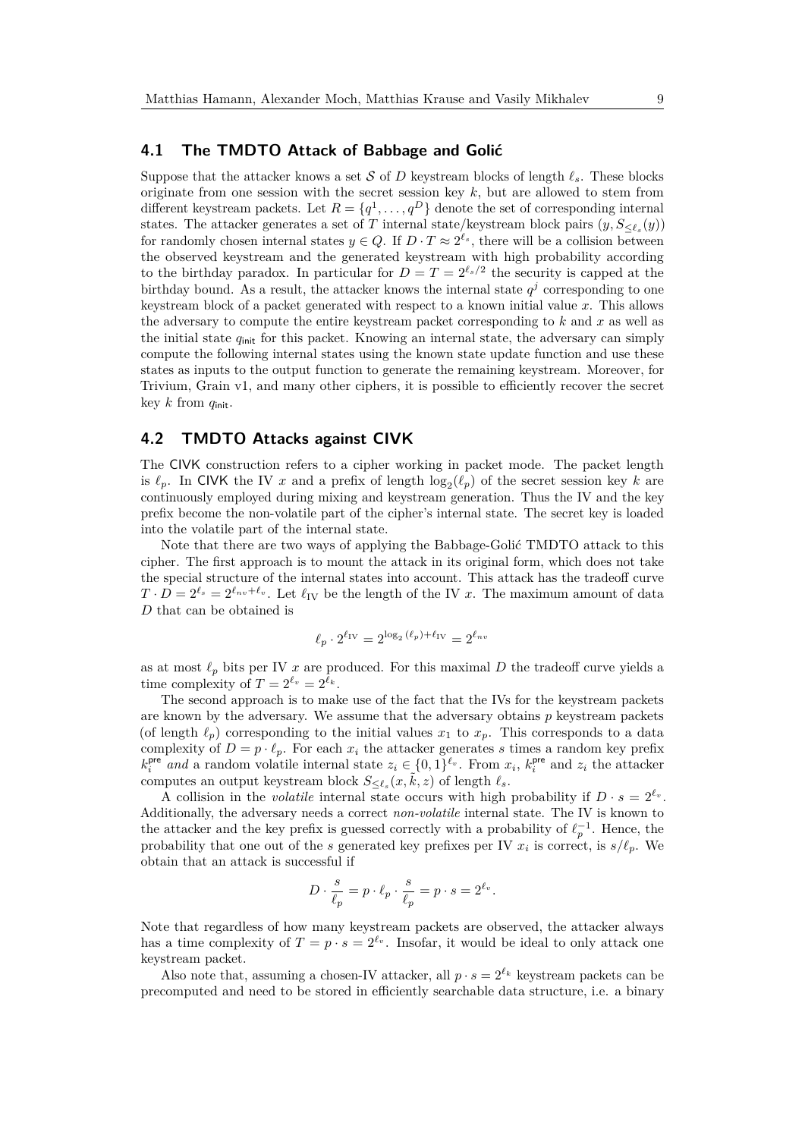### <span id="page-8-1"></span>**4.1 The TMDTO Attack of Babbage and Golić**

Suppose that the attacker knows a set S of D keystream blocks of length  $\ell_s$ . These blocks originate from one session with the secret session key *k*, but are allowed to stem from different keystream packets. Let  $R = \{q^1, \ldots, q^D\}$  denote the set of corresponding internal states. The attacker generates a set of *T* internal state/keystream block pairs  $(y, S_{\leq \ell_s}(y))$ for randomly chosen internal states  $y \in Q$ . If  $D \cdot T \approx 2^{\ell_s}$ , there will be a collision between the observed keystream and the generated keystream with high probability according to the birthday paradox. In particular for  $D = T = 2^{\ell_s/2}$  the security is capped at the birthday bound. As a result, the attacker knows the internal state  $q<sup>j</sup>$  corresponding to one keystream block of a packet generated with respect to a known initial value *x*. This allows the adversary to compute the entire keystream packet corresponding to *k* and *x* as well as the initial state  $q_{\text{init}}$  for this packet. Knowing an internal state, the adversary can simply compute the following internal states using the known state update function and use these states as inputs to the output function to generate the remaining keystream. Moreover, for Trivium, Grain v1, and many other ciphers, it is possible to efficiently recover the secret key *k* from *q*init.

### <span id="page-8-0"></span>**4.2 TMDTO Attacks against CIVK**

The CIVK construction refers to a cipher working in packet mode. The packet length is  $\ell_p$ . In CIVK the IV *x* and a prefix of length  $\log_2(\ell_p)$  of the secret session key *k* are continuously employed during mixing and keystream generation. Thus the IV and the key prefix become the non-volatile part of the cipher's internal state. The secret key is loaded into the volatile part of the internal state.

Note that there are two ways of applying the Babbage-Golić TMDTO attack to this cipher. The first approach is to mount the attack in its original form, which does not take the special structure of the internal states into account. This attack has the tradeoff curve  $T \cdot D = 2^{\ell_s} = 2^{\ell_{nv} + \ell_v}$ . Let  $\ell_{IV}$  be the length of the IV *x*. The maximum amount of data *D* that can be obtained is

$$
\ell_p \cdot 2^{\ell_{\rm IV}} = 2^{\log_2{(\ell_p)} + \ell_{\rm IV}} = 2^{\ell_{nv}}
$$

as at most  $\ell_p$  bits per IV *x* are produced. For this maximal *D* the tradeoff curve yields a time complexity of  $T = 2^{\ell_v} = 2^{\ell_k}$ .

The second approach is to make use of the fact that the IVs for the keystream packets are known by the adversary. We assume that the adversary obtains *p* keystream packets (of length  $\ell_p$ ) corresponding to the initial values  $x_1$  to  $x_p$ . This corresponds to a data complexity of  $D = p \cdot \ell_p$ . For each  $x_i$  the attacker generates *s* times a random key prefix  $k_i^{\text{pre}}$  *and* a random volatile internal state  $z_i \in (0,1)^{\ell_v}$ . From  $x_i$ ,  $k_i^{\text{pre}}$  and  $z_i$  the attacker computes an output keystream block  $S_{\leq \ell_s}(x,\tilde{k},z)$  of length  $\ell_s$ .

A collision in the *volatile* internal state occurs with high probability if  $D \cdot s = 2^{\ell_v}$ . Additionally, the adversary needs a correct *non-volatile* internal state. The IV is known to the attacker and the key prefix is guessed correctly with a probability of  $\ell_p^{-1}$ . Hence, the probability that one out of the *s* generated key prefixes per IV  $x_i$  is correct, is  $s/\ell_p$ . We obtain that an attack is successful if

$$
D \cdot \frac{s}{\ell_p} = p \cdot \ell_p \cdot \frac{s}{\ell_p} = p \cdot s = 2^{\ell_v}.
$$

Note that regardless of how many keystream packets are observed, the attacker always has a time complexity of  $T = p \cdot s = 2^{\ell_v}$ . Insofar, it would be ideal to only attack one keystream packet.

Also note that, assuming a chosen-IV attacker, all  $p \cdot s = 2^{\ell_k}$  keystream packets can be precomputed and need to be stored in efficiently searchable data structure, i.e. a binary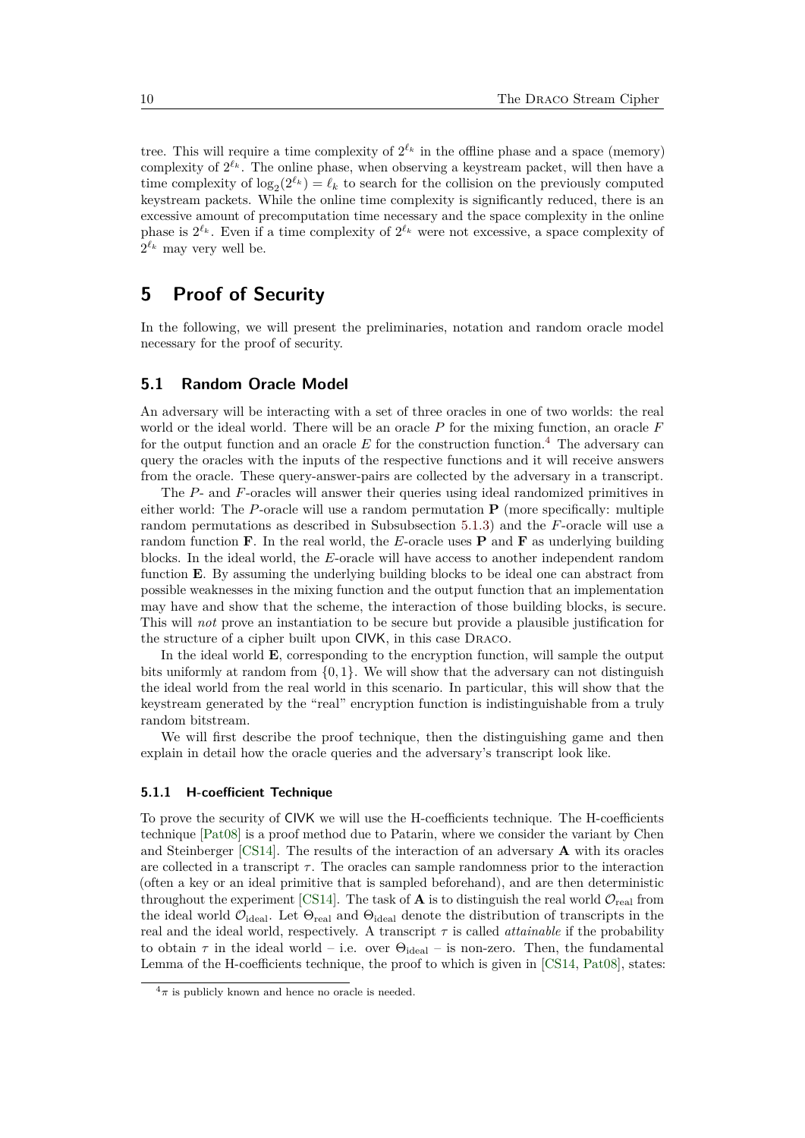tree. This will require a time complexity of  $2^{\ell_k}$  in the offline phase and a space (memory) complexity of  $2^{\ell_k}$ . The online phase, when observing a keystream packet, will then have a time complexity of  $\log_2(2^{\ell_k}) = \ell_k$  to search for the collision on the previously computed keystream packets. While the online time complexity is significantly reduced, there is an excessive amount of precomputation time necessary and the space complexity in the online phase is  $2^{\ell_k}$ . Even if a time complexity of  $2^{\ell_k}$  were not excessive, a space complexity of  $2^{\ell_k}$  may very well be.

# <span id="page-9-0"></span>**5 Proof of Security**

In the following, we will present the preliminaries, notation and random oracle model necessary for the proof of security.

### **5.1 Random Oracle Model**

An adversary will be interacting with a set of three oracles in one of two worlds: the real world or the ideal world. There will be an oracle *P* for the mixing function, an oracle *F* for the output function and an oracle  $E$  for the construction function.<sup>[4](#page-9-1)</sup> The adversary can query the oracles with the inputs of the respective functions and it will receive answers from the oracle. These query-answer-pairs are collected by the adversary in a transcript.

The *P*- and *F*-oracles will answer their queries using ideal randomized primitives in either world: The *P*-oracle will use a random permutation **P** (more specifically: multiple random permutations as described in Subsubsection [5.1.3\)](#page-10-0) and the *F*-oracle will use a random function **F**. In the real world, the *E*-oracle uses **P** and **F** as underlying building blocks. In the ideal world, the *E*-oracle will have access to another independent random function **E**. By assuming the underlying building blocks to be ideal one can abstract from possible weaknesses in the mixing function and the output function that an implementation may have and show that the scheme, the interaction of those building blocks, is secure. This will *not* prove an instantiation to be secure but provide a plausible justification for the structure of a cipher built upon CIVK, in this case Draco.

In the ideal world **E**, corresponding to the encryption function, will sample the output bits uniformly at random from  $\{0, 1\}$ . We will show that the adversary can not distinguish the ideal world from the real world in this scenario. In particular, this will show that the keystream generated by the "real" encryption function is indistinguishable from a truly random bitstream.

We will first describe the proof technique, then the distinguishing game and then explain in detail how the oracle queries and the adversary's transcript look like.

### **5.1.1 H-coefficient Technique**

To prove the security of CIVK we will use the H-coefficients technique. The H-coefficients technique [\[Pat08\]](#page-34-1) is a proof method due to Patarin, where we consider the variant by Chen and Steinberger [\[CS14\]](#page-31-6). The results of the interaction of an adversary **A** with its oracles are collected in a transcript  $\tau$ . The oracles can sample randomness prior to the interaction (often a key or an ideal primitive that is sampled beforehand), and are then deterministic throughout the experiment [\[CS14\]](#page-31-6). The task of **A** is to distinguish the real world  $\mathcal{O}_{\text{real}}$  from the ideal world  $\mathcal{O}_{\text{ideal}}$ . Let  $\Theta_{\text{real}}$  and  $\Theta_{\text{ideal}}$  denote the distribution of transcripts in the real and the ideal world, respectively. A transcript  $\tau$  is called *attainable* if the probability to obtain  $\tau$  in the ideal world – i.e. over  $\Theta_{\text{ideal}}$  – is non-zero. Then, the fundamental Lemma of the H-coefficients technique, the proof to which is given in [\[CS14,](#page-31-6) [Pat08\]](#page-34-1), states:

<span id="page-9-1"></span> $4\pi$  is publicly known and hence no oracle is needed.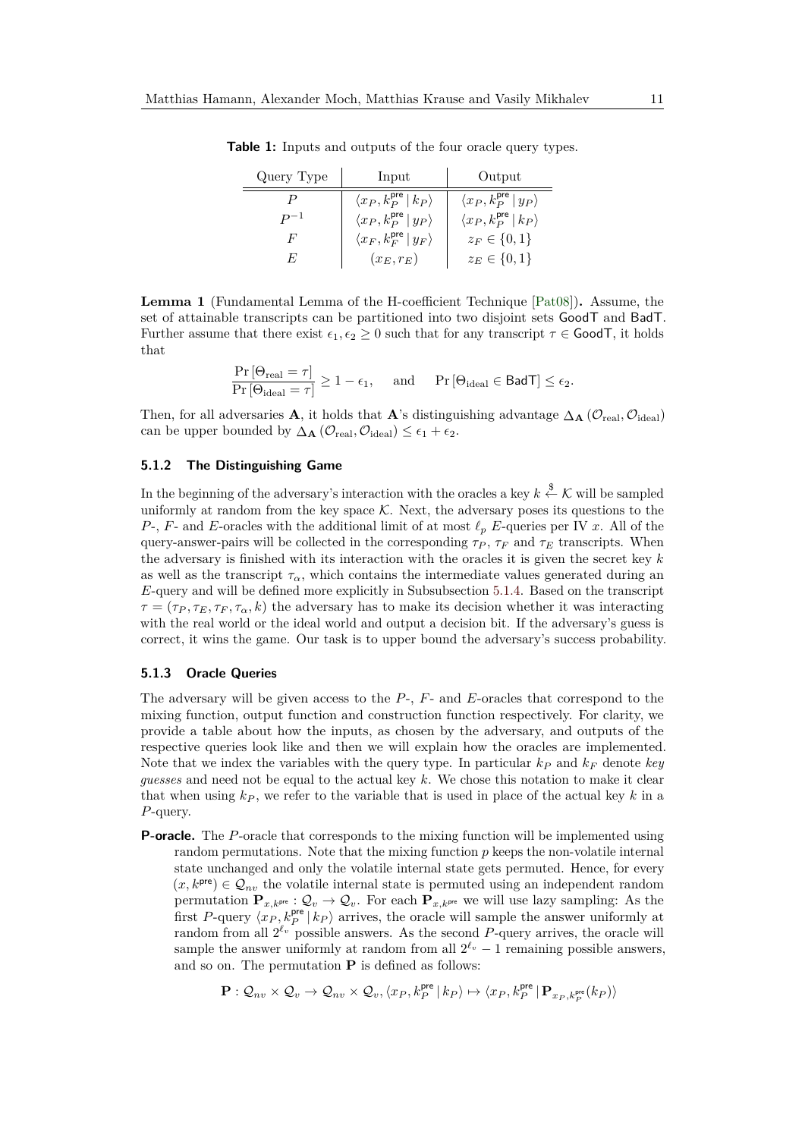| Query Type | Input                                         | Output                                        |  |  |
|------------|-----------------------------------------------|-----------------------------------------------|--|--|
|            | $\langle x_P, k_P^{\text{pre}}   k_P \rangle$ | $\langle x_P, k_P^{\text{pre}}   y_P \rangle$ |  |  |
|            | $\langle x_P, k_P^{\text{pre}}   y_P \rangle$ | $\langle x_P, k_P^{\text{pre}}   k_P \rangle$ |  |  |
| F          | $\langle x_F, k_F^{\text{pre}}   y_F \rangle$ | $z_F \in \{0,1\}$                             |  |  |
| F,         | $(x_E, r_E)$                                  | $z_E \in \{0, 1\}$                            |  |  |

**Table 1:** Inputs and outputs of the four oracle query types.

<span id="page-10-1"></span>**Lemma 1** (Fundamental Lemma of the H-coefficient Technique [\[Pat08\]](#page-34-1))**.** Assume, the set of attainable transcripts can be partitioned into two disjoint sets GoodT and BadT. Further assume that there exist  $\epsilon_1, \epsilon_2 \geq 0$  such that for any transcript  $\tau \in \mathsf{GoodT}$ , it holds that

$$
\frac{\Pr\left[\Theta_{\text{real}}=\tau\right]}{\Pr\left[\Theta_{\text{ideal}}=\tau\right]}\geq 1-\epsilon_1,\quad \text{ and }\quad \Pr\left[\Theta_{\text{ideal}}\in\text{BadT}\right]\leq \epsilon_2.
$$

Then, for all adversaries **A**, it holds that **A**'s distinguishing advantage  $\Delta_{\mathbf{A}}(\mathcal{O}_{\text{real}}, \mathcal{O}_{\text{ideal}})$ can be upper bounded by  $\Delta_{\mathbf{A}}(\mathcal{O}_{\text{real}}, \mathcal{O}_{\text{ideal}}) \leq \epsilon_1 + \epsilon_2$ .

### **5.1.2 The Distinguishing Game**

In the beginning of the adversary's interaction with the oracles a key  $k \stackrel{\$}{\leftarrow} \mathcal{K}$  will be sampled uniformly at random from the key space  $K$ . Next, the adversary poses its questions to the *P*-, *F*- and *E*-oracles with the additional limit of at most  $\ell_p$  *E*-queries per IV *x*. All of the query-answer-pairs will be collected in the corresponding  $\tau_P$ ,  $\tau_F$  and  $\tau_E$  transcripts. When the adversary is finished with its interaction with the oracles it is given the secret key *k* as well as the transcript  $\tau_{\alpha}$ , which contains the intermediate values generated during an *E*-query and will be defined more explicitly in Subsubsection [5.1.4.](#page-11-0) Based on the transcript  $\tau = (\tau_P, \tau_F, \tau_\sigma, k)$  the adversary has to make its decision whether it was interacting with the real world or the ideal world and output a decision bit. If the adversary's guess is correct, it wins the game. Our task is to upper bound the adversary's success probability.

#### <span id="page-10-0"></span>**5.1.3 Oracle Queries**

The adversary will be given access to the *P*-, *F*- and *E*-oracles that correspond to the mixing function, output function and construction function respectively. For clarity, we provide a table about how the inputs, as chosen by the adversary, and outputs of the respective queries look like and then we will explain how the oracles are implemented. Note that we index the variables with the query type. In particular  $k_p$  and  $k_F$  denote *key guesses* and need not be equal to the actual key *k*. We chose this notation to make it clear that when using  $k_P$ , we refer to the variable that is used in place of the actual key  $k$  in a *P*-query.

**P-oracle.** The *P*-oracle that corresponds to the mixing function will be implemented using random permutations. Note that the mixing function *p* keeps the non-volatile internal state unchanged and only the volatile internal state gets permuted. Hence, for every  $(x, k^{\text{pre}}) \in \mathcal{Q}_{nv}$  the volatile internal state is permuted using an independent random permutation  $\mathbf{P}_{x,k}$ <sup>pre</sup> :  $\mathcal{Q}_v \to \mathcal{Q}_v$ . For each  $\mathbf{P}_{x,k}$ <sup>pre</sup> we will use lazy sampling: As the first *P*-query  $\langle x_P, k_P^{\text{pre}} | k_P \rangle$  arrives, the oracle will sample the answer uniformly at random from all  $2^{\ell_v}$  possible answers. As the second P-query arrives, the oracle will sample the answer uniformly at random from all  $2^{\ell_v} - 1$  remaining possible answers, and so on. The permutation **P** is defined as follows:

$$
\mathbf{P}: \mathcal{Q}_{nv} \times \mathcal{Q}_v \rightarrow \mathcal{Q}_{nv} \times \mathcal{Q}_v, \langle x_P, k_P^{\mathsf{pre}} \, | \, k_P \rangle \mapsto \langle x_P, k_P^{\mathsf{pre}} \, | \, \mathbf{P}_{x_P, k_P^{\mathsf{pre}}}(k_P) \rangle
$$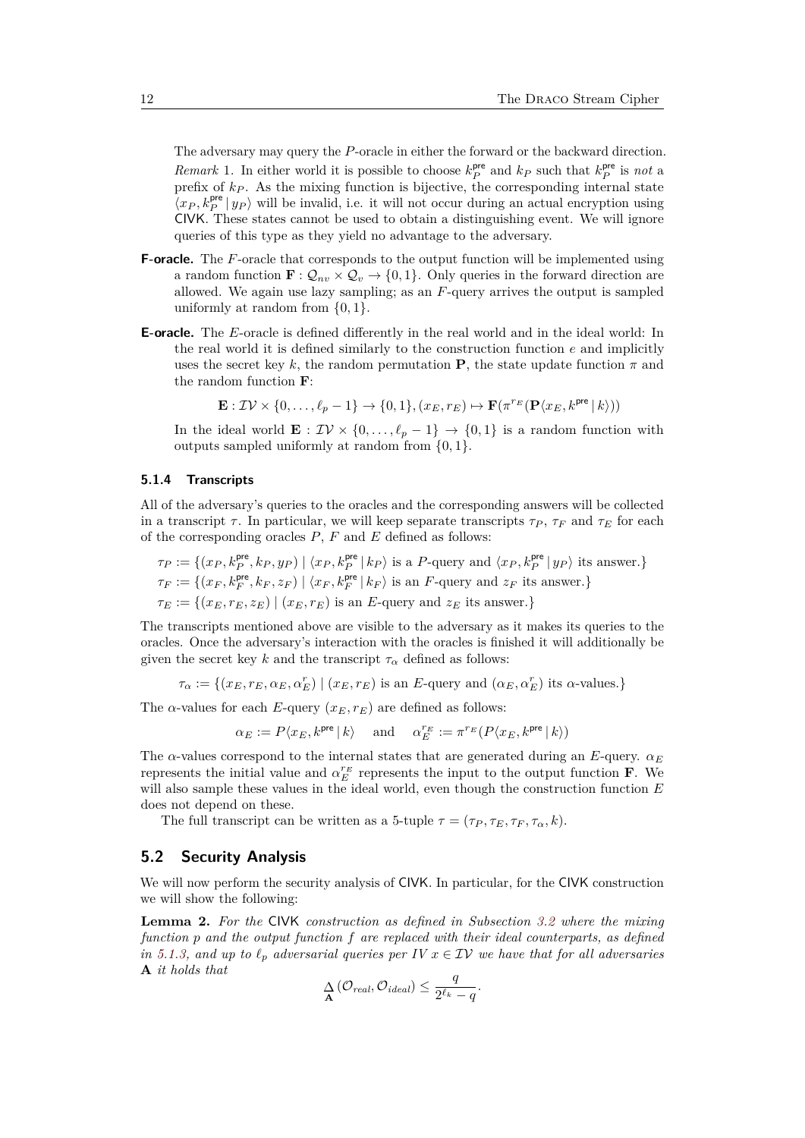The adversary may query the *P*-oracle in either the forward or the backward direction. *Remark* 1. In either world it is possible to choose  $k_P^{\text{pre}}$  and  $k_P$  such that  $k_P^{\text{pre}}$  is *not* a prefix of  $k_P$ . As the mixing function is bijective, the corresponding internal state  $\langle x_P, k_P^{\text{pre}} | y_P \rangle$  will be invalid, i.e. it will not occur during an actual encryption using CIVK. These states cannot be used to obtain a distinguishing event. We will ignore queries of this type as they yield no advantage to the adversary.

- **F-oracle.** The *F*-oracle that corresponds to the output function will be implemented using a random function  $\mathbf{F} : \mathcal{Q}_{nv} \times \mathcal{Q}_v \rightarrow \{0,1\}$ . Only queries in the forward direction are allowed. We again use lazy sampling; as an *F*-query arrives the output is sampled uniformly at random from {0*,* 1}.
- **E-oracle.** The *E*-oracle is defined differently in the real world and in the ideal world: In the real world it is defined similarly to the construction function *e* and implicitly uses the secret key k, the random permutation **P**, the state update function  $\pi$  and the random function **F**:

$$
\mathbf{E}: \mathcal{IV} \times \{0, \ldots, \ell_p - 1\} \to \{0, 1\}, (x_E, r_E) \mapsto \mathbf{F}(\pi^{r_E}(\mathbf{P}\langle x_E, k^{\text{pre}} \, | \, k \rangle))
$$

In the ideal world  $\mathbf{E}: \mathcal{IV} \times \{0,\ldots,\ell_p-1\} \to \{0,1\}$  is a random function with outputs sampled uniformly at random from {0*,* 1}.

## <span id="page-11-0"></span>**5.1.4 Transcripts**

All of the adversary's queries to the oracles and the corresponding answers will be collected in a transcript  $\tau$ . In particular, we will keep separate transcripts  $\tau_P$ ,  $\tau_F$  and  $\tau_E$  for each of the corresponding oracles *P*, *F* and *E* defined as follows:

$$
\tau_P := \{(x_P, k_P^{\text{pre}}, k_P, y_P) \mid \langle x_P, k_P^{\text{pre}} \mid k_P \rangle \text{ is a } P\text{-query and } \langle x_P, k_P^{\text{pre}} \mid y_P \rangle \text{ its answer.}\}
$$
\n
$$
\tau_F := \{(x_F, k_F^{\text{pre}}, k_F, z_F) \mid \langle x_F, k_F^{\text{pre}} \mid k_F \rangle \text{ is an } F\text{-query and } z_F \text{ its answer.}\}
$$
\n
$$
\tau_E := \{(x_E, r_E, z_E) \mid (x_E, r_E) \text{ is an } E\text{-query and } z_E \text{ its answer.}\}
$$

The transcripts mentioned above are visible to the adversary as it makes its queries to the oracles. Once the adversary's interaction with the oracles is finished it will additionally be given the secret key *k* and the transcript  $\tau_{\alpha}$  defined as follows:

 $\tau_{\alpha} := \{(x_E, r_E, \alpha_E, \alpha_E^r) \mid (x_E, r_E) \text{ is an } E\text{-query and } (\alpha_E, \alpha_E^r) \text{ its } \alpha\text{-values.}\}\$ 

The  $\alpha$ -values for each *E*-query  $(x_E, r_E)$  are defined as follows:

 $\alpha_E := P\langle x_E, k^{\text{pre}} | k \rangle$  and  $\alpha_E^{r_E} := \pi^{r_E}(P\langle x_E, k^{\text{pre}} | k \rangle)$ 

The *α*-values correspond to the internal states that are generated during an *E*-query. *α<sup>E</sup>* represents the initial value and  $\alpha_E^{r_E}$  represents the input to the output function **F**. We will also sample these values in the ideal world, even though the construction function *E* does not depend on these.

The full transcript can be written as a 5-tuple  $\tau = (\tau_P, \tau_E, \tau_F, \tau_\alpha, k)$ .

### **5.2 Security Analysis**

We will now perform the security analysis of CIVK. In particular, for the CIVK construction we will show the following:

<span id="page-11-1"></span>**Lemma 2.** *For the* CIVK *construction as defined in Subsection [3.2](#page-4-0) where the mixing function p and the output function f are replaced with their ideal counterparts, as defined in* [5.1.3,](#page-10-0) and up to  $\ell_p$  adversarial queries per IV  $x \in \mathcal{IV}$  we have that for all adversaries **A** *it holds that*

$$
\mathop{\Delta}\limits_{\mathbf{A}}\left(\mathcal{O}_{real},\mathcal{O}_{ideal}\right) \leq \frac{q}{2^{\ell_k}-q}.
$$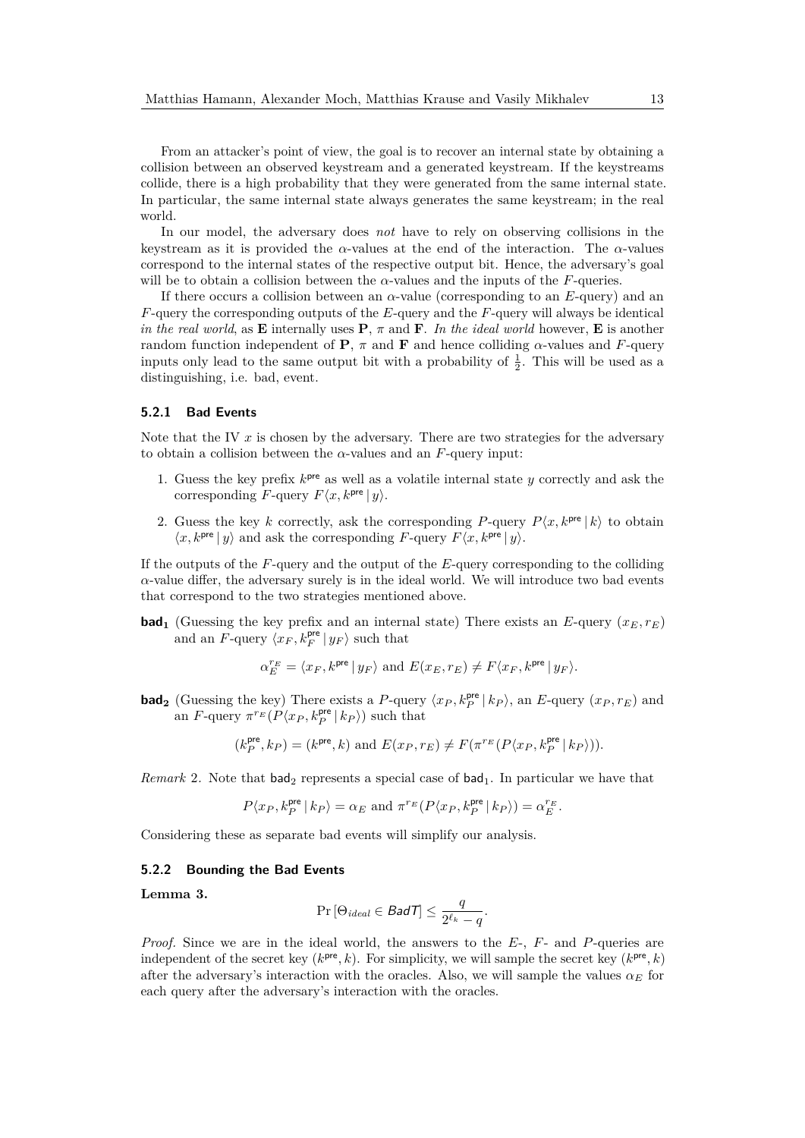From an attacker's point of view, the goal is to recover an internal state by obtaining a collision between an observed keystream and a generated keystream. If the keystreams collide, there is a high probability that they were generated from the same internal state. In particular, the same internal state always generates the same keystream; in the real world.

In our model, the adversary does *not* have to rely on observing collisions in the keystream as it is provided the *α*-values at the end of the interaction. The *α*-values correspond to the internal states of the respective output bit. Hence, the adversary's goal will be to obtain a collision between the  $\alpha$ -values and the inputs of the *F*-queries.

If there occurs a collision between an *α*-value (corresponding to an *E*-query) and an *F*-query the corresponding outputs of the *E*-query and the *F*-query will always be identical *in the real world*, as **E** internally uses **P**,  $\pi$  and **F**. In the ideal world however, **E** is another random function independent of **P**,  $\pi$  and **F** and hence colliding  $\alpha$ -values and F-query inputs only lead to the same output bit with a probability of  $\frac{1}{2}$ . This will be used as a distinguishing, i.e. bad, event.

### **5.2.1 Bad Events**

Note that the IV  $x$  is chosen by the adversary. There are two strategies for the adversary to obtain a collision between the  $\alpha$ -values and an  $F$ -query input:

- 1. Guess the key prefix  $k<sup>pre</sup>$  as well as a volatile internal state  $y$  correctly and ask the corresponding *F*-query  $F\langle x, k^{\text{pre}} | y \rangle$ .
- 2. Guess the key *k* correctly, ask the corresponding *P*-query  $P\langle x, k^{\text{pre}} | k \rangle$  to obtain  $\langle x, k^{\text{pre}} | y \rangle$  and ask the corresponding *F*-query  $F\langle x, k^{\text{pre}} | y \rangle$ .

If the outputs of the *F*-query and the output of the *E*-query corresponding to the colliding  $\alpha$ -value differ, the adversary surely is in the ideal world. We will introduce two bad events that correspond to the two strategies mentioned above.

**bad**<sub>1</sub> (Guessing the key prefix and an internal state) There exists an *E*-query  $(x_E, r_E)$ and an  $\overline{F}$ -query  $\langle x_F, k_F^{\text{pre}} | y_F \rangle$  such that

$$
\alpha_E^{r_E} = \langle x_F, k^{\rm pre} \, | \, y_F \rangle \ \text{and} \ E(x_E, r_E) \neq F \langle x_F, k^{\rm pre} \, | \, y_F \rangle.
$$

**bad<sub>2</sub>** (Guessing the key) There exists a *P*-query  $\langle x_P, k_P^{\text{pre}} | k_P \rangle$ , an *E*-query  $(x_P, r_E)$  and an *F*-query  $\pi^{r_E}(P\langle x_P, k_P^{\text{pre}} | k_P \rangle)$  such that

$$
(k_P^{\mathsf{pre}},k_P) = (k^{\mathsf{pre}},k) \text{ and } E(x_P,r_E) \neq F(\pi^{r_E}(P\langle x_P, k_P^{\mathsf{pre}} \, | \, k_P \rangle)).
$$

*Remark* 2. Note that bad<sub>2</sub> represents a special case of  $bad_1$ . In particular we have that

$$
P\langle x_P, k_P^{\text{pre}} \, | \, k_P \rangle = \alpha_E \text{ and } \pi^{r_E}(P\langle x_P, k_P^{\text{pre}} \, | \, k_P \rangle) = \alpha_E^{r_E}.
$$

Considering these as separate bad events will simplify our analysis.

#### **5.2.2 Bounding the Bad Events**

<span id="page-12-0"></span>**Lemma 3.**

$$
\Pr\left[\Theta_{ideal} \in \mathcal{B} \text{ad}\mathcal{T}\right] \le \frac{q}{2^{\ell_k} - q}.
$$

*Proof.* Since we are in the ideal world, the answers to the *E*-, *F*- and *P*-queries are independent of the secret key  $(k^{\text{pre}}, k)$ . For simplicity, we will sample the secret key  $(k^{\text{pre}}, k)$ after the adversary's interaction with the oracles. Also, we will sample the values  $\alpha_E$  for each query after the adversary's interaction with the oracles.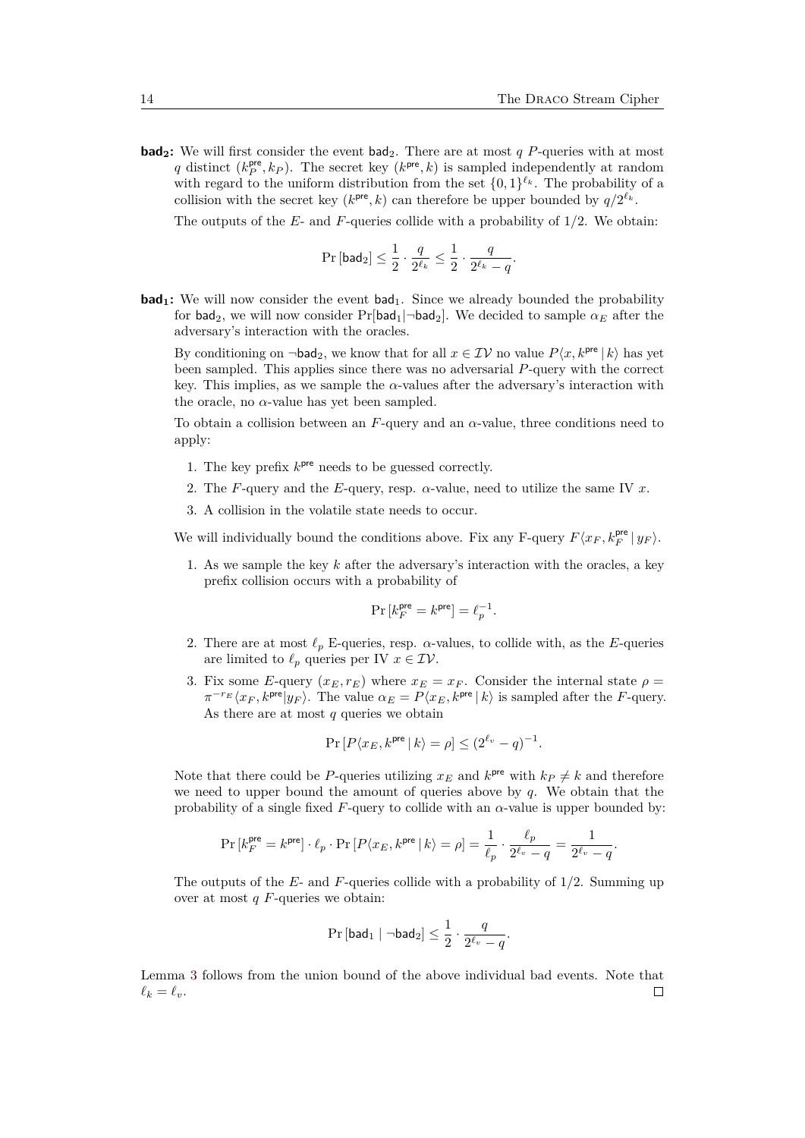**bad<sub>2</sub>**: We will first consider the event  $bad_2$ . There are at most *q P*-queries with at most *q* distinct  $(k_P^{\text{pre}}, k_P)$ . The secret key  $(k^{\text{pre}}, k)$  is sampled independently at random with regard to the uniform distribution from the set  $\{0,1\}^{\ell_k}$ . The probability of a collision with the secret key ( $k^{pre}, k$ ) can therefore be upper bounded by  $q/2^{\ell_k}$ .

The outputs of the *E*- and *F*-queries collide with a probability of 1*/*2. We obtain:

$$
\Pr\left[\mathsf{bad}_2\right] \leq \frac{1}{2} \cdot \frac{q}{2^{\ell_k}} \leq \frac{1}{2} \cdot \frac{q}{2^{\ell_k} - q}.
$$

**bad<sub>1</sub>:** We will now consider the event bad<sub>1</sub>. Since we already bounded the probability for bad<sub>2</sub>, we will now consider  $Pr[bad_1|\neg bad_2]$ . We decided to sample  $\alpha_E$  after the adversary's interaction with the oracles.

By conditioning on  $\neg$ **bad**<sub>2</sub>, we know that for all  $x \in \mathcal{IV}$  no value  $P\langle x, k^{\text{pre}} | k \rangle$  has yet been sampled. This applies since there was no adversarial *P*-query with the correct key. This implies, as we sample the  $\alpha$ -values after the adversary's interaction with the oracle, no  $\alpha$ -value has yet been sampled.

To obtain a collision between an *F*-query and an *α*-value, three conditions need to apply:

- 1. The key prefix  $k<sup>pre</sup>$  needs to be guessed correctly.
- 2. The *F*-query and the *E*-query, resp. *α*-value, need to utilize the same IV *x*.
- 3. A collision in the volatile state needs to occur.

We will individually bound the conditions above. Fix any F-query  $F\langle x_F, k_F^{\text{pre}} | y_F \rangle$ .

1. As we sample the key *k* after the adversary's interaction with the oracles, a key prefix collision occurs with a probability of

$$
\Pr\left[k_F^{\rm pre}=k^{\rm pre}\right]=\ell_p^{-1}.
$$

- 2. There are at most  $\ell_p$  E-queries, resp.  $\alpha$ -values, to collide with, as the *E*-queries are limited to  $\ell_p$  queries per IV  $x \in \mathcal{IV}$ .
- 3. Fix some *E*-query  $(x_E, r_E)$  where  $x_E = x_F$ . Consider the internal state  $\rho =$  $\pi^{-r_E} \langle x_F, k^{\text{pre}} | y_F \rangle$ . The value  $\alpha_E = P \langle x_E, k^{\text{pre}} | k \rangle$  is sampled after the *F*-query. As there are at most *q* queries we obtain

$$
\Pr\left[P\langle x_E, k^{\text{pre}} \, | \, k \rangle = \rho\right] \le (2^{\ell_v} - q)^{-1}.
$$

Note that there could be *P*-queries utilizing  $x_E$  and  $k^{pre}$  with  $k_P \neq k$  and therefore we need to upper bound the amount of queries above by *q*. We obtain that the probability of a single fixed  $F$ -query to collide with an  $\alpha$ -value is upper bounded by:

$$
\Pr\left[k_F^{\text{pre}}=k^{\text{pre}}\right]\cdot \ell_p\cdot \Pr\left[P\langle x_E, k^{\text{pre}}\,|\,k\rangle=\rho\right]=\frac{1}{\ell_p}\cdot \frac{\ell_p}{2^{\ell_v}-q}=\frac{1}{2^{\ell_v}-q}.
$$

The outputs of the *E*- and *F*-queries collide with a probability of 1*/*2. Summing up over at most *q F*-queries we obtain:

$$
\Pr\left[\mathsf{bad}_1\mid \neg \mathsf{bad}_2\right] \leq \frac{1}{2}\cdot \frac{q}{2^{\ell_v}-q}.
$$

Lemma [3](#page-12-0) follows from the union bound of the above individual bad events. Note that  $\ell_k = \ell_v$ .  $\Box$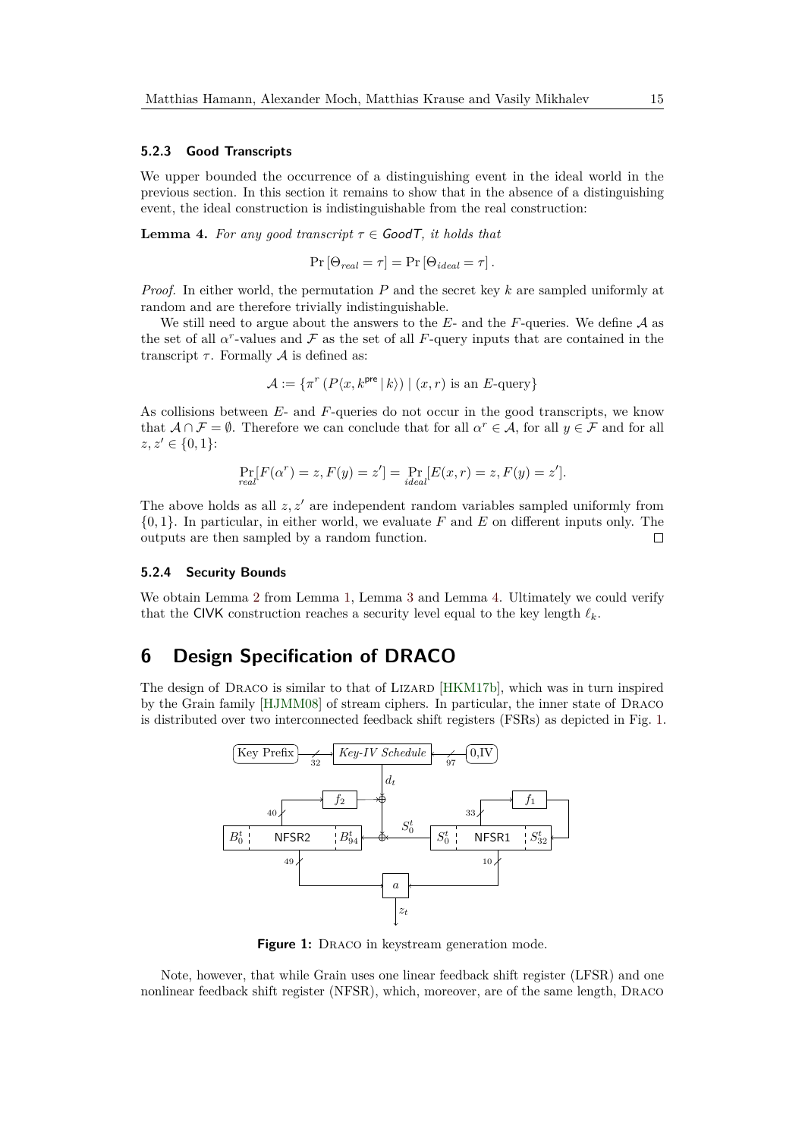### **5.2.3 Good Transcripts**

We upper bounded the occurrence of a distinguishing event in the ideal world in the previous section. In this section it remains to show that in the absence of a distinguishing event, the ideal construction is indistinguishable from the real construction:

<span id="page-14-2"></span>**Lemma 4.** *For any good transcript*  $\tau \in \mathcal{G}$  *cood T, it holds that* 

$$
Pr[\Theta_{real} = \tau] = Pr[\Theta_{ideal} = \tau].
$$

*Proof.* In either world, the permutation *P* and the secret key *k* are sampled uniformly at random and are therefore trivially indistinguishable.

We still need to argue about the answers to the  $E$ - and the  $F$ -queries. We define  $A$  as the set of all  $\alpha^r$ -values and  $\mathcal F$  as the set of all  $F$ -query inputs that are contained in the transcript  $\tau$ . Formally  $\mathcal A$  is defined as:

$$
\mathcal{A} := \{ \pi^r \left( P \langle x, k^{\text{pre}} | k \rangle \right) | (x, r) \text{ is an } E \text{-query} \}
$$

As collisions between *E*- and *F*-queries do not occur in the good transcripts, we know that  $A \cap \mathcal{F} = \emptyset$ . Therefore we can conclude that for all  $\alpha^r \in \mathcal{A}$ , for all  $y \in \mathcal{F}$  and for all  $z, z' \in \{0, 1\}$ :

$$
\Pr_{real}[F(\alpha^r) = z, F(y) = z'] = \Pr_{ideal}[E(x, r) = z, F(y) = z'].
$$

The above holds as all *z, z*′ are independent random variables sampled uniformly from {0*,* 1}. In particular, in either world, we evaluate *F* and *E* on different inputs only. The outputs are then sampled by a random function.  $\Box$ 

### <span id="page-14-1"></span>**5.2.4 Security Bounds**

We obtain Lemma [2](#page-11-1) from Lemma [1,](#page-10-1) Lemma [3](#page-12-0) and Lemma [4.](#page-14-2) Ultimately we could verify that the CIVK construction reaches a security level equal to the key length *ℓk*.

# <span id="page-14-0"></span>**6 Design Specification of DRACO**

<span id="page-14-3"></span>The design of DRACO is similar to that of LIZARD [\[HKM17b\]](#page-33-0), which was in turn inspired by the Grain family [\[HJMM08\]](#page-32-3) of stream ciphers. In particular, the inner state of Draco is distributed over two interconnected feedback shift registers (FSRs) as depicted in Fig. [1.](#page-14-3)



**Figure 1:** DRACO in keystream generation mode.

Note, however, that while Grain uses one linear feedback shift register (LFSR) and one nonlinear feedback shift register (NFSR), which, moreover, are of the same length, Draco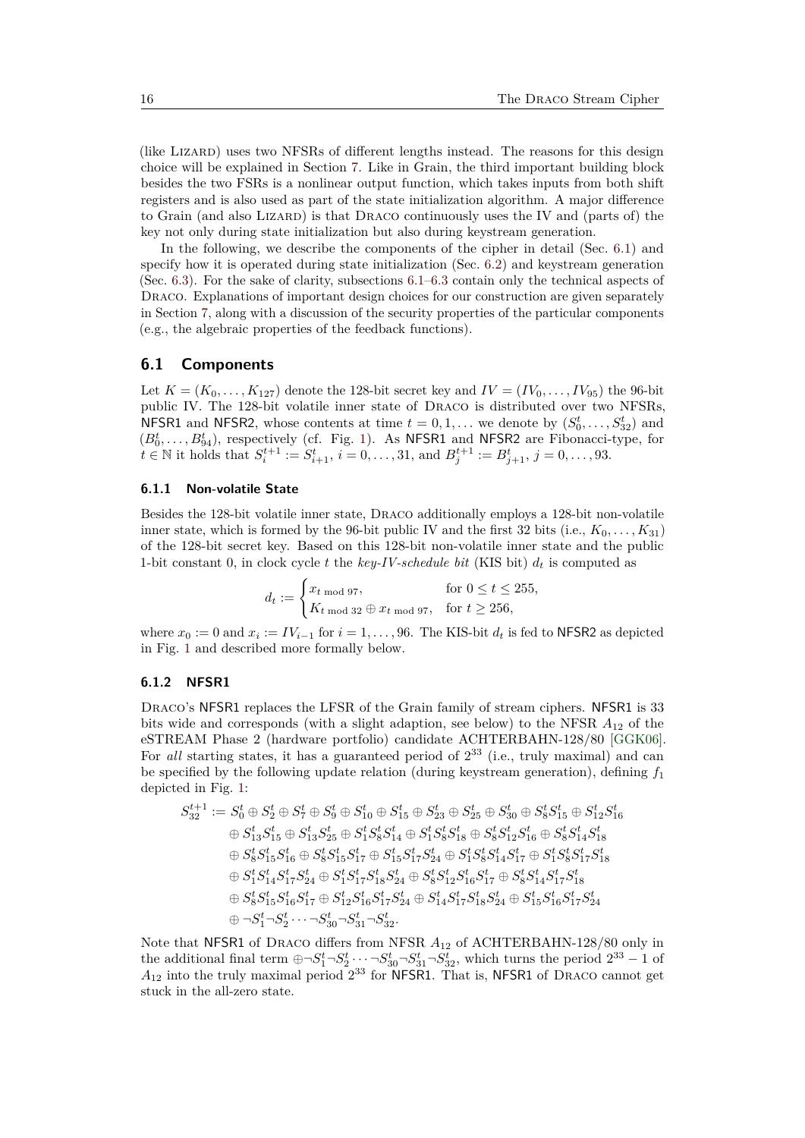(like Lizard) uses two NFSRs of different lengths instead. The reasons for this design choice will be explained in Section [7.](#page-18-0) Like in Grain, the third important building block besides the two FSRs is a nonlinear output function, which takes inputs from both shift registers and is also used as part of the state initialization algorithm. A major difference to Grain (and also Lizard) is that Draco continuously uses the IV and (parts of) the key not only during state initialization but also during keystream generation.

In the following, we describe the components of the cipher in detail (Sec. [6.1\)](#page-15-0) and specify how it is operated during state initialization (Sec. [6.2\)](#page-16-0) and keystream generation (Sec. [6.3\)](#page-17-0). For the sake of clarity, subsections [6.1–](#page-15-0)[6.3](#page-17-0) contain only the technical aspects of DRACO. Explanations of important design choices for our construction are given separately in Section [7,](#page-18-0) along with a discussion of the security properties of the particular components (e.g., the algebraic properties of the feedback functions).

## <span id="page-15-0"></span>**6.1 Components**

Let  $K = (K_0, ..., K_{127})$  denote the 128-bit secret key and  $IV = (IV_0, ..., IV_{95})$  the 96-bit public IV. The 128-bit volatile inner state of Draco is distributed over two NFSRs, NFSR1 and NFSR2, whose contents at time  $t = 0, 1, \ldots$  we denote by  $(S_0^t, \ldots, S_{32}^t)$  and  $(B_0^t, \ldots, B_{94}^t)$ , respectively (cf. Fig. [1\)](#page-14-3). As NFSR1 and NFSR2 are Fibonacci-type, for  $t \in \mathbb{N}$  it holds that  $S_i^{t+1} := S_{i+1}^t$ ,  $i = 0, \ldots, 31$ , and  $B_j^{t+1} := B_{j+1}^t$ ,  $j = 0, \ldots, 93$ .

### **6.1.1 Non-volatile State**

Besides the 128-bit volatile inner state, Draco additionally employs a 128-bit non-volatile inner state, which is formed by the 96-bit public IV and the first 32 bits (i.e.,  $K_0, \ldots, K_{31}$ ) of the 128-bit secret key. Based on this 128-bit non-volatile inner state and the public 1-bit constant 0, in clock cycle t the  $key$ -IV-schedule bit (KIS bit)  $d_t$  is computed as

$$
d_t := \begin{cases} x_{t \text{ mod } 97}, & \text{for } 0 \le t \le 255, \\ K_{t \text{ mod } 32} \oplus x_{t \text{ mod } 97}, & \text{for } t \ge 256, \end{cases}
$$

where  $x_0 := 0$  and  $x_i := IV_{i-1}$  for  $i = 1, \ldots, 96$ . The KIS-bit  $d_t$  is fed to NFSR2 as depicted in Fig. [1](#page-14-3) and described more formally below.

#### **6.1.2 NFSR1**

DRACO's NFSR1 replaces the LFSR of the Grain family of stream ciphers. NFSR1 is 33 bits wide and corresponds (with a slight adaption, see below) to the NFSR *A*<sup>12</sup> of the eSTREAM Phase 2 (hardware portfolio) candidate ACHTERBAHN-128/80 [\[GGK06\]](#page-32-4). For *all* starting states, it has a guaranteed period of  $2^{33}$  (i.e., truly maximal) and can be specified by the following update relation (during keystream generation), defining  $f_1$ depicted in Fig. [1:](#page-14-3)

$$
\begin{aligned} S_{32}^{t+1} &:= S_0^t \oplus S_2^t \oplus S_7^t \oplus S_9^t \oplus S_{10}^t \oplus S_{15}^t \oplus S_{23}^t \oplus S_{25}^t \oplus S_3^t \oplus S_5^t S_1^t \oplus S_{12}^t S_{16}^t \\ &\quad \oplus S_{13}^t S_{15}^t \oplus S_{13}^t S_{25}^t \oplus S_1^t S_8^t S_{14}^t \oplus S_1^t S_8^t S_{18}^t \oplus S_8^t S_{12}^t S_{16}^t \oplus S_8^t S_{14}^t S_{18}^t \\ &\quad \oplus S_8^t S_{15}^t S_{16}^t \oplus S_8^t S_{15}^t S_{17}^t \oplus S_{15}^t S_{17}^t S_{24}^t \oplus S_1^t S_8^t S_{14}^t S_{17}^t \oplus S_1^t S_8^t S_{17}^t S_{18}^t \\ &\quad \oplus S_1^t S_1^t S_{14}^t S_{17}^t S_{24}^t \oplus S_1^t S_{17}^t S_{18}^t S_{24}^t \oplus S_8^t S_{12}^t S_{16}^t S_{17}^t \oplus S_8^t S_{14}^t S_{17}^t S_{18}^t \\ &\quad \oplus S_8^t S_{15}^t S_{16}^t S_{17}^t \oplus S_{12}^t S_{16}^t S_{17}^t S_{24}^t \oplus S_{14}^t S_{17}^t S_{18}^t S_{24}^t \oplus S_{15}^t S_{16}^t S_{17}^t S_{24}^t \\ &\quad \oplus \neg S_1^t \neg S_2^t \cdots \neg S_{30}^t \neg S_{31}^t \neg S_{32}^t. \end{aligned}
$$

Note that NFSR1 of Draco differs from NFSR *A*<sup>12</sup> of ACHTERBAHN-128/80 only in the additional final term  $\oplus \neg S_1^t \neg S_2^t \cdots \neg S_{30}^t \neg S_{31}^t \neg S_{32}^t$ , which turns the period  $2^{33} - 1$  of  $A_{12}$  into the truly maximal period  $2^{33}$  for NFSR1. That is, NFSR1 of DRACO cannot get stuck in the all-zero state.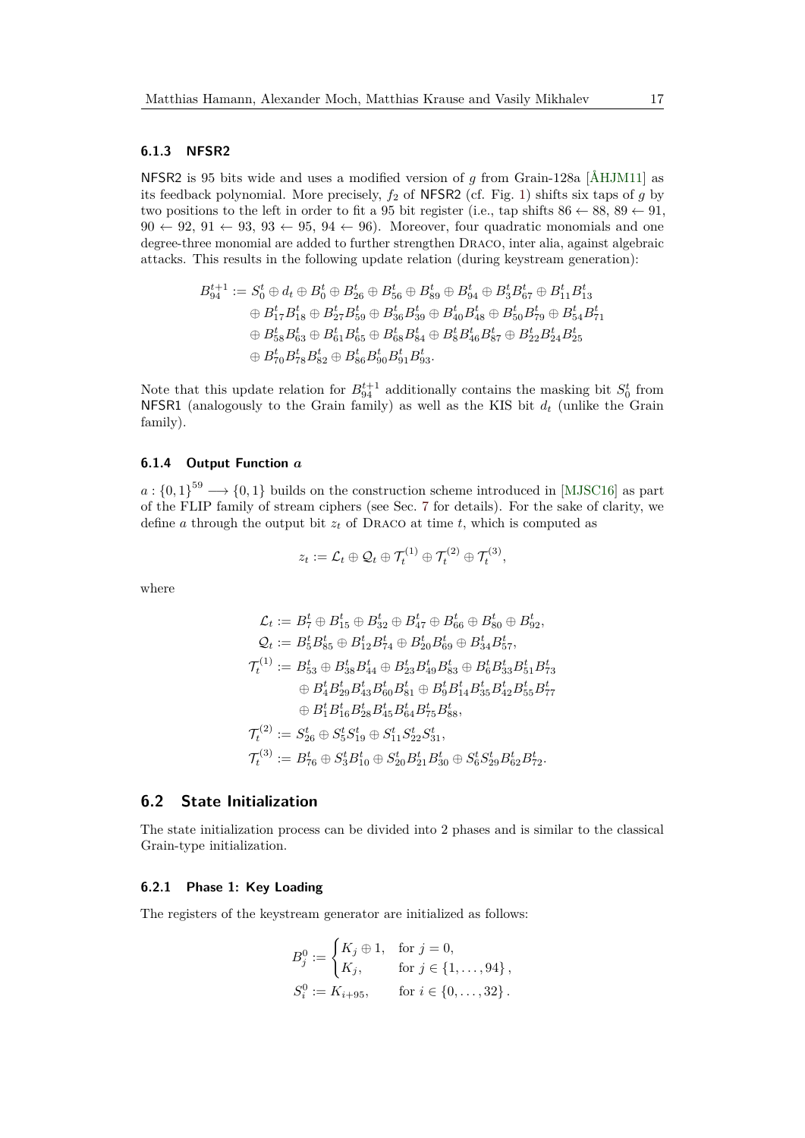### **6.1.3 NFSR2**

NFSR2 is 95 bits wide and uses a modified version of *g* from Grain-128a [\[ÅHJM11\]](#page-31-7) as its feedback polynomial. More precisely,  $f_2$  of NFSR2 (cf. Fig. [1\)](#page-14-3) shifts six taps of *g* by two positions to the left in order to fit a 95 bit register (i.e., tap shifts  $86 \leftarrow 88, 89 \leftarrow 91$ ,  $90 \leftarrow 92, 91 \leftarrow 93, 93 \leftarrow 95, 94 \leftarrow 96$ . Moreover, four quadratic monomials and one degree-three monomial are added to further strengthen Draco, inter alia, against algebraic attacks. This results in the following update relation (during keystream generation):

$$
\begin{aligned} B^{t+1}_{94} &:= S^t_0 \oplus d_t \oplus B^t_{0} \oplus B^t_{26} \oplus B^t_{56} \oplus B^t_{89} \oplus B^t_{94} \oplus B^t_3 B^t_{67} \oplus B^t_{11} B^t_{13} \\ & \quad \oplus B^t_{17} B^t_{18} \oplus B^t_{27} B^t_{59} \oplus B^t_{36} B^t_{39} \oplus B^t_{40} B^t_{48} \oplus B^t_{50} B^t_{79} \oplus B^t_{54} B^t_{71} \\ & \quad \oplus B^t_{58} B^t_{63} \oplus B^t_{61} B^t_{65} \oplus B^t_{68} B^t_{84} \oplus B^t_8 B^t_{46} B^t_{87} \oplus B^t_{22} B^t_{24} B^t_{25} \\ & \quad \oplus B^t_{70} B^t_{78} B^t_{82} \oplus B^t_{86} B^t_{90} B^t_{91} B^t_{93} .\end{aligned}
$$

Note that this update relation for  $B_{94}^{t+1}$  additionally contains the masking bit  $S_0^t$  from NFSR1 (analogously to the Grain family) as well as the KIS bit *d<sup>t</sup>* (unlike the Grain family).

### <span id="page-16-1"></span>**6.1.4 Output Function** *a*

 $a: \{0,1\}$ <sup>59</sup>  $\longrightarrow$   $\{0,1\}$  builds on the construction scheme introduced in [\[MJSC16\]](#page-34-2) as part of the FLIP family of stream ciphers (see Sec. [7](#page-18-0) for details). For the sake of clarity, we define *a* through the output bit  $z_t$  of DRACO at time *t*, which is computed as

$$
z_t := \mathcal{L}_t \oplus \mathcal{Q}_t \oplus \mathcal{T}_t^{(1)} \oplus \mathcal{T}_t^{(2)} \oplus \mathcal{T}_t^{(3)},
$$

where

$$
\begin{aligned} \mathcal{L}_t&:=B_7^t\oplus B_{15}^t\oplus B_{32}^t\oplus B_{47}^t\oplus B_{66}^t\oplus B_{80}^t\oplus B_{92}^t,\\ \mathcal{Q}_t&:=B_5^tB_{85}^t\oplus B_{12}^tB_{74}^t\oplus B_{20}^tB_{69}^t\oplus B_{34}^tB_{57}^t,\\ \mathcal{T}_t^{(1)}&:=B_{53}^t\oplus B_{38}^tB_{44}^t\oplus B_{23}^tB_{49}^tB_{83}^t\oplus B_6^tB_{33}^tB_{51}^tB_{73}^t\\ &\quad\oplus B_4^tB_{29}^tB_{43}^tB_{60}^tB_{81}^t\oplus B_9^tB_{14}^tB_{35}^tB_{42}^tB_{55}^tB_{77}^t\\ &\quad\oplus B_1^tB_{16}^tB_{28}^tB_{45}^tB_{64}^tB_{75}^tB_{88}^t,\\ \mathcal{T}_t^{(2)}&:=S_{26}^t\oplus S_5^tS_{19}^t\oplus S_{11}^tS_{22}^tS_{31}^t,\\ \mathcal{T}_t^{(3)}&:=B_{76}^t\oplus S_3^tB_{10}^t\oplus S_{20}^tB_{21}^tB_{30}^t\oplus S_6^tS_{29}^tB_{62}^tB_{72}^t.\end{aligned}
$$

### <span id="page-16-0"></span>**6.2 State Initialization**

The state initialization process can be divided into 2 phases and is similar to the classical Grain-type initialization.

### **6.2.1 Phase 1: Key Loading**

The registers of the keystream generator are initialized as follows:

$$
B_j^0 := \begin{cases} K_j \oplus 1, & \text{for } j = 0, \\ K_j, & \text{for } j \in \{1, \dots, 94\}, \\ S_i^0 := K_{i+95}, & \text{for } i \in \{0, \dots, 32\}. \end{cases}
$$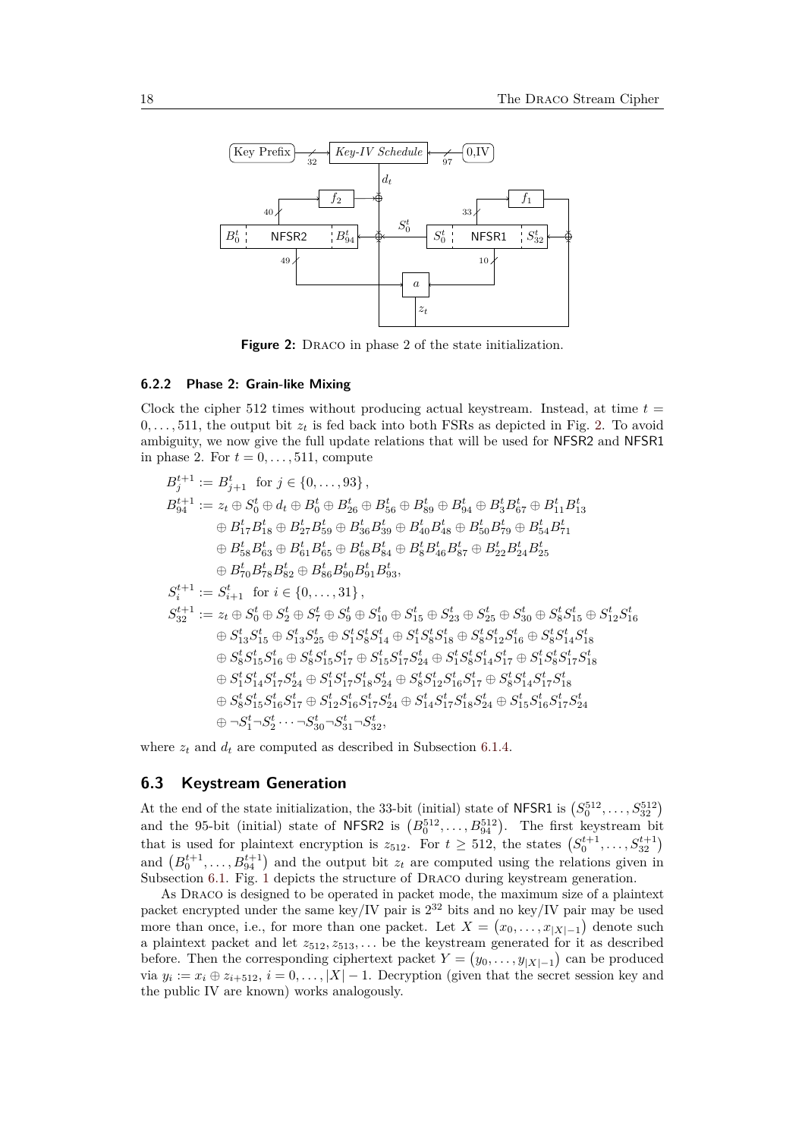<span id="page-17-1"></span>

**Figure 2:** DRACO in phase 2 of the state initialization.

### **6.2.2 Phase 2: Grain-like Mixing**

Clock the cipher 512 times without producing actual keystream. Instead, at time  $t =$  $0, \ldots, 511$ , the output bit  $z_t$  is fed back into both FSRs as depicted in Fig. [2.](#page-17-1) To avoid ambiguity, we now give the full update relations that will be used for NFSR2 and NFSR1 in phase 2. For  $t = 0, \ldots, 511$ , compute

$$
B_{j}^{t+1} := B_{j+1}^{t} \text{ for } j \in \{0, \ldots, 93\},
$$
  
\n
$$
B_{94}^{t+1} := z_{t} \oplus S_{0}^{t} \oplus d_{t} \oplus B_{0}^{t} \oplus B_{26}^{t} \oplus B_{56}^{t} \oplus B_{89}^{t} \oplus B_{94}^{t} \oplus B_{5}^{t} \oplus B_{11}^{t} B_{13}^{t}
$$
  
\n
$$
\oplus B_{17}^{t} B_{18}^{t} \oplus B_{27}^{t} B_{59}^{t} \oplus B_{36}^{t} B_{39}^{t} \oplus B_{40}^{t} B_{48}^{t} \oplus B_{50}^{t} B_{79}^{t} \oplus B_{54}^{t} B_{71}^{t}
$$
  
\n
$$
\oplus B_{58}^{t} B_{63}^{t} \oplus B_{61}^{t} B_{65}^{t} \oplus B_{68}^{t} B_{84}^{t} \oplus B_{8}^{t} B_{46}^{t} B_{87}^{t} \oplus B_{22}^{t} B_{24}^{t} B_{25}^{t}
$$
  
\n
$$
\oplus B_{70}^{t} B_{78}^{t} B_{82}^{t} \oplus B_{86}^{t} B_{90}^{t} B_{93}^{t},
$$
  
\n
$$
S_{i}^{t+1} := S_{i+1}^{t} \text{ for } i \in \{0, \ldots, 31\},
$$
  
\n
$$
S_{32}^{t+1} := z_{t} \oplus S_{0}^{t} \oplus S_{2}^{t} \oplus S_{7}^{t} \oplus S_{9}^{t} \oplus S_{10}^{t} \oplus S_{15}^{t} \oplus S_{23}^{t} \oplus S_{25}^{t} \oplus S_{30}^{t} \oplus S_{8}^{t} S_{15}^{t} \oplus S_{12}^{t} S_{16}^{t}
$$
  
\n
$$
\oplus S_{13}^{t} S_{15}^{t} \oplus S_{13}^{t} S_{25}^{t} \oplus S_{1}^{t} S_{8}^{t} S_{14}^{t}
$$

where  $z_t$  and  $d_t$  are computed as described in Subsection [6.1.4.](#page-16-1)

### <span id="page-17-0"></span>**6.3 Keystream Generation**

At the end of the state initialization, the 33-bit (initial) state of NFSR1 is  $(S_0^{512}, \ldots, S_{32}^{512})$ at the end of the state initialization, the 33-bit (initial) state of NUSN1 is  $(0, 0, ..., 0, 32)$ <br>and the 95-bit (initial) state of NFSR2 is  $(B_0^{512}, ..., B_{94}^{512})$ . The first keystream bit that is used for plaintext encryption is  $z_{512}$ . For  $t \geq 512$ , the states  $(S_0^{t+1}, \ldots, S_{32}^{t+1})$ and  $(B_0^{t+1},...,B_{94}^{t+1})$  and the output bit  $z_t$  are computed using the relations given in Subsection [6.1.](#page-15-0) Fig. [1](#page-14-3) depicts the structure of DRACO during keystream generation.

As Draco is designed to be operated in packet mode, the maximum size of a plaintext packet encrypted under the same key/IV pair is  $2^{32}$  bits and no key/IV pair may be used more than once, i.e., for more than one packet. Let  $X = (x_0, \ldots, x_{|X|-1})$  denote such a plaintext packet and let  $z_{512}, z_{513}, \ldots$  be the keystream generated for it as described before. Then the corresponding ciphertext packet  $Y = (y_0, \ldots, y_{|X|-1})$  can be produced via  $y_i := x_i \oplus z_{i+512}, i = 0, \ldots, |X| - 1$ . Decryption (given that the secret session key and the public IV are known) works analogously.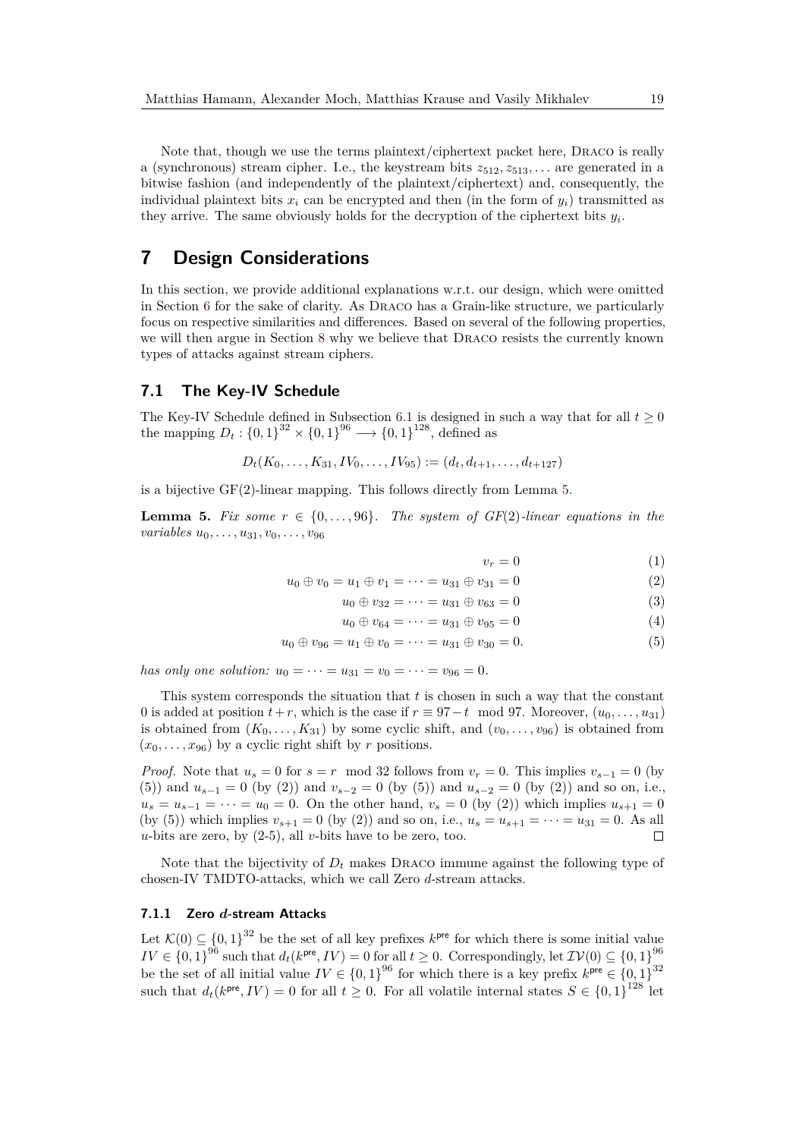Note that, though we use the terms plaintext/ciphertext packet here, Draco is really a (synchronous) stream cipher. I.e., the keystream bits  $z_{512}, z_{513}, \ldots$  are generated in a bitwise fashion (and independently of the plaintext/ciphertext) and, consequently, the individual plaintext bits  $x_i$  can be encrypted and then (in the form of  $y_i$ ) transmitted as they arrive. The same obviously holds for the decryption of the ciphertext bits  $y_i$ .

# <span id="page-18-0"></span>**7 Design Considerations**

In this section, we provide additional explanations w.r.t. our design, which were omitted in Section [6](#page-14-0) for the sake of clarity. As Draco has a Grain-like structure, we particularly focus on respective similarities and differences. Based on several of the following properties, we will then argue in Section [8](#page-22-1) why we believe that Draco resists the currently known types of attacks against stream ciphers.

## <span id="page-18-2"></span>**7.1 The Key-IV Schedule**

The Key-IV Schedule defined in Subsection [6.1](#page-15-0) is designed in such a way that for all  $t \geq 0$ the mapping  $D_t: \{0,1\}^{32} \times \{0,1\}^{96} \longrightarrow \{0,1\}^{128}$ , defined as

$$
D_t(K_0,\ldots,K_{31},IV_0,\ldots,IV_{95}) := (d_t,d_{t+1},\ldots,d_{t+127})
$$

is a bijective GF(2)-linear mapping. This follows directly from Lemma [5.](#page-18-1)

<span id="page-18-1"></span>**Lemma 5.** Fix some  $r \in \{0, \ldots, 96\}$ . The system of GF(2)-linear equations in the *variables u*0*, . . . , u*31*, v*0*, . . . , v*<sup>96</sup>

 $v_r = 0$  (1)

$$
u_0 \oplus v_0 = u_1 \oplus v_1 = \dots = u_{31} \oplus v_{31} = 0 \tag{2}
$$

$$
u_0 \oplus v_{32} = \dots = u_{31} \oplus v_{63} = 0 \tag{3}
$$

$$
u_0 \oplus v_{64} = \dots = u_{31} \oplus v_{95} = 0 \tag{4}
$$

$$
u_0 \oplus v_{96} = u_1 \oplus v_0 = \dots = u_{31} \oplus v_{30} = 0. \tag{5}
$$

*has only one solution:*  $u_0 = \cdots = u_{31} = v_0 = \cdots = v_{96} = 0.$ 

This system corresponds the situation that *t* is chosen in such a way that the constant 0 is added at position  $t+r$ , which is the case if  $r \equiv 97-t \mod 97$ . Moreover,  $(u_0, \ldots, u_{31})$ is obtained from  $(K_0, \ldots, K_{31})$  by some cyclic shift, and  $(v_0, \ldots, v_{96})$  is obtained from  $(x_0, \ldots, x_{96})$  by a cyclic right shift by *r* positions.

*Proof.* Note that  $u_s = 0$  for  $s = r \mod 32$  follows from  $v_r = 0$ . This implies  $v_{s-1} = 0$  (by (5)) and  $u_{s-1} = 0$  (by (2)) and  $v_{s-2} = 0$  (by (5)) and  $u_{s-2} = 0$  (by (2)) and so on, i.e.,  $u_s = u_{s-1} = \cdots = u_0 = 0$ . On the other hand,  $v_s = 0$  (by (2)) which implies  $u_{s+1} = 0$ (by (5)) which implies  $v_{s+1} = 0$  (by (2)) and so on, i.e.,  $u_s = u_{s+1} = \cdots = u_{31} = 0$ . As all *u*-bits are zero, by (2-5), all *v*-bits have to be zero, too.  $\Box$ 

Note that the bijectivity of  $D_t$  makes DRACO immune against the following type of chosen-IV TMDTO-attacks, which we call Zero *d*-stream attacks.

### <span id="page-18-3"></span>**7.1.1 Zero** *d***-stream Attacks**

Let  $\mathcal{K}(0) \subseteq \{0,1\}^{32}$  be the set of all key prefixes  $k^{\text{pre}}$  for which there is some initial value  $IV \in \{0,1\}^{96}$  such that  $d_t(k^{\text{pre}}, IV) = 0$  for all  $t \geq 0$ . Correspondingly, let  $\mathcal{IV}(0) \subseteq \{0,1\}^{96}$ be the set of all initial value  $IV \in \{0,1\}^{96}$  for which there is a key prefix  $k^{\text{pre}} \in \{0,1\}^{32}$ such that  $d_t(k^{\text{pre}}, IV) = 0$  for all  $t \geq 0$ . For all volatile internal states  $S \in \{0,1\}^{128}$  let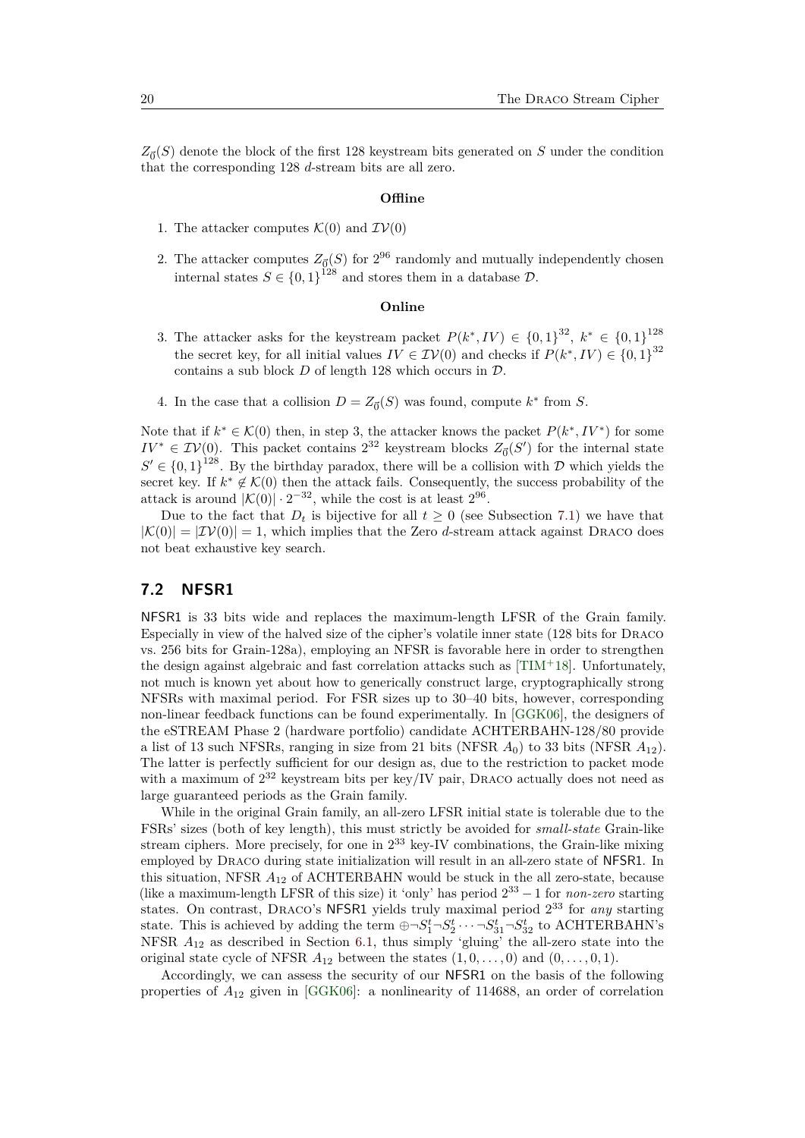$Z_{\vec{0}}(S)$  denote the block of the first 128 keystream bits generated on *S* under the condition that the corresponding 128 *d*-stream bits are all zero.

### **Offline**

- 1. The attacker computes  $\mathcal{K}(0)$  and  $\mathcal{IV}(0)$
- 2. The attacker computes  $Z_{\overline{0}}(S)$  for  $2^{96}$  randomly and mutually independently chosen internal states  $S \in \{0,1\}^{128}$  and stores them in a database  $\mathcal{D}$ .

### **Online**

- 3. The attacker asks for the keystream packet  $P(k^*, IV) \in \{0, 1\}^{32}, k^* \in \{0, 1\}^{128}$ the secret key, for all initial values  $IV \in \mathcal{IV}(0)$  and checks if  $P(k^*, IV) \in \{0,1\}^{32}$ contains a sub block  $D$  of length 128 which occurs in  $D$ .
- 4. In the case that a collision  $D = Z_{\vec{0}}(S)$  was found, compute  $k^*$  from *S*.

Note that if  $k^* \in \mathcal{K}(0)$  then, in step 3, the attacker knows the packet  $P(k^*, IV^*)$  for some  $IV^* \in \mathcal{IV}(0)$ . This packet contains  $2^{32}$  keystream blocks  $Z_{\vec{0}}(S')$  for the internal state  $S' \in \{0,1\}^{128}$ . By the birthday paradox, there will be a collision with D which yields the secret key. If  $k^* \notin \mathcal{K}(0)$  then the attack fails. Consequently, the success probability of the attack is around  $|\mathcal{K}(0)| \cdot 2^{-32}$ , while the cost is at least  $2^{96}$ .

Due to the fact that  $D_t$  is bijective for all  $t \geq 0$  (see Subsection [7.1\)](#page-18-2) we have that  $|\mathcal{K}(0)| = |\mathcal{IV}(0)| = 1$ , which implies that the Zero *d*-stream attack against DRACO does not beat exhaustive key search.

## <span id="page-19-0"></span>**7.2 NFSR1**

NFSR1 is 33 bits wide and replaces the maximum-length LFSR of the Grain family. Especially in view of the halved size of the cipher's volatile inner state (128 bits for Draco vs. 256 bits for Grain-128a), employing an NFSR is favorable here in order to strengthen the design against algebraic and fast correlation attacks such as [\[TIM](#page-34-3)<sup>+</sup>18]. Unfortunately, not much is known yet about how to generically construct large, cryptographically strong NFSRs with maximal period. For FSR sizes up to 30–40 bits, however, corresponding non-linear feedback functions can be found experimentally. In [\[GGK06\]](#page-32-4), the designers of the eSTREAM Phase 2 (hardware portfolio) candidate ACHTERBAHN-128/80 provide a list of 13 such NFSRs, ranging in size from 21 bits (NFSR  $A_0$ ) to 33 bits (NFSR  $A_{12}$ ). The latter is perfectly sufficient for our design as, due to the restriction to packet mode with a maximum of  $2^{32}$  keystream bits per key/IV pair, DRACO actually does not need as large guaranteed periods as the Grain family.

While in the original Grain family, an all-zero LFSR initial state is tolerable due to the FSRs' sizes (both of key length), this must strictly be avoided for *small-state* Grain-like stream ciphers. More precisely, for one in  $2^{33}$  key-IV combinations, the Grain-like mixing employed by Draco during state initialization will result in an all-zero state of NFSR1. In this situation, NFSR *A*<sup>12</sup> of ACHTERBAHN would be stuck in the all zero-state, because (like a maximum-length LFSR of this size) it 'only' has period 2 <sup>33</sup> − 1 for *non-zero* starting states. On contrast, Draco's NFSR1 yields truly maximal period 2 <sup>33</sup> for *any* starting state. This is achieved by adding the term  $\bigoplus \neg S_1^t \neg S_2^t \cdots \neg S_{31}^t \neg S_{32}^t$  to ACHTERBAHN's NFSR *A*<sup>12</sup> as described in Section [6.1,](#page-15-0) thus simply 'gluing' the all-zero state into the original state cycle of NFSR  $A_{12}$  between the states  $(1,0,\ldots,0)$  and  $(0,\ldots,0,1)$ .

Accordingly, we can assess the security of our NFSR1 on the basis of the following properties of *A*<sup>12</sup> given in [\[GGK06\]](#page-32-4): a nonlinearity of 114688, an order of correlation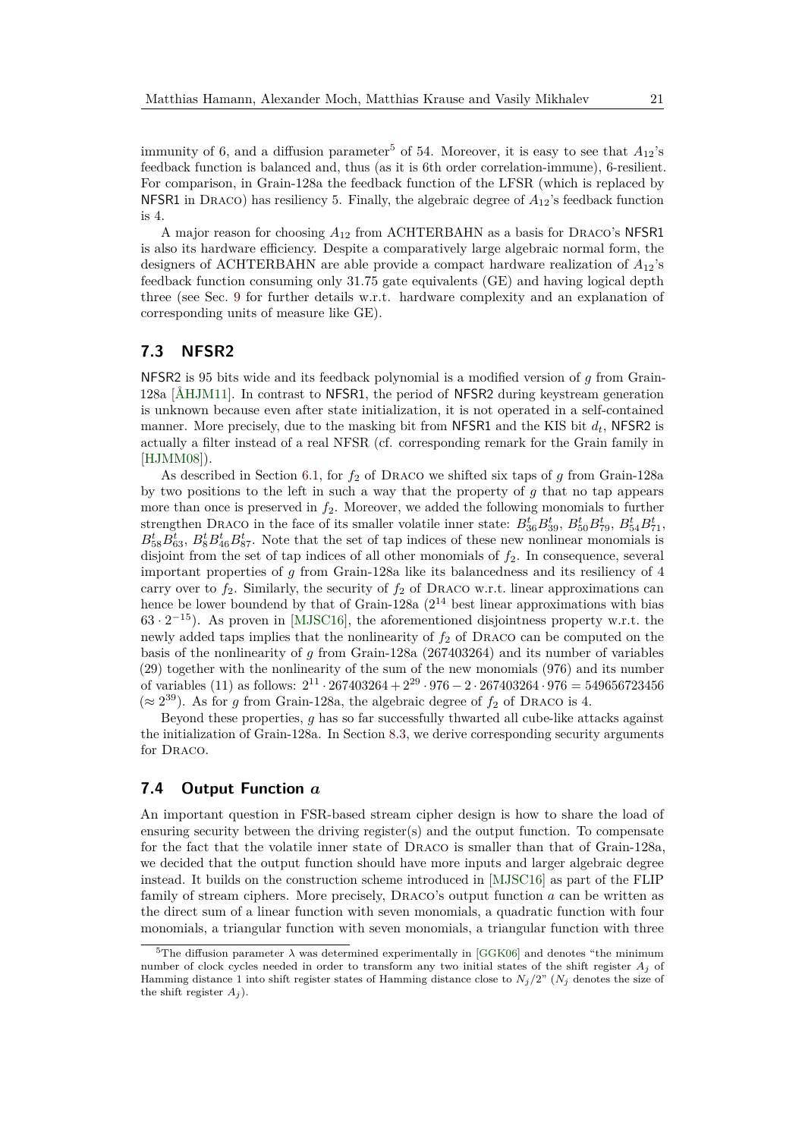immunity of 6, and a diffusion parameter<sup>[5](#page-20-0)</sup> of 54. Moreover, it is easy to see that  $A_{12}$ 's feedback function is balanced and, thus (as it is 6th order correlation-immune), 6-resilient. For comparison, in Grain-128a the feedback function of the LFSR (which is replaced by NFSR1 in Draco) has resiliency 5. Finally, the algebraic degree of *A*12's feedback function is 4.

A major reason for choosing *A*<sup>12</sup> from ACHTERBAHN as a basis for Draco's NFSR1 is also its hardware efficiency. Despite a comparatively large algebraic normal form, the designers of ACHTERBAHN are able provide a compact hardware realization of *A*12's feedback function consuming only 31.75 gate equivalents (GE) and having logical depth three (see Sec. [9](#page-28-0) for further details w.r.t. hardware complexity and an explanation of corresponding units of measure like GE).

## <span id="page-20-1"></span>**7.3 NFSR2**

NFSR2 is 95 bits wide and its feedback polynomial is a modified version of *g* from Grain-128a [\[ÅHJM11\]](#page-31-7). In contrast to NFSR1, the period of NFSR2 during keystream generation is unknown because even after state initialization, it is not operated in a self-contained manner. More precisely, due to the masking bit from  $NFSR1$  and the KIS bit  $d_t$ , NFSR2 is actually a filter instead of a real NFSR (cf. corresponding remark for the Grain family in [\[HJMM08\]](#page-32-3)).

As described in Section [6.1,](#page-15-0) for  $f_2$  of DRACO we shifted six taps of  $g$  from Grain-128a by two positions to the left in such a way that the property of *g* that no tap appears more than once is preserved in *f*2. Moreover, we added the following monomials to further strengthen DRACO in the face of its smaller volatile inner state:  $B_{36}^t B_{39}^t$ ,  $B_{50}^t B_{79}^t$ ,  $B_{54}^t B_{71}^t$ ,  $B_{58}^t B_{63}^t$ ,  $B_8^t B_{46}^t B_{87}^t$ . Note that the set of tap indices of these new nonlinear monomials is disjoint from the set of tap indices of all other monomials of  $f_2$ . In consequence, several important properties of *g* from Grain-128a like its balancedness and its resiliency of 4 carry over to  $f_2$ . Similarly, the security of  $f_2$  of DRACO w.r.t. linear approximations can hence be lower boundend by that of Grain-128a  $(2^{14}$  best linear approximations with bias  $63 \cdot 2^{-15}$ ). As proven in [\[MJSC16\]](#page-34-2), the aforementioned disjointness property w.r.t. the newly added taps implies that the nonlinearity of *f*<sup>2</sup> of Draco can be computed on the basis of the nonlinearity of *g* from Grain-128a (267403264) and its number of variables (29) together with the nonlinearity of the sum of the new monomials (976) and its number of variables (11) as follows:  $2^{11} \cdot 267403264 + 2^{29} \cdot 976 - 2 \cdot 267403264 \cdot 976 = 549656723456$ ( $\approx$  2<sup>39</sup>). As for *g* from Grain-128a, the algebraic degree of  $f_2$  of DRACO is 4.

Beyond these properties, *g* has so far successfully thwarted all cube-like attacks against the initialization of Grain-128a. In Section [8.3,](#page-25-0) we derive corresponding security arguments for DRACO.

## <span id="page-20-2"></span>**7.4 Output Function** *a*

An important question in FSR-based stream cipher design is how to share the load of ensuring security between the driving register(s) and the output function. To compensate for the fact that the volatile inner state of Draco is smaller than that of Grain-128a, we decided that the output function should have more inputs and larger algebraic degree instead. It builds on the construction scheme introduced in [\[MJSC16\]](#page-34-2) as part of the FLIP family of stream ciphers. More precisely, Draco's output function *a* can be written as the direct sum of a linear function with seven monomials, a quadratic function with four monomials, a triangular function with seven monomials, a triangular function with three

<span id="page-20-0"></span><sup>&</sup>lt;sup>5</sup>The diffusion parameter  $\lambda$  was determined experimentally in [\[GGK06\]](#page-32-4) and denotes "the minimum number of clock cycles needed in order to transform any two initial states of the shift register *A<sup>j</sup>* of Hamming distance 1 into shift register states of Hamming distance close to  $N_j/2$ " ( $N_j$  denotes the size of the shift register  $A_i$ ).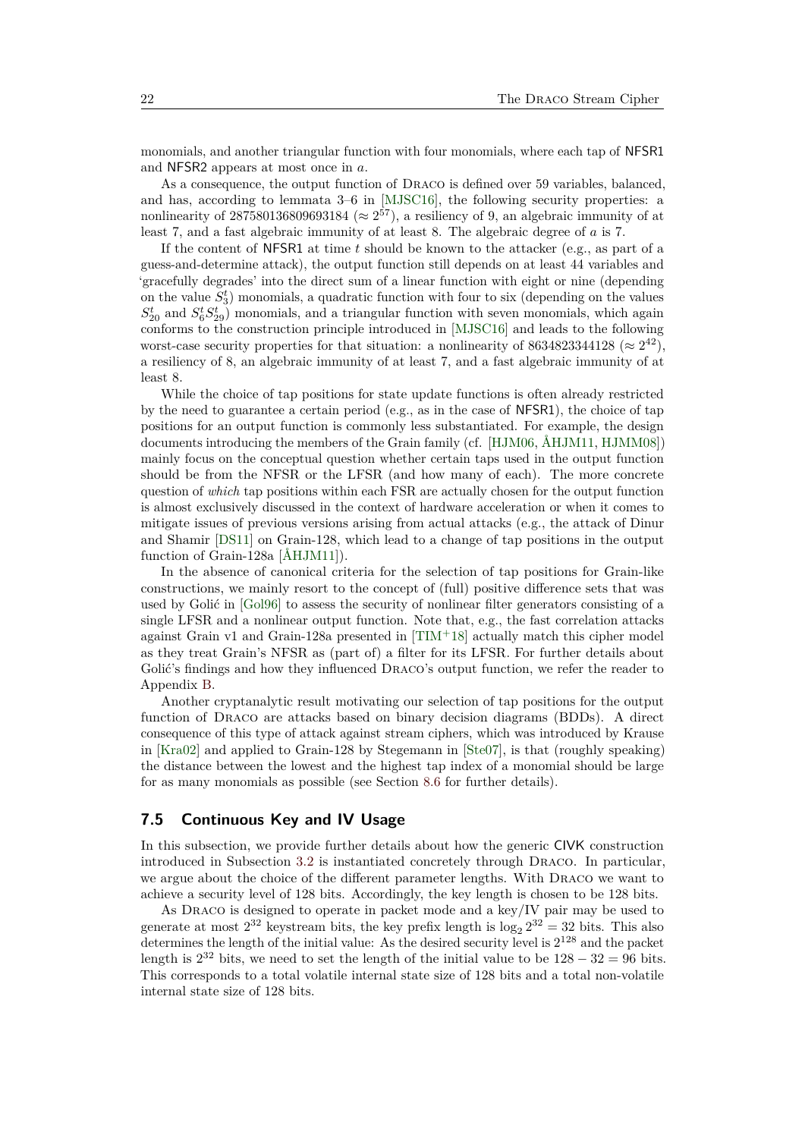monomials, and another triangular function with four monomials, where each tap of NFSR1 and NFSR2 appears at most once in *a*.

As a consequence, the output function of Draco is defined over 59 variables, balanced, and has, according to lemmata 3–6 in [\[MJSC16\]](#page-34-2), the following security properties: a nonlinearity of 287580136809693184 ( $\approx$  2<sup>57</sup>), a resiliency of 9, an algebraic immunity of at least 7, and a fast algebraic immunity of at least 8. The algebraic degree of *a* is 7.

If the content of NFSR1 at time *t* should be known to the attacker (e.g., as part of a guess-and-determine attack), the output function still depends on at least 44 variables and 'gracefully degrades' into the direct sum of a linear function with eight or nine (depending on the value  $S_3^t$ ) monomials, a quadratic function with four to six (depending on the values  $S_{20}^{t}$  and  $S_{6}^{t}S_{29}^{t}$  monomials, and a triangular function with seven monomials, which again conforms to the construction principle introduced in [\[MJSC16\]](#page-34-2) and leads to the following worst-case security properties for that situation: a nonlinearity of 8634823344128 ( $\approx 2^{42}$ ), a resiliency of 8, an algebraic immunity of at least 7, and a fast algebraic immunity of at least 8.

While the choice of tap positions for state update functions is often already restricted by the need to guarantee a certain period (e.g., as in the case of NFSR1), the choice of tap positions for an output function is commonly less substantiated. For example, the design documents introducing the members of the Grain family (cf. [\[HJM06,](#page-32-1) [ÅHJM11,](#page-31-7) [HJMM08\]](#page-32-3)) mainly focus on the conceptual question whether certain taps used in the output function should be from the NFSR or the LFSR (and how many of each). The more concrete question of *which* tap positions within each FSR are actually chosen for the output function is almost exclusively discussed in the context of hardware acceleration or when it comes to mitigate issues of previous versions arising from actual attacks (e.g., the attack of Dinur and Shamir [\[DS11\]](#page-32-5) on Grain-128, which lead to a change of tap positions in the output function of Grain-128a [\[ÅHJM11\]](#page-31-7)).

In the absence of canonical criteria for the selection of tap positions for Grain-like constructions, we mainly resort to the concept of (full) positive difference sets that was used by Golić in [\[Gol96\]](#page-32-0) to assess the security of nonlinear filter generators consisting of a single LFSR and a nonlinear output function. Note that, e.g., the fast correlation attacks against Grain v1 and Grain-128a presented in  $[TIM^{+18}]$  $[TIM^{+18}]$  actually match this cipher model as they treat Grain's NFSR as (part of) a filter for its LFSR. For further details about Golić's findings and how they influenced DRACO's output function, we refer the reader to Appendix [B.](#page-35-0)

Another cryptanalytic result motivating our selection of tap positions for the output function of Draco are attacks based on binary decision diagrams (BDDs). A direct consequence of this type of attack against stream ciphers, which was introduced by Krause in [\[Kra02\]](#page-33-6) and applied to Grain-128 by Stegemann in [\[Ste07\]](#page-34-4), is that (roughly speaking) the distance between the lowest and the highest tap index of a monomial should be large for as many monomials as possible (see Section [8.6](#page-27-0) for further details).

## **7.5 Continuous Key and IV Usage**

In this subsection, we provide further details about how the generic CIVK construction introduced in Subsection [3.2](#page-4-0) is instantiated concretely through Draco. In particular, we argue about the choice of the different parameter lengths. With Draco we want to achieve a security level of 128 bits. Accordingly, the key length is chosen to be 128 bits.

As Draco is designed to operate in packet mode and a key/IV pair may be used to generate at most  $2^{32}$  keystream bits, the key prefix length is  $\log_2 2^{32} = 32$  bits. This also determines the length of the initial value: As the desired security level is  $2^{128}$  and the packet length is  $2^{32}$  bits, we need to set the length of the initial value to be  $128 - 32 = 96$  bits. This corresponds to a total volatile internal state size of 128 bits and a total non-volatile internal state size of 128 bits.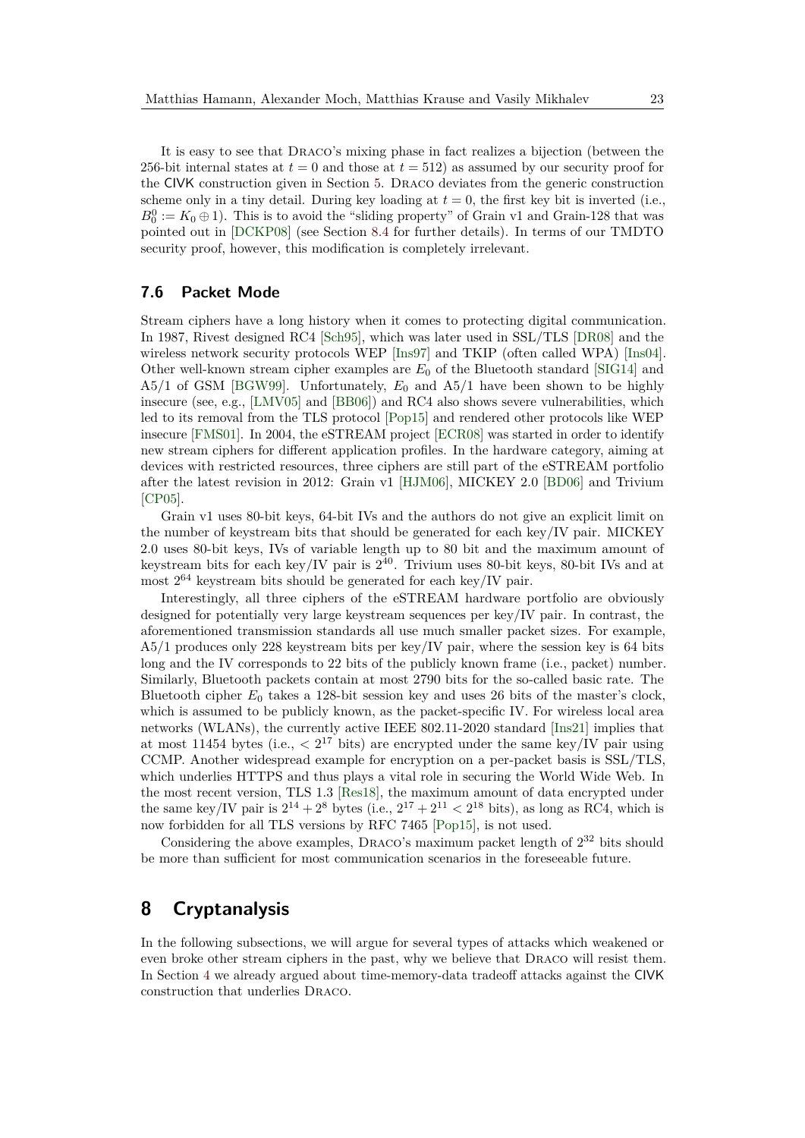It is easy to see that Draco's mixing phase in fact realizes a bijection (between the 256-bit internal states at  $t = 0$  and those at  $t = 512$ ) as assumed by our security proof for the CIVK construction given in Section [5.](#page-9-0) Draco deviates from the generic construction scheme only in a tiny detail. During key loading at  $t = 0$ , the first key bit is inverted (i.e.,  $B_0^0 := K_0 \oplus 1$ ). This is to avoid the "sliding property" of Grain v1 and Grain-128 that was pointed out in [\[DCKP08\]](#page-31-8) (see Section [8.4](#page-26-0) for further details). In terms of our TMDTO security proof, however, this modification is completely irrelevant.

## <span id="page-22-0"></span>**7.6 Packet Mode**

Stream ciphers have a long history when it comes to protecting digital communication. In 1987, Rivest designed RC4 [\[Sch95\]](#page-34-5), which was later used in SSL/TLS [\[DR08\]](#page-32-6) and the wireless network security protocols WEP [\[Ins97\]](#page-33-7) and TKIP (often called WPA) [\[Ins04\]](#page-33-8). Other well-known stream cipher examples are *E*<sup>0</sup> of the Bluetooth standard [\[SIG14\]](#page-34-6) and A5/1 of GSM [\[BGW99\]](#page-31-9). Unfortunately, *E*<sup>0</sup> and A5/1 have been shown to be highly insecure (see, e.g., [\[LMV05\]](#page-34-7) and [\[BB06\]](#page-31-10)) and RC4 also shows severe vulnerabilities, which led to its removal from the TLS protocol [\[Pop15\]](#page-34-8) and rendered other protocols like WEP insecure [\[FMS01\]](#page-32-7). In 2004, the eSTREAM project [\[ECR08\]](#page-32-8) was started in order to identify new stream ciphers for different application profiles. In the hardware category, aiming at devices with restricted resources, three ciphers are still part of the eSTREAM portfolio after the latest revision in 2012: Grain v1 [\[HJM06\]](#page-32-1), MICKEY 2.0 [\[BD06\]](#page-31-11) and Trivium [\[CP05\]](#page-31-2).

Grain v1 uses 80-bit keys, 64-bit IVs and the authors do not give an explicit limit on the number of keystream bits that should be generated for each key/IV pair. MICKEY 2.0 uses 80-bit keys, IVs of variable length up to 80 bit and the maximum amount of keystream bits for each key/IV pair is  $2^{40}$ . Trivium uses 80-bit keys, 80-bit IVs and at most  $2^{64}$  keystream bits should be generated for each key/IV pair.

Interestingly, all three ciphers of the eSTREAM hardware portfolio are obviously designed for potentially very large keystream sequences per key/IV pair. In contrast, the aforementioned transmission standards all use much smaller packet sizes. For example, A5/1 produces only 228 keystream bits per key/IV pair, where the session key is 64 bits long and the IV corresponds to 22 bits of the publicly known frame (i.e., packet) number. Similarly, Bluetooth packets contain at most 2790 bits for the so-called basic rate. The Bluetooth cipher *E*<sup>0</sup> takes a 128-bit session key and uses 26 bits of the master's clock, which is assumed to be publicly known, as the packet-specific IV. For wireless local area networks (WLANs), the currently active IEEE 802.11-2020 standard [\[Ins21\]](#page-33-9) implies that at most 11454 bytes (i.e., *<* 2 <sup>17</sup> bits) are encrypted under the same key/IV pair using CCMP. Another widespread example for encryption on a per-packet basis is SSL/TLS, which underlies HTTPS and thus plays a vital role in securing the World Wide Web. In the most recent version, TLS 1.3 [\[Res18\]](#page-34-9), the maximum amount of data encrypted under the same key/IV pair is  $2^{14} + 2^8$  bytes (i.e.,  $2^{17} + 2^{11} < 2^{18}$  bits), as long as RC4, which is now forbidden for all TLS versions by RFC 7465 [\[Pop15\]](#page-34-8), is not used.

Considering the above examples, DRACO's maximum packet length of  $2^{32}$  bits should be more than sufficient for most communication scenarios in the foreseeable future.

# <span id="page-22-1"></span>**8 Cryptanalysis**

In the following subsections, we will argue for several types of attacks which weakened or even broke other stream ciphers in the past, why we believe that Draco will resist them. In Section [4](#page-7-0) we already argued about time-memory-data tradeoff attacks against the CIVK construction that underlies Draco.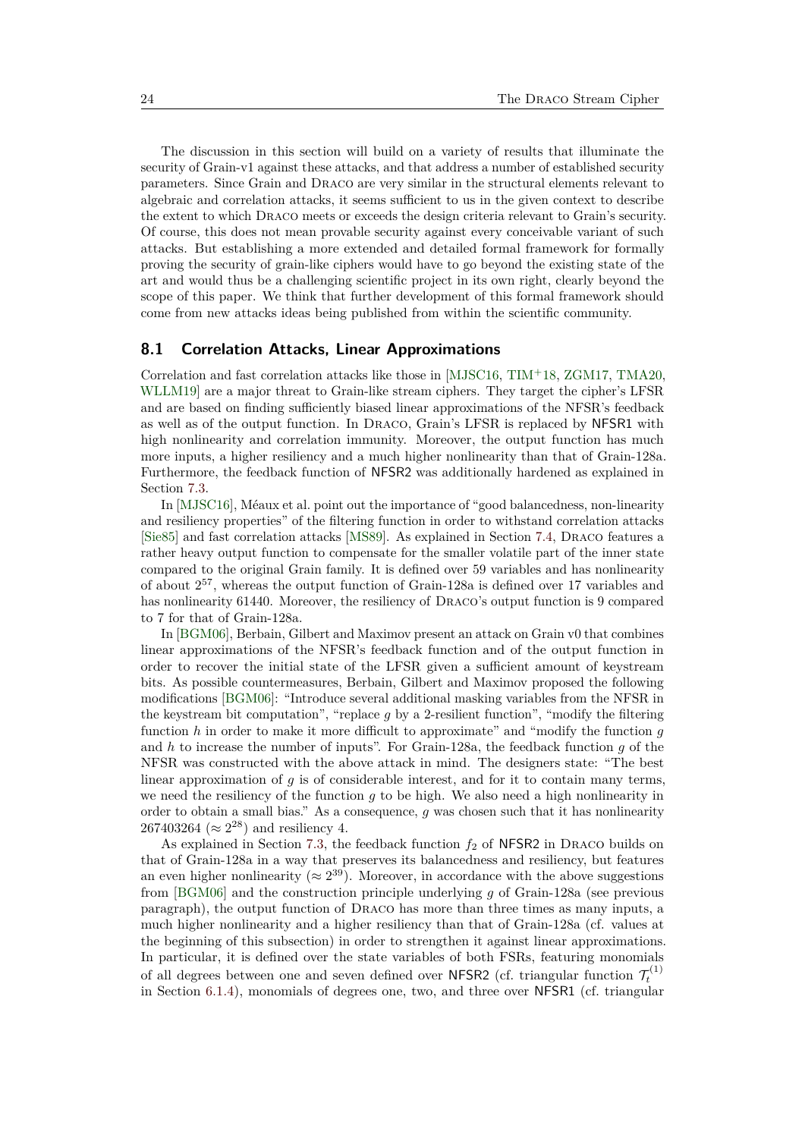The discussion in this section will build on a variety of results that illuminate the security of Grain-v1 against these attacks, and that address a number of established security parameters. Since Grain and Draco are very similar in the structural elements relevant to algebraic and correlation attacks, it seems sufficient to us in the given context to describe the extent to which Draco meets or exceeds the design criteria relevant to Grain's security. Of course, this does not mean provable security against every conceivable variant of such attacks. But establishing a more extended and detailed formal framework for formally proving the security of grain-like ciphers would have to go beyond the existing state of the art and would thus be a challenging scientific project in its own right, clearly beyond the scope of this paper. We think that further development of this formal framework should come from new attacks ideas being published from within the scientific community.

## **8.1 Correlation Attacks, Linear Approximations**

Correlation and fast correlation attacks like those in [\[MJSC16,](#page-34-2) [TIM](#page-34-3)<sup>+</sup>18, [ZGM17,](#page-35-1) [TMA20,](#page-34-10) [WLLM19\]](#page-34-11) are a major threat to Grain-like stream ciphers. They target the cipher's LFSR and are based on finding sufficiently biased linear approximations of the NFSR's feedback as well as of the output function. In Draco, Grain's LFSR is replaced by NFSR1 with high nonlinearity and correlation immunity. Moreover, the output function has much more inputs, a higher resiliency and a much higher nonlinearity than that of Grain-128a. Furthermore, the feedback function of NFSR2 was additionally hardened as explained in Section [7.3.](#page-20-1)

In [\[MJSC16\]](#page-34-2), Méaux et al. point out the importance of "good balancedness, non-linearity and resiliency properties" of the filtering function in order to withstand correlation attacks [\[Sie85\]](#page-34-12) and fast correlation attacks [\[MS89\]](#page-34-13). As explained in Section [7.4,](#page-20-2) Draco features a rather heavy output function to compensate for the smaller volatile part of the inner state compared to the original Grain family. It is defined over 59 variables and has nonlinearity of about 2 <sup>57</sup>, whereas the output function of Grain-128a is defined over 17 variables and has nonlinearity 61440. Moreover, the resiliency of Draco's output function is 9 compared to 7 for that of Grain-128a.

In [\[BGM06\]](#page-31-12), Berbain, Gilbert and Maximov present an attack on Grain v0 that combines linear approximations of the NFSR's feedback function and of the output function in order to recover the initial state of the LFSR given a sufficient amount of keystream bits. As possible countermeasures, Berbain, Gilbert and Maximov proposed the following modifications [\[BGM06\]](#page-31-12): "Introduce several additional masking variables from the NFSR in the keystream bit computation", "replace *g* by a 2-resilient function", "modify the filtering function *h* in order to make it more difficult to approximate" and "modify the function *g* and *h* to increase the number of inputs". For Grain-128a, the feedback function *g* of the NFSR was constructed with the above attack in mind. The designers state: "The best linear approximation of  $q$  is of considerable interest, and for it to contain many terms, we need the resiliency of the function *g* to be high. We also need a high nonlinearity in order to obtain a small bias." As a consequence, *g* was chosen such that it has nonlinearity 267403264 ( $\approx 2^{28}$ ) and resiliency 4.

As explained in Section [7.3,](#page-20-1) the feedback function  $f_2$  of NFSR2 in DRACO builds on that of Grain-128a in a way that preserves its balancedness and resiliency, but features an even higher nonlinearity ( $\approx 2^{39}$ ). Moreover, in accordance with the above suggestions from [\[BGM06\]](#page-31-12) and the construction principle underlying *g* of Grain-128a (see previous paragraph), the output function of Draco has more than three times as many inputs, a much higher nonlinearity and a higher resiliency than that of Grain-128a (cf. values at the beginning of this subsection) in order to strengthen it against linear approximations. In particular, it is defined over the state variables of both FSRs, featuring monomials of all degrees between one and seven defined over NFSR2 (cf. triangular function  $\mathcal{T}_t^{(1)}$ in Section [6.1.4\)](#page-16-1), monomials of degrees one, two, and three over NFSR1 (cf. triangular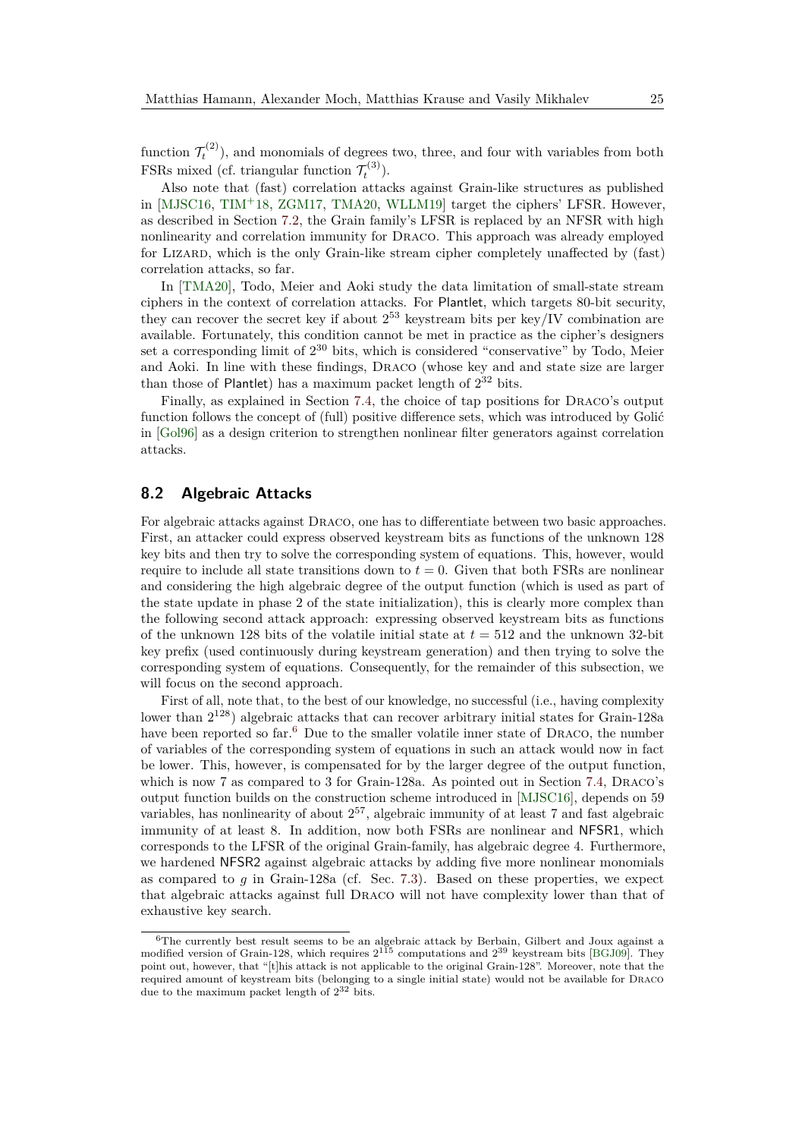function  $\mathcal{T}_t^{(2)}$ ), and monomials of degrees two, three, and four with variables from both FSRs mixed (cf. triangular function  $\mathcal{T}_t^{(3)}$ ).

Also note that (fast) correlation attacks against Grain-like structures as published in  $[MJSC16, TIM<sup>+</sup>18, ZGM17, TMA20, WLLM19]$  $[MJSC16, TIM<sup>+</sup>18, ZGM17, TMA20, WLLM19]$  $[MJSC16, TIM<sup>+</sup>18, ZGM17, TMA20, WLLM19]$  $[MJSC16, TIM<sup>+</sup>18, ZGM17, TMA20, WLLM19]$  $[MJSC16, TIM<sup>+</sup>18, ZGM17, TMA20, WLLM19]$  $[MJSC16, TIM<sup>+</sup>18, ZGM17, TMA20, WLLM19]$  $[MJSC16, TIM<sup>+</sup>18, ZGM17, TMA20, WLLM19]$  $[MJSC16, TIM<sup>+</sup>18, ZGM17, TMA20, WLLM19]$  $[MJSC16, TIM<sup>+</sup>18, ZGM17, TMA20, WLLM19]$  target the ciphers' LFSR. However, as described in Section [7.2,](#page-19-0) the Grain family's LFSR is replaced by an NFSR with high nonlinearity and correlation immunity for Draco. This approach was already employed for Lizard, which is the only Grain-like stream cipher completely unaffected by (fast) correlation attacks, so far.

In [\[TMA20\]](#page-34-10), Todo, Meier and Aoki study the data limitation of small-state stream ciphers in the context of correlation attacks. For Plantlet, which targets 80-bit security, they can recover the secret key if about  $2^{53}$  keystream bits per key/IV combination are available. Fortunately, this condition cannot be met in practice as the cipher's designers set a corresponding limit of  $2^{30}$  bits, which is considered "conservative" by Todo, Meier and Aoki. In line with these findings, Draco (whose key and and state size are larger than those of Plantlet) has a maximum packet length of  $2^{32}$  bits.

Finally, as explained in Section [7.4,](#page-20-2) the choice of tap positions for Draco's output function follows the concept of (full) positive difference sets, which was introduced by Golić in [\[Gol96\]](#page-32-0) as a design criterion to strengthen nonlinear filter generators against correlation attacks.

### <span id="page-24-1"></span>**8.2 Algebraic Attacks**

For algebraic attacks against Draco, one has to differentiate between two basic approaches. First, an attacker could express observed keystream bits as functions of the unknown 128 key bits and then try to solve the corresponding system of equations. This, however, would require to include all state transitions down to  $t = 0$ . Given that both FSRs are nonlinear and considering the high algebraic degree of the output function (which is used as part of the state update in phase 2 of the state initialization), this is clearly more complex than the following second attack approach: expressing observed keystream bits as functions of the unknown 128 bits of the volatile initial state at *t* = 512 and the unknown 32-bit key prefix (used continuously during keystream generation) and then trying to solve the corresponding system of equations. Consequently, for the remainder of this subsection, we will focus on the second approach.

First of all, note that, to the best of our knowledge, no successful (i.e., having complexity lower than  $2^{128}$ ) algebraic attacks that can recover arbitrary initial states for Grain-128a have been reported so far.<sup>[6](#page-24-0)</sup> Due to the smaller volatile inner state of DRACO, the number of variables of the corresponding system of equations in such an attack would now in fact be lower. This, however, is compensated for by the larger degree of the output function, which is now 7 as compared to 3 for Grain-128a. As pointed out in Section [7.4,](#page-20-2) Draco's output function builds on the construction scheme introduced in [\[MJSC16\]](#page-34-2), depends on 59 variables, has nonlinearity of about 2 <sup>57</sup>, algebraic immunity of at least 7 and fast algebraic immunity of at least 8. In addition, now both FSRs are nonlinear and NFSR1, which corresponds to the LFSR of the original Grain-family, has algebraic degree 4. Furthermore, we hardened NFSR2 against algebraic attacks by adding five more nonlinear monomials as compared to *g* in Grain-128a (cf. Sec. [7.3\)](#page-20-1). Based on these properties, we expect that algebraic attacks against full Draco will not have complexity lower than that of exhaustive key search.

<span id="page-24-0"></span><sup>6</sup>The currently best result seems to be an algebraic attack by Berbain, Gilbert and Joux against a modified version of Grain-128, which requires  $2^{115}$  computations and  $2^{39}$  keystream bits [\[BGJ09\]](#page-31-13). They point out, however, that "[t]his attack is not applicable to the original Grain-128". Moreover, note that the required amount of keystream bits (belonging to a single initial state) would not be available for Draco due to the maximum packet length of  $2^{32}$  bits.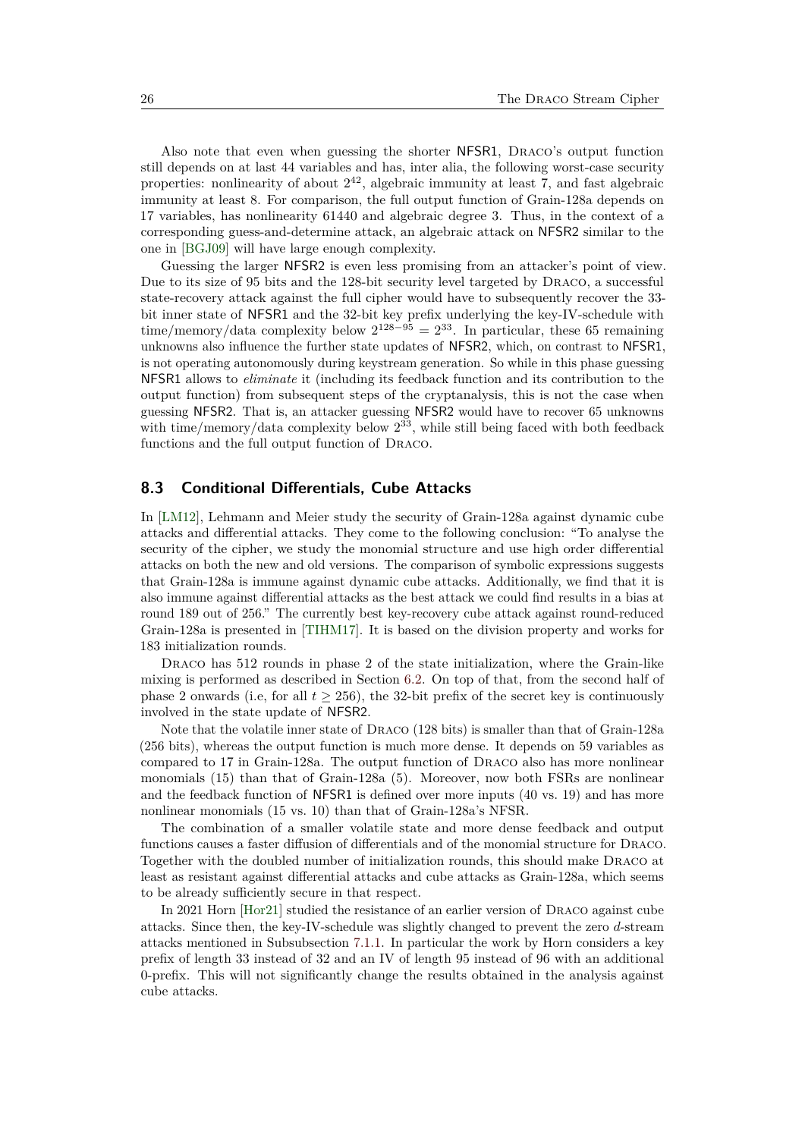Also note that even when guessing the shorter NFSR1, Draco's output function still depends on at last 44 variables and has, inter alia, the following worst-case security properties: nonlinearity of about  $2^{42}$ , algebraic immunity at least 7, and fast algebraic immunity at least 8. For comparison, the full output function of Grain-128a depends on 17 variables, has nonlinearity 61440 and algebraic degree 3. Thus, in the context of a corresponding guess-and-determine attack, an algebraic attack on NFSR2 similar to the one in [\[BGJ09\]](#page-31-13) will have large enough complexity.

Guessing the larger NFSR2 is even less promising from an attacker's point of view. Due to its size of 95 bits and the 128-bit security level targeted by Draco, a successful state-recovery attack against the full cipher would have to subsequently recover the 33 bit inner state of NFSR1 and the 32-bit key prefix underlying the key-IV-schedule with time/memory/data complexity below  $2^{128-95} = 2^{33}$ . In particular, these 65 remaining unknowns also influence the further state updates of NFSR2, which, on contrast to NFSR1, is not operating autonomously during keystream generation. So while in this phase guessing NFSR1 allows to *eliminate* it (including its feedback function and its contribution to the output function) from subsequent steps of the cryptanalysis, this is not the case when guessing NFSR2. That is, an attacker guessing NFSR2 would have to recover 65 unknowns with time/memory/data complexity below  $2^{33}$ , while still being faced with both feedback functions and the full output function of Draco.

## <span id="page-25-0"></span>**8.3 Conditional Differentials, Cube Attacks**

In [\[LM12\]](#page-34-14), Lehmann and Meier study the security of Grain-128a against dynamic cube attacks and differential attacks. They come to the following conclusion: "To analyse the security of the cipher, we study the monomial structure and use high order differential attacks on both the new and old versions. The comparison of symbolic expressions suggests that Grain-128a is immune against dynamic cube attacks. Additionally, we find that it is also immune against differential attacks as the best attack we could find results in a bias at round 189 out of 256." The currently best key-recovery cube attack against round-reduced Grain-128a is presented in [\[TIHM17\]](#page-34-15). It is based on the division property and works for 183 initialization rounds.

DRACO has 512 rounds in phase 2 of the state initialization, where the Grain-like mixing is performed as described in Section [6.2.](#page-16-0) On top of that, from the second half of phase 2 onwards (i.e, for all  $t \geq 256$ ), the 32-bit prefix of the secret key is continuously involved in the state update of NFSR2.

Note that the volatile inner state of Draco (128 bits) is smaller than that of Grain-128a (256 bits), whereas the output function is much more dense. It depends on 59 variables as compared to 17 in Grain-128a. The output function of Draco also has more nonlinear monomials (15) than that of Grain-128a (5). Moreover, now both FSRs are nonlinear and the feedback function of NFSR1 is defined over more inputs (40 vs. 19) and has more nonlinear monomials (15 vs. 10) than that of Grain-128a's NFSR.

The combination of a smaller volatile state and more dense feedback and output functions causes a faster diffusion of differentials and of the monomial structure for Draco. Together with the doubled number of initialization rounds, this should make Draco at least as resistant against differential attacks and cube attacks as Grain-128a, which seems to be already sufficiently secure in that respect.

In 2021 Horn [\[Hor21\]](#page-33-10) studied the resistance of an earlier version of Draco against cube attacks. Since then, the key-IV-schedule was slightly changed to prevent the zero *d*-stream attacks mentioned in Subsubsection [7.1.1.](#page-18-3) In particular the work by Horn considers a key prefix of length 33 instead of 32 and an IV of length 95 instead of 96 with an additional 0-prefix. This will not significantly change the results obtained in the analysis against cube attacks.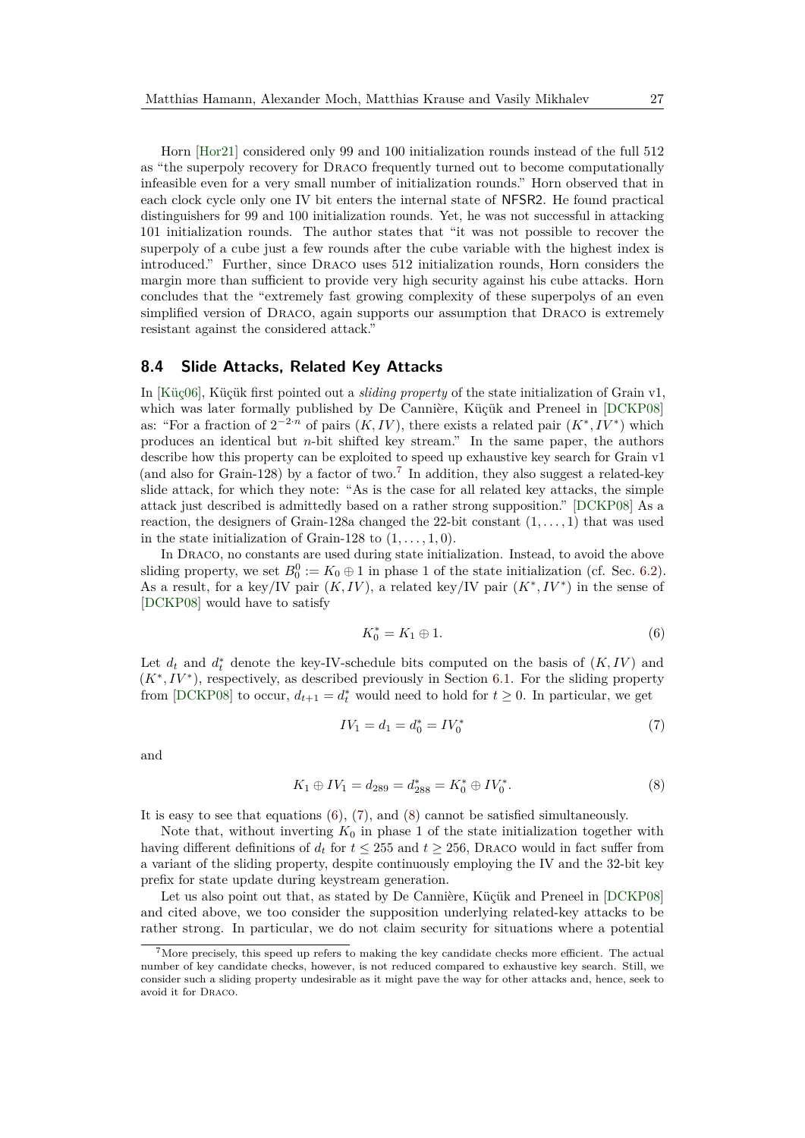Horn [\[Hor21\]](#page-33-10) considered only 99 and 100 initialization rounds instead of the full 512 as "the superpoly recovery for Draco frequently turned out to become computationally infeasible even for a very small number of initialization rounds." Horn observed that in each clock cycle only one IV bit enters the internal state of NFSR2. He found practical distinguishers for 99 and 100 initialization rounds. Yet, he was not successful in attacking 101 initialization rounds. The author states that "it was not possible to recover the superpoly of a cube just a few rounds after the cube variable with the highest index is introduced." Further, since Draco uses 512 initialization rounds, Horn considers the margin more than sufficient to provide very high security against his cube attacks. Horn concludes that the "extremely fast growing complexity of these superpolys of an even simplified version of Draco, again supports our assumption that Draco is extremely resistant against the considered attack."

## <span id="page-26-0"></span>**8.4 Slide Attacks, Related Key Attacks**

In [\[Küç06\]](#page-34-16), Küçük first pointed out a *sliding property* of the state initialization of Grain v1, which was later formally published by De Cannière, Küçük and Preneel in [\[DCKP08\]](#page-31-8) as: "For a fraction of  $2^{-2n}$  of pairs  $(K, IV)$ , there exists a related pair  $(K^*, IV^*)$  which produces an identical but *n*-bit shifted key stream." In the same paper, the authors describe how this property can be exploited to speed up exhaustive key search for Grain v1 (and also for Grain-128) by a factor of two.<sup>[7](#page-26-1)</sup> In addition, they also suggest a related-key slide attack, for which they note: "As is the case for all related key attacks, the simple attack just described is admittedly based on a rather strong supposition." [\[DCKP08\]](#page-31-8) As a reaction, the designers of Grain-128a changed the 22-bit constant  $(1, \ldots, 1)$  that was used in the state initialization of Grain-128 to  $(1, \ldots, 1, 0)$ .

In Draco, no constants are used during state initialization. Instead, to avoid the above sliding property, we set  $B_0^0 := K_0 \oplus 1$  in phase 1 of the state initialization (cf. Sec. [6.2\)](#page-16-0). As a result, for a key/IV pair  $(K, IV)$ , a related key/IV pair  $(K^*, IV^*)$  in the sense of [\[DCKP08\]](#page-31-8) would have to satisfy

<span id="page-26-3"></span><span id="page-26-2"></span>
$$
K_0^* = K_1 \oplus 1. \tag{6}
$$

Let  $d_t$  and  $d_t^*$  denote the key-IV-schedule bits computed on the basis of  $(K, IV)$  and  $(K^*, IV^*)$ , respectively, as described previously in Section [6.1.](#page-15-0) For the sliding property from [\[DCKP08\]](#page-31-8) to occur,  $d_{t+1} = d_t^*$  would need to hold for  $t \geq 0$ . In particular, we get

<span id="page-26-4"></span>
$$
IV_1 = d_1 = d_0^* = IV_0^*
$$
\n<sup>(7)</sup>

and

$$
K_1 \oplus IV_1 = d_{289} = d_{288}^* = K_0^* \oplus IV_0^*.
$$
 (8)

It is easy to see that equations [\(6\)](#page-26-2), [\(7\)](#page-26-3), and [\(8\)](#page-26-4) cannot be satisfied simultaneously.

Note that, without inverting  $K_0$  in phase 1 of the state initialization together with having different definitions of  $d_t$  for  $t \le 255$  and  $t \ge 256$ , DRACO would in fact suffer from a variant of the sliding property, despite continuously employing the IV and the 32-bit key prefix for state update during keystream generation.

Let us also point out that, as stated by De Cannière, Küçük and Preneel in [\[DCKP08\]](#page-31-8) and cited above, we too consider the supposition underlying related-key attacks to be rather strong. In particular, we do not claim security for situations where a potential

<span id="page-26-1"></span><sup>7</sup>More precisely, this speed up refers to making the key candidate checks more efficient. The actual number of key candidate checks, however, is not reduced compared to exhaustive key search. Still, we consider such a sliding property undesirable as it might pave the way for other attacks and, hence, seek to avoid it for Draco.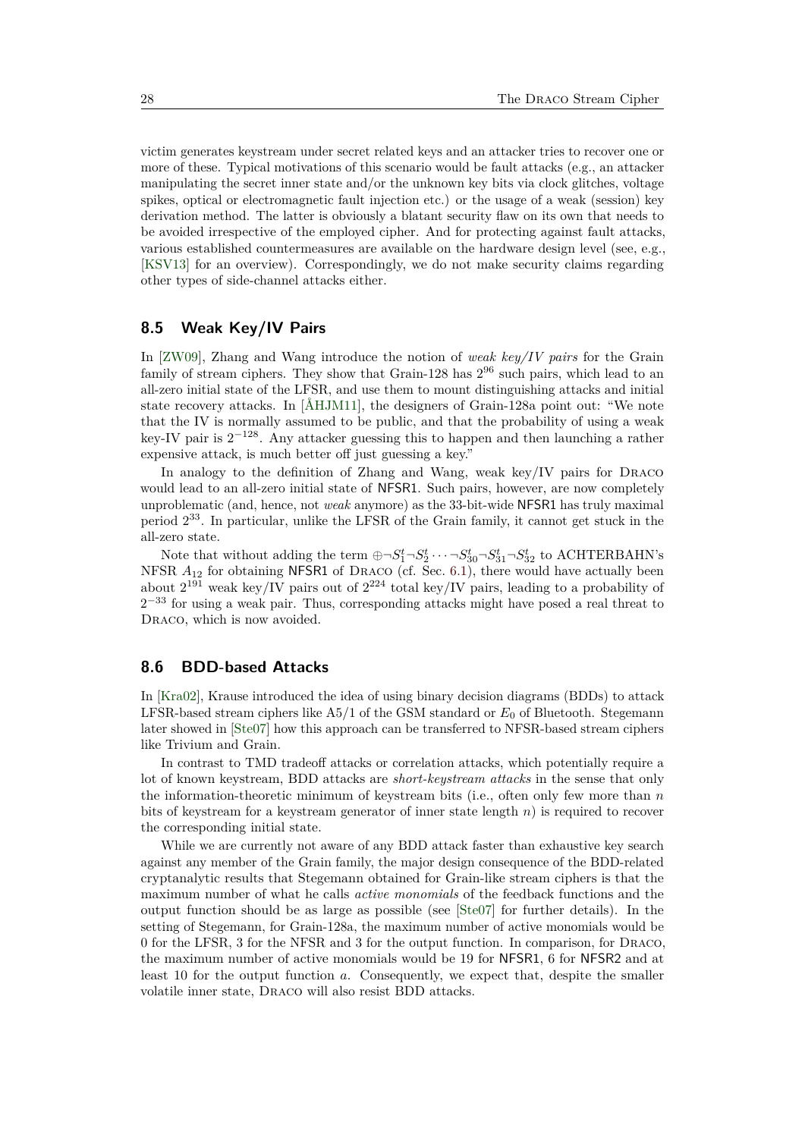victim generates keystream under secret related keys and an attacker tries to recover one or more of these. Typical motivations of this scenario would be fault attacks (e.g., an attacker manipulating the secret inner state and/or the unknown key bits via clock glitches, voltage spikes, optical or electromagnetic fault injection etc.) or the usage of a weak (session) key derivation method. The latter is obviously a blatant security flaw on its own that needs to be avoided irrespective of the employed cipher. And for protecting against fault attacks, various established countermeasures are available on the hardware design level (see, e.g., [\[KSV13\]](#page-33-11) for an overview). Correspondingly, we do not make security claims regarding other types of side-channel attacks either.

## **8.5 Weak Key/IV Pairs**

In [\[ZW09\]](#page-35-2), Zhang and Wang introduce the notion of *weak key/IV pairs* for the Grain family of stream ciphers. They show that Grain-128 has  $2^{96}$  such pairs, which lead to an all-zero initial state of the LFSR, and use them to mount distinguishing attacks and initial state recovery attacks. In [\[ÅHJM11\]](#page-31-7), the designers of Grain-128a point out: "We note that the IV is normally assumed to be public, and that the probability of using a weak key-IV pair is 2 <sup>−</sup><sup>128</sup>. Any attacker guessing this to happen and then launching a rather expensive attack, is much better off just guessing a key."

In analogy to the definition of Zhang and Wang, weak key/IV pairs for Draco would lead to an all-zero initial state of NFSR1. Such pairs, however, are now completely unproblematic (and, hence, not *weak* anymore) as the 33-bit-wide NFSR1 has truly maximal period 2 <sup>33</sup>. In particular, unlike the LFSR of the Grain family, it cannot get stuck in the all-zero state.

Note that without adding the term  $\bigoplus \neg S_1^t \neg S_2^t \cdots \neg S_{30}^t \neg S_{31}^t \neg S_{32}^t$  to ACHTERBAHN's NFSR  $A_{12}$  for obtaining NFSR1 of DRACO (cf. Sec. [6.1\)](#page-15-0), there would have actually been about  $2^{191}$  weak key/IV pairs out of  $2^{224}$  total key/IV pairs, leading to a probability of  $2<sup>-33</sup>$  for using a weak pair. Thus, corresponding attacks might have posed a real threat to DRACO, which is now avoided.

### <span id="page-27-0"></span>**8.6 BDD-based Attacks**

In [\[Kra02\]](#page-33-6), Krause introduced the idea of using binary decision diagrams (BDDs) to attack LFSR-based stream ciphers like A5/1 of the GSM standard or *E*<sup>0</sup> of Bluetooth. Stegemann later showed in [\[Ste07\]](#page-34-4) how this approach can be transferred to NFSR-based stream ciphers like Trivium and Grain.

In contrast to TMD tradeoff attacks or correlation attacks, which potentially require a lot of known keystream, BDD attacks are *short-keystream attacks* in the sense that only the information-theoretic minimum of keystream bits (i.e., often only few more than *n* bits of keystream for a keystream generator of inner state length *n*) is required to recover the corresponding initial state.

While we are currently not aware of any BDD attack faster than exhaustive key search against any member of the Grain family, the major design consequence of the BDD-related cryptanalytic results that Stegemann obtained for Grain-like stream ciphers is that the maximum number of what he calls *active monomials* of the feedback functions and the output function should be as large as possible (see [\[Ste07\]](#page-34-4) for further details). In the setting of Stegemann, for Grain-128a, the maximum number of active monomials would be 0 for the LFSR, 3 for the NFSR and 3 for the output function. In comparison, for Draco, the maximum number of active monomials would be 19 for NFSR1, 6 for NFSR2 and at least 10 for the output function *a*. Consequently, we expect that, despite the smaller volatile inner state, Draco will also resist BDD attacks.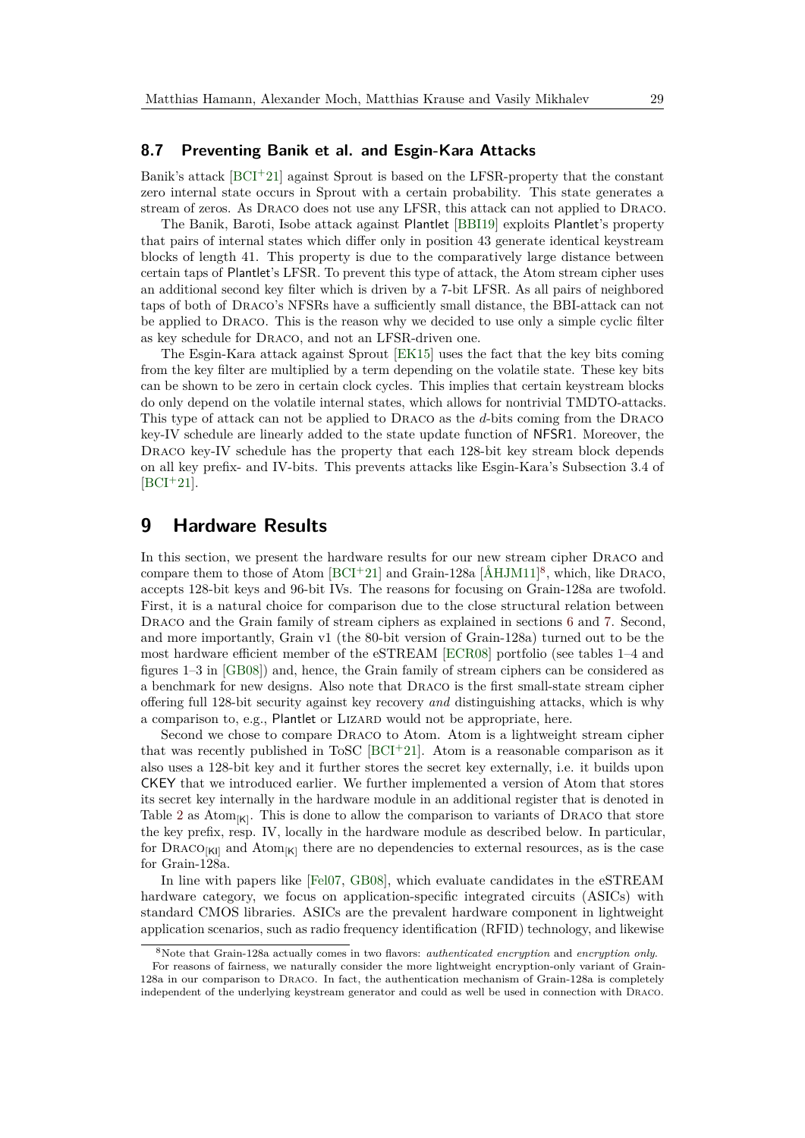### **8.7 Preventing Banik et al. and Esgin-Kara Attacks**

Banik's attack  $[BCI+21]$  $[BCI+21]$  against Sprout is based on the LFSR-property that the constant zero internal state occurs in Sprout with a certain probability. This state generates a stream of zeros. As Draco does not use any LFSR, this attack can not applied to Draco.

The Banik, Baroti, Isobe attack against Plantlet [\[BBI19\]](#page-31-14) exploits Plantlet's property that pairs of internal states which differ only in position 43 generate identical keystream blocks of length 41. This property is due to the comparatively large distance between certain taps of Plantlet's LFSR. To prevent this type of attack, the Atom stream cipher uses an additional second key filter which is driven by a 7-bit LFSR. As all pairs of neighbored taps of both of Draco's NFSRs have a sufficiently small distance, the BBI-attack can not be applied to Draco. This is the reason why we decided to use only a simple cyclic filter as key schedule for Draco, and not an LFSR-driven one.

The Esgin-Kara attack against Sprout [\[EK15\]](#page-32-9) uses the fact that the key bits coming from the key filter are multiplied by a term depending on the volatile state. These key bits can be shown to be zero in certain clock cycles. This implies that certain keystream blocks do only depend on the volatile internal states, which allows for nontrivial TMDTO-attacks. This type of attack can not be applied to Draco as the *d*-bits coming from the Draco key-IV schedule are linearly added to the state update function of NFSR1. Moreover, the DRACO key-IV schedule has the property that each 128-bit key stream block depends on all key prefix- and IV-bits. This prevents attacks like Esgin-Kara's Subsection 3.4 of  $[BCI+21]$  $[BCI+21]$ .

# <span id="page-28-0"></span>**9 Hardware Results**

In this section, we present the hardware results for our new stream cipher Draco and compare them to those of Atom [\[BCI](#page-31-4)<sup>+</sup>21] and Grain-128a [\[ÅHJM11\]](#page-31-7)<sup>[8](#page-28-1)</sup>, which, like DRACO, accepts 128-bit keys and 96-bit IVs. The reasons for focusing on Grain-128a are twofold. First, it is a natural choice for comparison due to the close structural relation between DRACO and the Grain family of stream ciphers as explained in sections [6](#page-14-0) and [7.](#page-18-0) Second, and more importantly, Grain v1 (the 80-bit version of Grain-128a) turned out to be the most hardware efficient member of the eSTREAM [\[ECR08\]](#page-32-8) portfolio (see tables 1–4 and figures 1–3 in [\[GB08\]](#page-32-10)) and, hence, the Grain family of stream ciphers can be considered as a benchmark for new designs. Also note that Draco is the first small-state stream cipher offering full 128-bit security against key recovery *and* distinguishing attacks, which is why a comparison to, e.g., Plantlet or LIZARD would not be appropriate, here.

Second we chose to compare Draco to Atom. Atom is a lightweight stream cipher that was recently published in ToSC [\[BCI](#page-31-4)<sup>+</sup>21]. Atom is a reasonable comparison as it also uses a 128-bit key and it further stores the secret key externally, i.e. it builds upon CKEY that we introduced earlier. We further implemented a version of Atom that stores its secret key internally in the hardware module in an additional register that is denoted in Table [2](#page-29-0) as  $\text{Atom}_{[K]}$ . This is done to allow the comparison to variants of DRACO that store the key prefix, resp. IV, locally in the hardware module as described below. In particular, for  $\text{DraCO}_{|K|}$  and  $\text{Atom}_{|K|}$  there are no dependencies to external resources, as is the case for Grain-128a.

In line with papers like [\[Fel07,](#page-32-11) [GB08\]](#page-32-10), which evaluate candidates in the eSTREAM hardware category, we focus on application-specific integrated circuits (ASICs) with standard CMOS libraries. ASICs are the prevalent hardware component in lightweight application scenarios, such as radio frequency identification (RFID) technology, and likewise

<span id="page-28-1"></span><sup>8</sup>Note that Grain-128a actually comes in two flavors: *authenticated encryption* and *encryption only*.

For reasons of fairness, we naturally consider the more lightweight encryption-only variant of Grain-128a in our comparison to Draco. In fact, the authentication mechanism of Grain-128a is completely independent of the underlying keystream generator and could as well be used in connection with Draco.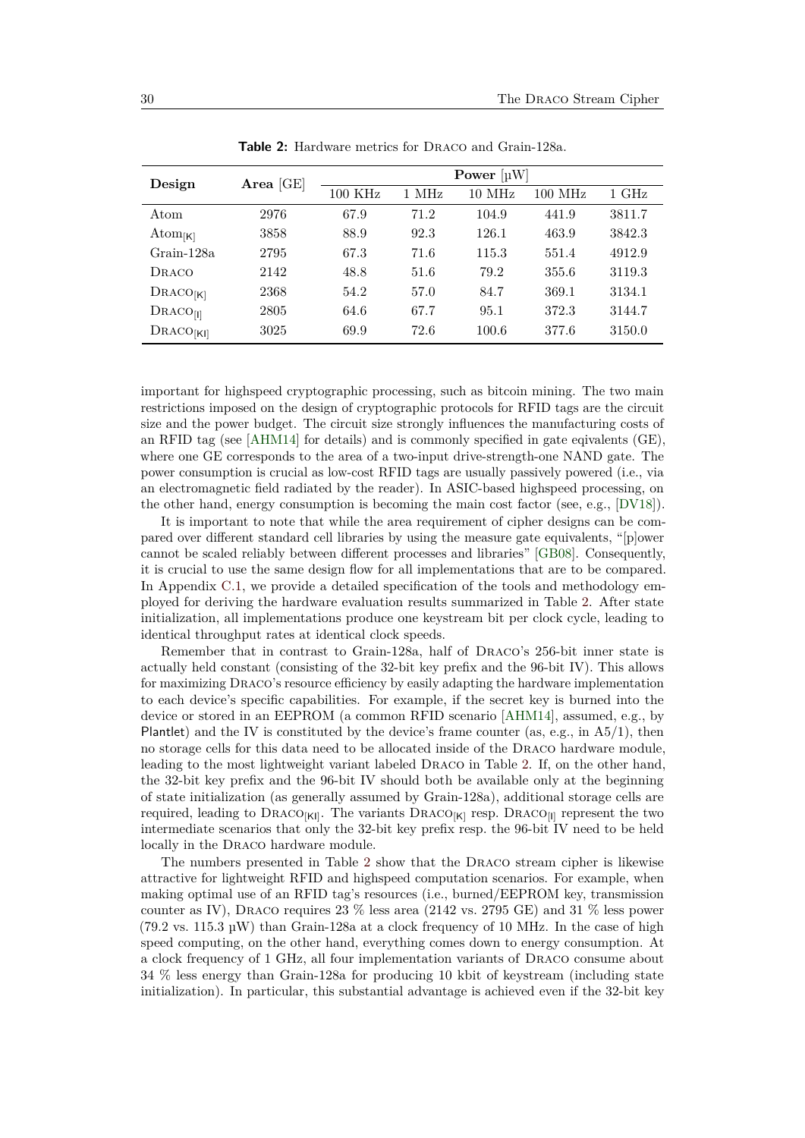<span id="page-29-0"></span>

| Design               | Area $[GE]$ | Power $[\mu W]$ |       |          |           |        |
|----------------------|-------------|-----------------|-------|----------|-----------|--------|
|                      |             | $100$ KHz       | 1 MHz | $10$ MHz | $100$ MHz | 1 GHz  |
| Atom                 | 2976        | 67.9            | 71.2  | 104.9    | 441.9     | 3811.7 |
| Atom <sub>[K]</sub>  | 3858        | 88.9            | 92.3  | 126.1    | 463.9     | 3842.3 |
| Grain-128a           | 2795        | 67.3            | 71.6  | 115.3    | 551.4     | 4912.9 |
| DRACO                | 2142        | 48.8            | 51.6  | 79.2     | 355.6     | 3119.3 |
| $\text{DraCO}_{[K]}$ | 2368        | 54.2            | 57.0  | 84.7     | 369.1     | 3134.1 |
| $\text{DraCO}$ [1]   | 2805        | 64.6            | 67.7  | 95.1     | 372.3     | 3144.7 |
| DRACO <sub>[K]</sub> | 3025        | 69.9            | 72.6  | 100.6    | 377.6     | 3150.0 |

Table 2: Hardware metrics for DRACO and Grain-128a.

important for highspeed cryptographic processing, such as bitcoin mining. The two main restrictions imposed on the design of cryptographic protocols for RFID tags are the circuit size and the power budget. The circuit size strongly influences the manufacturing costs of an RFID tag (see [\[AHM14\]](#page-31-15) for details) and is commonly specified in gate eqivalents (GE), where one GE corresponds to the area of a two-input drive-strength-one NAND gate. The power consumption is crucial as low-cost RFID tags are usually passively powered (i.e., via an electromagnetic field radiated by the reader). In ASIC-based highspeed processing, on the other hand, energy consumption is becoming the main cost factor (see, e.g., [\[DV18\]](#page-32-12)).

It is important to note that while the area requirement of cipher designs can be compared over different standard cell libraries by using the measure gate equivalents, "[p]ower cannot be scaled reliably between different processes and libraries" [\[GB08\]](#page-32-10). Consequently, it is crucial to use the same design flow for all implementations that are to be compared. In Appendix [C.1,](#page-37-0) we provide a detailed specification of the tools and methodology employed for deriving the hardware evaluation results summarized in Table [2.](#page-29-0) After state initialization, all implementations produce one keystream bit per clock cycle, leading to identical throughput rates at identical clock speeds.

Remember that in contrast to Grain-128a, half of Draco's 256-bit inner state is actually held constant (consisting of the 32-bit key prefix and the 96-bit IV). This allows for maximizing Draco's resource efficiency by easily adapting the hardware implementation to each device's specific capabilities. For example, if the secret key is burned into the device or stored in an EEPROM (a common RFID scenario [\[AHM14\]](#page-31-15), assumed, e.g., by Plantlet) and the IV is constituted by the device's frame counter (as, e.g., in  $A5/1$ ), then no storage cells for this data need to be allocated inside of the Draco hardware module, leading to the most lightweight variant labeled Draco in Table [2.](#page-29-0) If, on the other hand, the 32-bit key prefix and the 96-bit IV should both be available only at the beginning of state initialization (as generally assumed by Grain-128a), additional storage cells are required, leading to  $\widehat{DRACO}_{[K]}$ . The variants  $\widehat{DRACO}_{[K]}$  resp.  $\widehat{DRACO}_{[I]}$  represent the two intermediate scenarios that only the 32-bit key prefix resp. the 96-bit IV need to be held locally in the Draco hardware module.

The numbers presented in Table [2](#page-29-0) show that the Draco stream cipher is likewise attractive for lightweight RFID and highspeed computation scenarios. For example, when making optimal use of an RFID tag's resources (i.e., burned/EEPROM key, transmission counter as IV), Draco requires 23 % less area (2142 vs. 2795 GE) and 31 % less power  $(79.2 \text{ vs. } 115.3 \text{ µW})$  than Grain-128a at a clock frequency of 10 MHz. In the case of high speed computing, on the other hand, everything comes down to energy consumption. At a clock frequency of 1 GHz, all four implementation variants of Draco consume about 34 % less energy than Grain-128a for producing 10 kbit of keystream (including state initialization). In particular, this substantial advantage is achieved even if the 32-bit key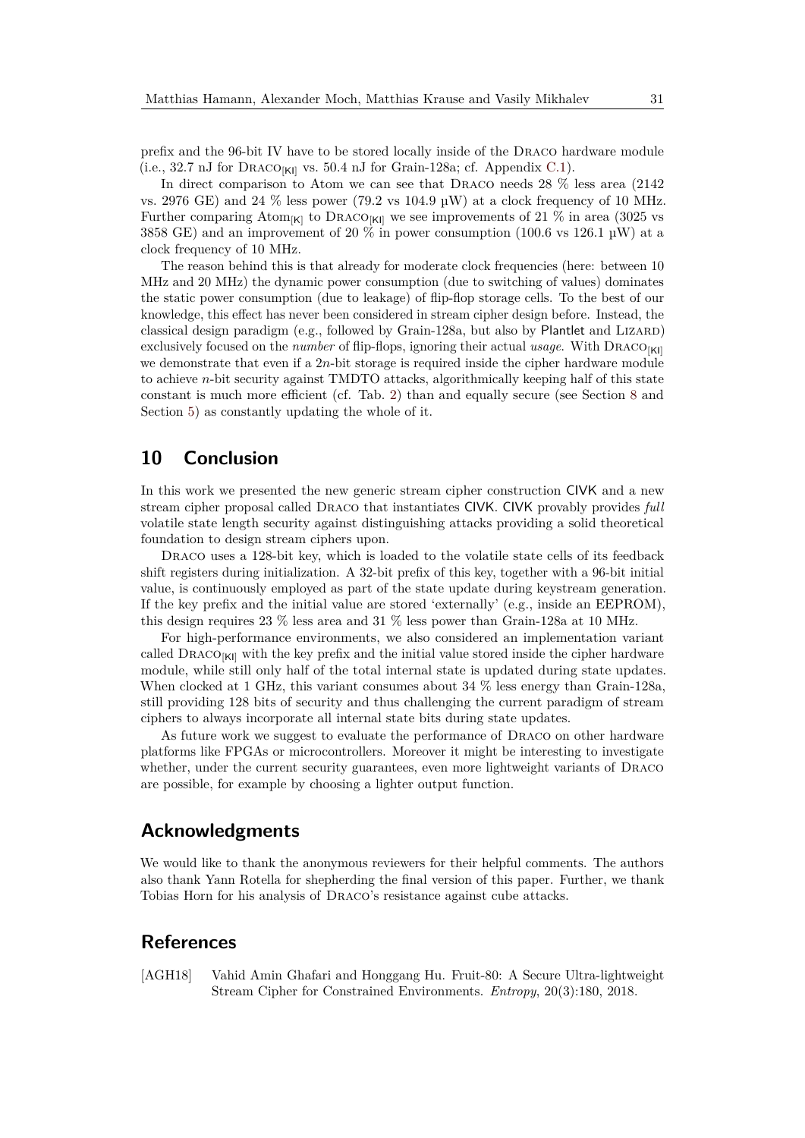prefix and the 96-bit IV have to be stored locally inside of the Draco hardware module (i.e., 32.7 nJ for DRACO $_{\left[ Kl\right] }$  vs. 50.4 nJ for Grain-128a; cf. Appendix [C.1\)](#page-37-0).

In direct comparison to Atom we can see that Draco needs 28 % less area (2142 vs. 2976 GE) and 24  $\%$  less power (79.2 vs 104.9 µW) at a clock frequency of 10 MHz. Further comparing Atom<sub>[K]</sub> to DRACO<sub>[KI]</sub> we see improvements of 21 % in area (3025 vs 3858 GE) and an improvement of 20  $\%$  in power consumption (100.6 vs 126.1 µW) at a clock frequency of 10 MHz.

The reason behind this is that already for moderate clock frequencies (here: between 10 MHz and 20 MHz) the dynamic power consumption (due to switching of values) dominates the static power consumption (due to leakage) of flip-flop storage cells. To the best of our knowledge, this effect has never been considered in stream cipher design before. Instead, the classical design paradigm (e.g., followed by Grain-128a, but also by Plantlet and LIZARD) exclusively focused on the *number* of flip-flops, ignoring their actual *usage*. With DRACO<sub>[KI]</sub> we demonstrate that even if a 2*n*-bit storage is required inside the cipher hardware module to achieve *n*-bit security against TMDTO attacks, algorithmically keeping half of this state constant is much more efficient (cf. Tab. [2\)](#page-29-0) than and equally secure (see Section [8](#page-22-1) and Section [5\)](#page-9-0) as constantly updating the whole of it.

# <span id="page-30-1"></span>**10 Conclusion**

In this work we presented the new generic stream cipher construction CIVK and a new stream cipher proposal called Draco that instantiates CIVK. CIVK provably provides *full* volatile state length security against distinguishing attacks providing a solid theoretical foundation to design stream ciphers upon.

DRACO uses a 128-bit key, which is loaded to the volatile state cells of its feedback shift registers during initialization. A 32-bit prefix of this key, together with a 96-bit initial value, is continuously employed as part of the state update during keystream generation. If the key prefix and the initial value are stored 'externally' (e.g., inside an EEPROM), this design requires 23 % less area and 31 % less power than Grain-128a at 10 MHz.

For high-performance environments, we also considered an implementation variant called  $\text{DRACO}_{\text{[K]}}$  with the key prefix and the initial value stored inside the cipher hardware module, while still only half of the total internal state is updated during state updates. When clocked at 1 GHz, this variant consumes about 34 % less energy than Grain-128a, still providing 128 bits of security and thus challenging the current paradigm of stream ciphers to always incorporate all internal state bits during state updates.

As future work we suggest to evaluate the performance of Draco on other hardware platforms like FPGAs or microcontrollers. Moreover it might be interesting to investigate whether, under the current security guarantees, even more lightweight variants of DRACO are possible, for example by choosing a lighter output function.

## **Acknowledgments**

We would like to thank the anonymous reviewers for their helpful comments. The authors also thank Yann Rotella for shepherding the final version of this paper. Further, we thank Tobias Horn for his analysis of Draco's resistance against cube attacks.

# **References**

<span id="page-30-0"></span>[AGH18] Vahid Amin Ghafari and Honggang Hu. Fruit-80: A Secure Ultra-lightweight Stream Cipher for Constrained Environments. *Entropy*, 20(3):180, 2018.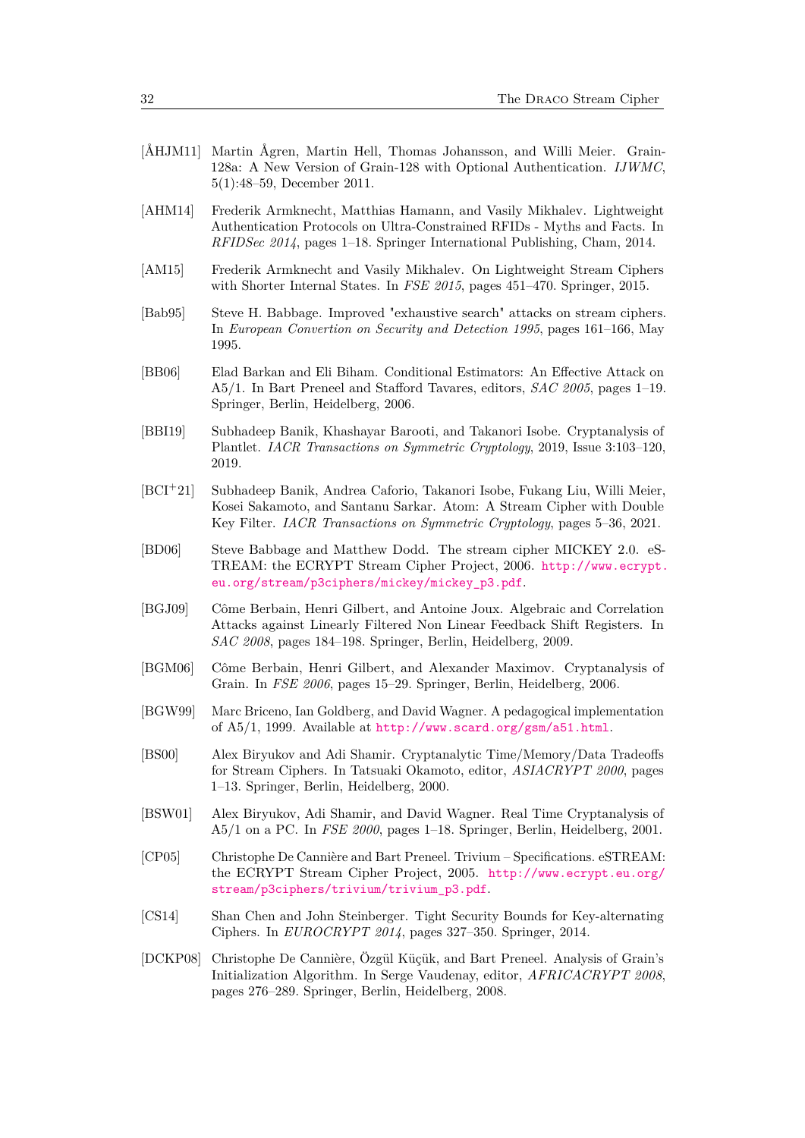- <span id="page-31-7"></span>[ÅHJM11] Martin Ågren, Martin Hell, Thomas Johansson, and Willi Meier. Grain-128a: A New Version of Grain-128 with Optional Authentication. *IJWMC*, 5(1):48–59, December 2011.
- <span id="page-31-15"></span>[AHM14] Frederik Armknecht, Matthias Hamann, and Vasily Mikhalev. Lightweight Authentication Protocols on Ultra-Constrained RFIDs - Myths and Facts. In *RFIDSec 2014*, pages 1–18. Springer International Publishing, Cham, 2014.
- <span id="page-31-3"></span>[AM15] Frederik Armknecht and Vasily Mikhalev. On Lightweight Stream Ciphers with Shorter Internal States. In *FSE 2015*, pages 451–470. Springer, 2015.
- <span id="page-31-0"></span>[Bab95] Steve H. Babbage. Improved "exhaustive search" attacks on stream ciphers. In *European Convertion on Security and Detection 1995*, pages 161–166, May 1995.
- <span id="page-31-10"></span>[BB06] Elad Barkan and Eli Biham. Conditional Estimators: An Effective Attack on A5/1. In Bart Preneel and Stafford Tavares, editors, *SAC 2005*, pages 1–19. Springer, Berlin, Heidelberg, 2006.
- <span id="page-31-14"></span>[BBI19] Subhadeep Banik, Khashayar Barooti, and Takanori Isobe. Cryptanalysis of Plantlet. *IACR Transactions on Symmetric Cryptology*, 2019, Issue 3:103–120, 2019.
- <span id="page-31-4"></span>[BCI<sup>+</sup>21] Subhadeep Banik, Andrea Caforio, Takanori Isobe, Fukang Liu, Willi Meier, Kosei Sakamoto, and Santanu Sarkar. Atom: A Stream Cipher with Double Key Filter. *IACR Transactions on Symmetric Cryptology*, pages 5–36, 2021.
- <span id="page-31-11"></span>[BD06] Steve Babbage and Matthew Dodd. The stream cipher MICKEY 2.0. eS-TREAM: the ECRYPT Stream Cipher Project, 2006. [http://www.ecrypt.](http://www.ecrypt.eu.org/stream/p3ciphers/mickey/mickey_p3.pdf) [eu.org/stream/p3ciphers/mickey/mickey\\_p3.pdf](http://www.ecrypt.eu.org/stream/p3ciphers/mickey/mickey_p3.pdf).
- <span id="page-31-13"></span>[BGJ09] Côme Berbain, Henri Gilbert, and Antoine Joux. Algebraic and Correlation Attacks against Linearly Filtered Non Linear Feedback Shift Registers. In *SAC 2008*, pages 184–198. Springer, Berlin, Heidelberg, 2009.
- <span id="page-31-12"></span>[BGM06] Côme Berbain, Henri Gilbert, and Alexander Maximov. Cryptanalysis of Grain. In *FSE 2006*, pages 15–29. Springer, Berlin, Heidelberg, 2006.
- <span id="page-31-9"></span>[BGW99] Marc Briceno, Ian Goldberg, and David Wagner. A pedagogical implementation of A5/1, 1999. Available at <http://www.scard.org/gsm/a51.html>.
- <span id="page-31-1"></span>[BS00] Alex Biryukov and Adi Shamir. Cryptanalytic Time/Memory/Data Tradeoffs for Stream Ciphers. In Tatsuaki Okamoto, editor, *ASIACRYPT 2000*, pages 1–13. Springer, Berlin, Heidelberg, 2000.
- <span id="page-31-5"></span>[BSW01] Alex Biryukov, Adi Shamir, and David Wagner. Real Time Cryptanalysis of A5/1 on a PC. In *FSE 2000*, pages 1–18. Springer, Berlin, Heidelberg, 2001.
- <span id="page-31-2"></span>[CP05] Christophe De Cannière and Bart Preneel. Trivium – Specifications. eSTREAM: the ECRYPT Stream Cipher Project, 2005. [http://www.ecrypt.eu.org/](http://www.ecrypt.eu.org/stream/p3ciphers/trivium/trivium_p3.pdf) [stream/p3ciphers/trivium/trivium\\_p3.pdf](http://www.ecrypt.eu.org/stream/p3ciphers/trivium/trivium_p3.pdf).
- <span id="page-31-6"></span>[CS14] Shan Chen and John Steinberger. Tight Security Bounds for Key-alternating Ciphers. In *EUROCRYPT 2014*, pages 327–350. Springer, 2014.
- <span id="page-31-8"></span>[DCKP08] Christophe De Cannière, Özgül Küçük, and Bart Preneel. Analysis of Grain's Initialization Algorithm. In Serge Vaudenay, editor, *AFRICACRYPT 2008*, pages 276–289. Springer, Berlin, Heidelberg, 2008.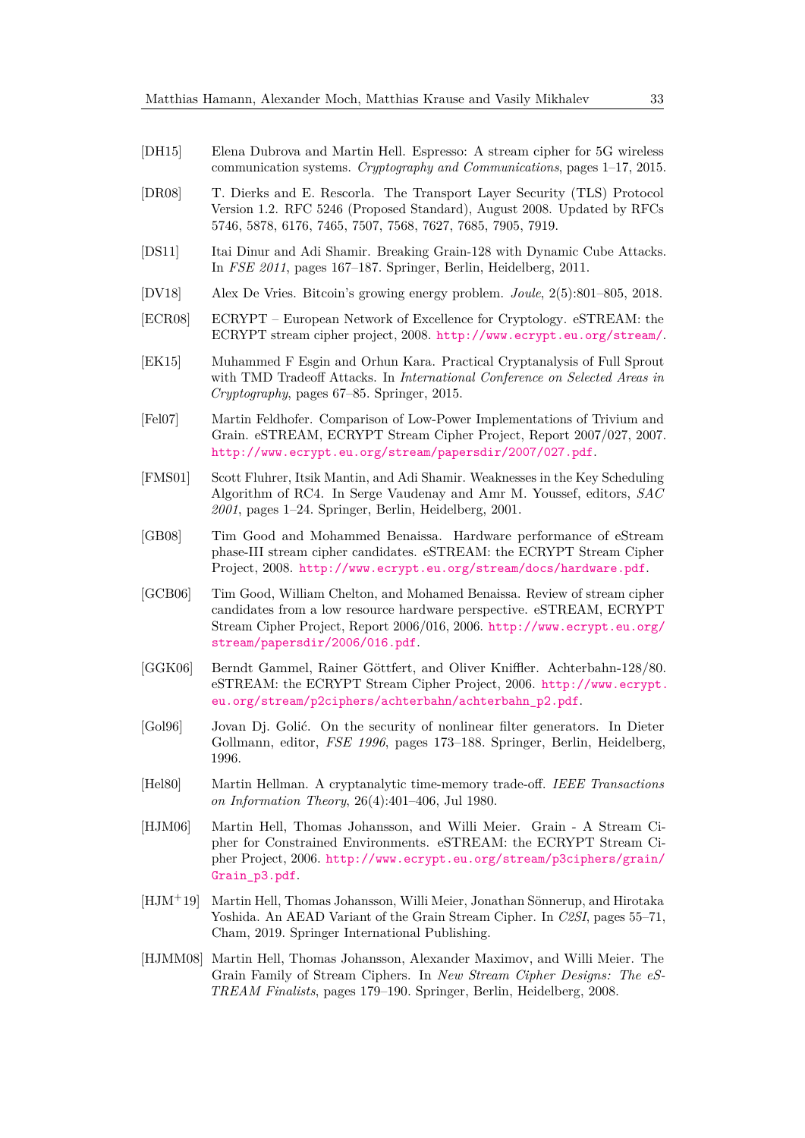- <span id="page-32-13"></span>[DH15] Elena Dubrova and Martin Hell. Espresso: A stream cipher for 5G wireless communication systems. *Cryptography and Communications*, pages 1–17, 2015.
- <span id="page-32-6"></span>[DR08] T. Dierks and E. Rescorla. The Transport Layer Security (TLS) Protocol Version 1.2. RFC 5246 (Proposed Standard), August 2008. Updated by RFCs 5746, 5878, 6176, 7465, 7507, 7568, 7627, 7685, 7905, 7919.
- <span id="page-32-5"></span>[DS11] Itai Dinur and Adi Shamir. Breaking Grain-128 with Dynamic Cube Attacks. In *FSE 2011*, pages 167–187. Springer, Berlin, Heidelberg, 2011.
- <span id="page-32-12"></span>[DV18] Alex De Vries. Bitcoin's growing energy problem. *Joule*, 2(5):801–805, 2018.
- <span id="page-32-8"></span>[ECR08] ECRYPT – European Network of Excellence for Cryptology. eSTREAM: the ECRYPT stream cipher project, 2008. <http://www.ecrypt.eu.org/stream/>.
- <span id="page-32-9"></span>[EK15] Muhammed F Esgin and Orhun Kara. Practical Cryptanalysis of Full Sprout with TMD Tradeoff Attacks. In *International Conference on Selected Areas in Cryptography*, pages 67–85. Springer, 2015.
- <span id="page-32-11"></span>[Fel07] Martin Feldhofer. Comparison of Low-Power Implementations of Trivium and Grain. eSTREAM, ECRYPT Stream Cipher Project, Report 2007/027, 2007. <http://www.ecrypt.eu.org/stream/papersdir/2007/027.pdf>.
- <span id="page-32-7"></span>[FMS01] Scott Fluhrer, Itsik Mantin, and Adi Shamir. Weaknesses in the Key Scheduling Algorithm of RC4. In Serge Vaudenay and Amr M. Youssef, editors, *SAC 2001*, pages 1–24. Springer, Berlin, Heidelberg, 2001.
- <span id="page-32-10"></span>[GB08] Tim Good and Mohammed Benaissa. Hardware performance of eStream phase-III stream cipher candidates. eSTREAM: the ECRYPT Stream Cipher Project, 2008. <http://www.ecrypt.eu.org/stream/docs/hardware.pdf>.
- <span id="page-32-15"></span>[GCB06] Tim Good, William Chelton, and Mohamed Benaissa. Review of stream cipher candidates from a low resource hardware perspective. eSTREAM, ECRYPT Stream Cipher Project, Report 2006/016, 2006. [http://www.ecrypt.eu.org/](http://www.ecrypt.eu.org/stream/papersdir/2006/016.pdf) [stream/papersdir/2006/016.pdf](http://www.ecrypt.eu.org/stream/papersdir/2006/016.pdf).
- <span id="page-32-4"></span>[GGK06] Berndt Gammel, Rainer Göttfert, and Oliver Kniffler. Achterbahn-128/80. eSTREAM: the ECRYPT Stream Cipher Project, 2006. [http://www.ecrypt.](http://www.ecrypt.eu.org/stream/p2ciphers/achterbahn/achterbahn_p2.pdf) [eu.org/stream/p2ciphers/achterbahn/achterbahn\\_p2.pdf](http://www.ecrypt.eu.org/stream/p2ciphers/achterbahn/achterbahn_p2.pdf).
- <span id="page-32-0"></span>[Gol96] Jovan Dj. Golić. On the security of nonlinear filter generators. In Dieter Gollmann, editor, *FSE 1996*, pages 173–188. Springer, Berlin, Heidelberg, 1996.
- <span id="page-32-2"></span>[Hel80] Martin Hellman. A cryptanalytic time-memory trade-off. *IEEE Transactions on Information Theory*, 26(4):401–406, Jul 1980.
- <span id="page-32-1"></span>[HJM06] Martin Hell, Thomas Johansson, and Willi Meier. Grain - A Stream Cipher for Constrained Environments. eSTREAM: the ECRYPT Stream Cipher Project, 2006. [http://www.ecrypt.eu.org/stream/p3ciphers/grain/](http://www.ecrypt.eu.org/stream/p3ciphers/grain/Grain_p3.pdf) [Grain\\_p3.pdf](http://www.ecrypt.eu.org/stream/p3ciphers/grain/Grain_p3.pdf).
- <span id="page-32-14"></span>[HJM<sup>+</sup>19] Martin Hell, Thomas Johansson, Willi Meier, Jonathan Sönnerup, and Hirotaka Yoshida. An AEAD Variant of the Grain Stream Cipher. In *C2SI*, pages 55–71, Cham, 2019. Springer International Publishing.
- <span id="page-32-3"></span>[HJMM08] Martin Hell, Thomas Johansson, Alexander Maximov, and Willi Meier. The Grain Family of Stream Ciphers. In *New Stream Cipher Designs: The eS-TREAM Finalists*, pages 179–190. Springer, Berlin, Heidelberg, 2008.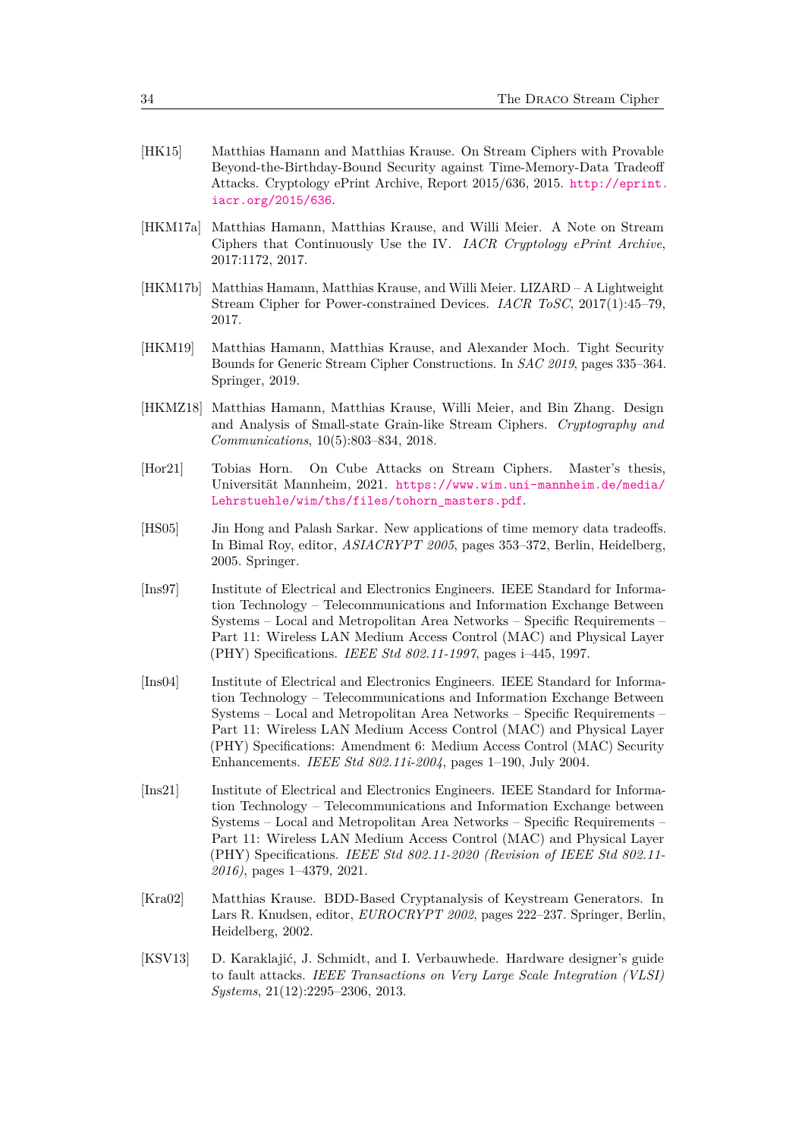- <span id="page-33-1"></span>[HK15] Matthias Hamann and Matthias Krause. On Stream Ciphers with Provable Beyond-the-Birthday-Bound Security against Time-Memory-Data Tradeoff Attacks. Cryptology ePrint Archive, Report 2015/636, 2015. [http://eprint.](http://eprint.iacr.org/2015/636) [iacr.org/2015/636](http://eprint.iacr.org/2015/636).
- <span id="page-33-3"></span>[HKM17a] Matthias Hamann, Matthias Krause, and Willi Meier. A Note on Stream Ciphers that Continuously Use the IV. *IACR Cryptology ePrint Archive*, 2017:1172, 2017.
- <span id="page-33-0"></span>[HKM17b] Matthias Hamann, Matthias Krause, and Willi Meier. LIZARD – A Lightweight Stream Cipher for Power-constrained Devices. *IACR ToSC*, 2017(1):45–79, 2017.
- <span id="page-33-4"></span>[HKM19] Matthias Hamann, Matthias Krause, and Alexander Moch. Tight Security Bounds for Generic Stream Cipher Constructions. In *SAC 2019*, pages 335–364. Springer, 2019.
- <span id="page-33-2"></span>[HKMZ18] Matthias Hamann, Matthias Krause, Willi Meier, and Bin Zhang. Design and Analysis of Small-state Grain-like Stream Ciphers. *Cryptography and Communications*, 10(5):803–834, 2018.
- <span id="page-33-10"></span>[Hor21] Tobias Horn. On Cube Attacks on Stream Ciphers. Master's thesis, Universität Mannheim, 2021. [https://www.wim.uni-mannheim.de/media/](https://www.wim.uni-mannheim.de/media/Lehrstuehle/wim/ths/files/tohorn_masters.pdf) [Lehrstuehle/wim/ths/files/tohorn\\_masters.pdf](https://www.wim.uni-mannheim.de/media/Lehrstuehle/wim/ths/files/tohorn_masters.pdf).
- <span id="page-33-5"></span>[HS05] Jin Hong and Palash Sarkar. New applications of time memory data tradeoffs. In Bimal Roy, editor, *ASIACRYPT 2005*, pages 353–372, Berlin, Heidelberg, 2005. Springer.
- <span id="page-33-7"></span>[Ins97] Institute of Electrical and Electronics Engineers. IEEE Standard for Information Technology – Telecommunications and Information Exchange Between Systems – Local and Metropolitan Area Networks – Specific Requirements – Part 11: Wireless LAN Medium Access Control (MAC) and Physical Layer (PHY) Specifications. *IEEE Std 802.11-1997*, pages i–445, 1997.
- <span id="page-33-8"></span>[Ins04] Institute of Electrical and Electronics Engineers. IEEE Standard for Information Technology – Telecommunications and Information Exchange Between Systems – Local and Metropolitan Area Networks – Specific Requirements – Part 11: Wireless LAN Medium Access Control (MAC) and Physical Layer (PHY) Specifications: Amendment 6: Medium Access Control (MAC) Security Enhancements. *IEEE Std 802.11i-2004*, pages 1–190, July 2004.
- <span id="page-33-9"></span>[Ins21] Institute of Electrical and Electronics Engineers. IEEE Standard for Information Technology – Telecommunications and Information Exchange between Systems – Local and Metropolitan Area Networks – Specific Requirements – Part 11: Wireless LAN Medium Access Control (MAC) and Physical Layer (PHY) Specifications. *IEEE Std 802.11-2020 (Revision of IEEE Std 802.11- 2016)*, pages 1–4379, 2021.
- <span id="page-33-6"></span>[Kra02] Matthias Krause. BDD-Based Cryptanalysis of Keystream Generators. In Lars R. Knudsen, editor, *EUROCRYPT 2002*, pages 222–237. Springer, Berlin, Heidelberg, 2002.
- <span id="page-33-11"></span>[KSV13] D. Karaklajić, J. Schmidt, and I. Verbauwhede. Hardware designer's guide to fault attacks. *IEEE Transactions on Very Large Scale Integration (VLSI) Systems*, 21(12):2295–2306, 2013.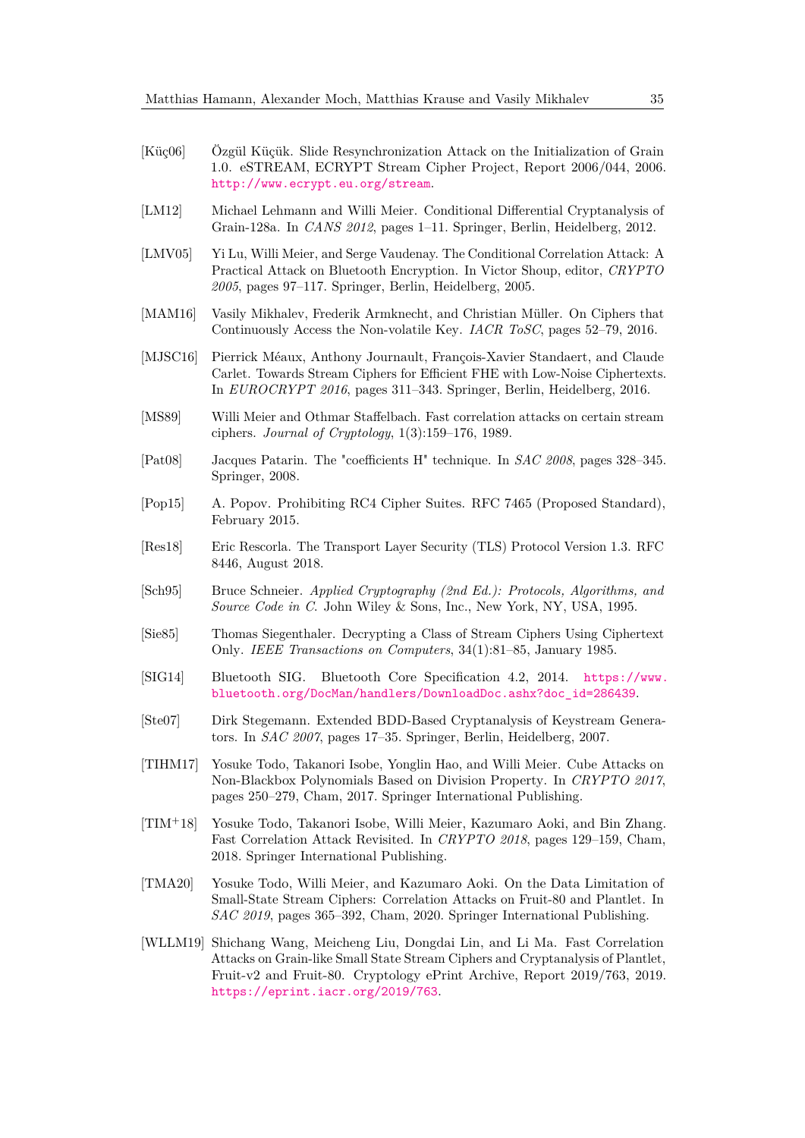- <span id="page-34-16"></span>[Küç06] Özgül Küçük. Slide Resynchronization Attack on the Initialization of Grain 1.0. eSTREAM, ECRYPT Stream Cipher Project, Report 2006/044, 2006. <http://www.ecrypt.eu.org/stream>.
- <span id="page-34-14"></span>[LM12] Michael Lehmann and Willi Meier. Conditional Differential Cryptanalysis of Grain-128a. In *CANS 2012*, pages 1–11. Springer, Berlin, Heidelberg, 2012.
- <span id="page-34-7"></span>[LMV05] Yi Lu, Willi Meier, and Serge Vaudenay. The Conditional Correlation Attack: A Practical Attack on Bluetooth Encryption. In Victor Shoup, editor, *CRYPTO 2005*, pages 97–117. Springer, Berlin, Heidelberg, 2005.
- <span id="page-34-0"></span>[MAM16] Vasily Mikhalev, Frederik Armknecht, and Christian Müller. On Ciphers that Continuously Access the Non-volatile Key. *IACR ToSC*, pages 52–79, 2016.
- <span id="page-34-2"></span>[MJSC16] Pierrick Méaux, Anthony Journault, François-Xavier Standaert, and Claude Carlet. Towards Stream Ciphers for Efficient FHE with Low-Noise Ciphertexts. In *EUROCRYPT 2016*, pages 311–343. Springer, Berlin, Heidelberg, 2016.
- <span id="page-34-13"></span>[MS89] Willi Meier and Othmar Staffelbach. Fast correlation attacks on certain stream ciphers. *Journal of Cryptology*, 1(3):159–176, 1989.
- <span id="page-34-1"></span>[Pat08] Jacques Patarin. The "coefficients H" technique. In *SAC 2008*, pages 328–345. Springer, 2008.
- <span id="page-34-8"></span>[Pop15] A. Popov. Prohibiting RC4 Cipher Suites. RFC 7465 (Proposed Standard), February 2015.
- <span id="page-34-9"></span>[Res18] Eric Rescorla. The Transport Layer Security (TLS) Protocol Version 1.3. RFC 8446, August 2018.
- <span id="page-34-5"></span>[Sch95] Bruce Schneier. *Applied Cryptography (2nd Ed.): Protocols, Algorithms, and Source Code in C*. John Wiley & Sons, Inc., New York, NY, USA, 1995.
- <span id="page-34-12"></span>[Sie85] Thomas Siegenthaler. Decrypting a Class of Stream Ciphers Using Ciphertext Only. *IEEE Transactions on Computers*, 34(1):81–85, January 1985.
- <span id="page-34-6"></span>[SIG14] Bluetooth SIG. Bluetooth Core Specification 4.2, 2014. [https://www.](https://www.bluetooth.org/DocMan/handlers/DownloadDoc.ashx?doc_id=286439) [bluetooth.org/DocMan/handlers/DownloadDoc.ashx?doc\\_id=286439](https://www.bluetooth.org/DocMan/handlers/DownloadDoc.ashx?doc_id=286439).
- <span id="page-34-4"></span>[Ste07] Dirk Stegemann. Extended BDD-Based Cryptanalysis of Keystream Generators. In *SAC 2007*, pages 17–35. Springer, Berlin, Heidelberg, 2007.
- <span id="page-34-15"></span>[TIHM17] Yosuke Todo, Takanori Isobe, Yonglin Hao, and Willi Meier. Cube Attacks on Non-Blackbox Polynomials Based on Division Property. In *CRYPTO 2017*, pages 250–279, Cham, 2017. Springer International Publishing.
- <span id="page-34-3"></span>[TIM<sup>+</sup>18] Yosuke Todo, Takanori Isobe, Willi Meier, Kazumaro Aoki, and Bin Zhang. Fast Correlation Attack Revisited. In *CRYPTO 2018*, pages 129–159, Cham, 2018. Springer International Publishing.
- <span id="page-34-10"></span>[TMA20] Yosuke Todo, Willi Meier, and Kazumaro Aoki. On the Data Limitation of Small-State Stream Ciphers: Correlation Attacks on Fruit-80 and Plantlet. In *SAC 2019*, pages 365–392, Cham, 2020. Springer International Publishing.
- <span id="page-34-11"></span>[WLLM19] Shichang Wang, Meicheng Liu, Dongdai Lin, and Li Ma. Fast Correlation Attacks on Grain-like Small State Stream Ciphers and Cryptanalysis of Plantlet, Fruit-v2 and Fruit-80. Cryptology ePrint Archive, Report 2019/763, 2019. <https://eprint.iacr.org/2019/763>.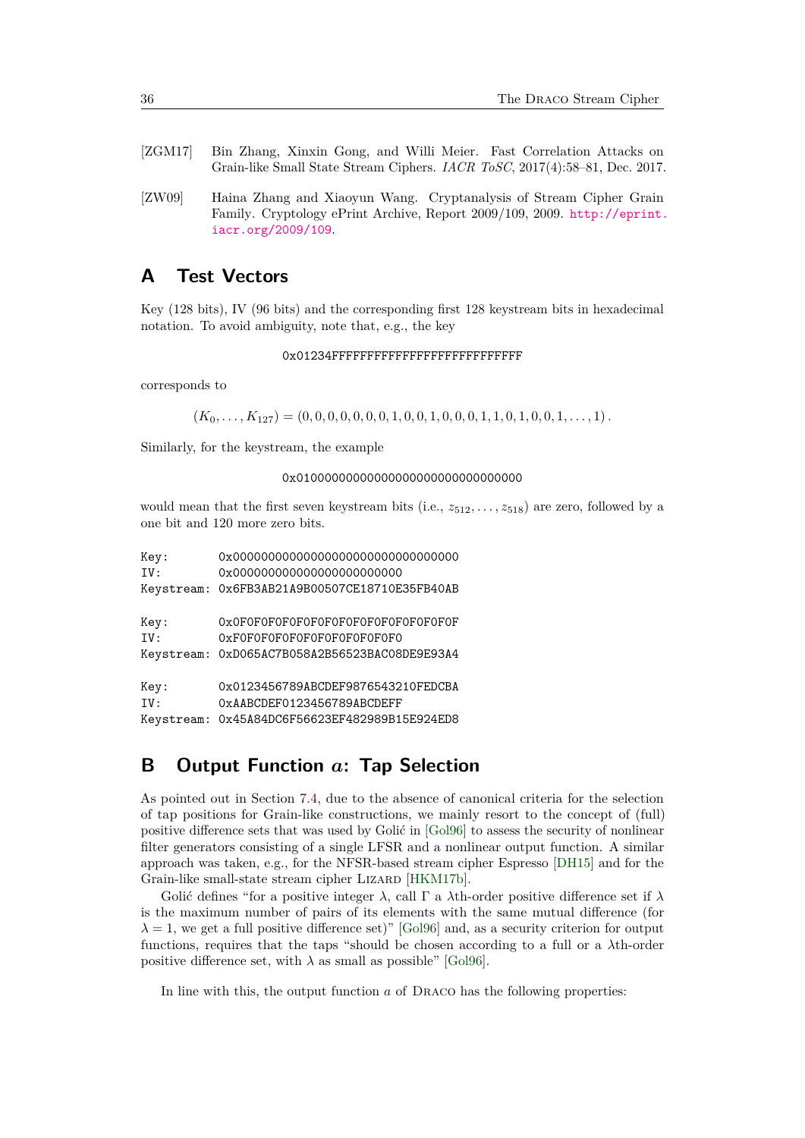- <span id="page-35-1"></span>[ZGM17] Bin Zhang, Xinxin Gong, and Willi Meier. Fast Correlation Attacks on Grain-like Small State Stream Ciphers. *IACR ToSC*, 2017(4):58–81, Dec. 2017.
- <span id="page-35-2"></span>[ZW09] Haina Zhang and Xiaoyun Wang. Cryptanalysis of Stream Cipher Grain Family. Cryptology ePrint Archive, Report 2009/109, 2009. [http://eprint.](http://eprint.iacr.org/2009/109) [iacr.org/2009/109](http://eprint.iacr.org/2009/109).

## **A Test Vectors**

Key (128 bits), IV (96 bits) and the corresponding first 128 keystream bits in hexadecimal notation. To avoid ambiguity, note that, e.g., the key

### 0x01234FFFFFFFFFFFFFFFFFFFFFFFFFFF

corresponds to

 $(K_0, \ldots, K_{127}) = (0, 0, 0, 0, 0, 0, 0, 1, 0, 0, 1, 0, 0, 0, 1, 1, 0, 1, 0, 0, 1, \ldots, 1).$ 

Similarly, for the keystream, the example

### 0x01000000000000000000000000000000

would mean that the first seven keystream bits (i.e., *z*512*, . . . , z*518) are zero, followed by a one bit and 120 more zero bits.

| Key: |                                               |
|------|-----------------------------------------------|
| TV:  | 0x000000000000000000000000                    |
|      | Keystream: 0x6FB3AB21A9B00507CE18710E35FB40AB |
| Key: | 0x0F0F0F0F0F0F0F0F0F0F0F0F0F0F0F0F            |
| IV:  | 0xF0F0F0F0F0F0F0F0F0F0F0F0                    |
|      | Keystream: 0xD065AC7B058A2B56523BAC08DE9E93A4 |
| Key: | 0x0123456789ABCDEF9876543210FEDCBA            |
| TV:  | 0xAABCDEF0123456789ABCDEFF                    |
|      | Keystream: 0x45A84DC6F56623EF482989B15E924ED8 |

## <span id="page-35-0"></span>**B Output Function** *a***: Tap Selection**

As pointed out in Section [7.4,](#page-20-2) due to the absence of canonical criteria for the selection of tap positions for Grain-like constructions, we mainly resort to the concept of (full) positive difference sets that was used by Golić in [\[Gol96\]](#page-32-0) to assess the security of nonlinear filter generators consisting of a single LFSR and a nonlinear output function. A similar approach was taken, e.g., for the NFSR-based stream cipher Espresso [\[DH15\]](#page-32-13) and for the Grain-like small-state stream cipher LIZARD [\[HKM17b\]](#page-33-0).

Golić defines "for a positive integer *λ*, call Γ a *λ*th-order positive difference set if *λ* is the maximum number of pairs of its elements with the same mutual difference (for  $\lambda = 1$ , we get a full positive difference set)" [\[Gol96\]](#page-32-0) and, as a security criterion for output functions, requires that the taps "should be chosen according to a full or a *λ*th-order positive difference set, with  $\lambda$  as small as possible" [\[Gol96\]](#page-32-0).

In line with this, the output function *a* of Draco has the following properties: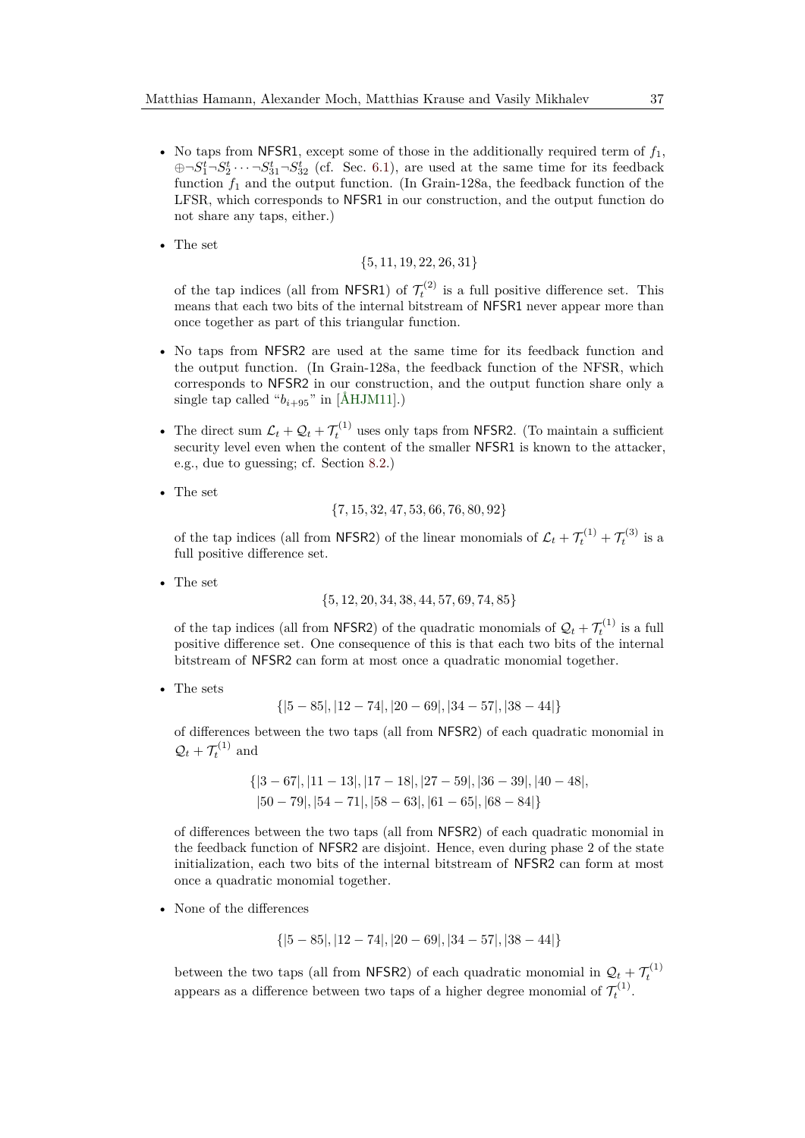- No taps from NFSR1, except some of those in the additionally required term of  $f_1$ ,  $\bigoplus \neg S_1^t \neg S_2^t \cdots \neg S_{31}^t \neg S_{32}^t$  (cf. Sec. [6.1\)](#page-15-0), are used at the same time for its feedback function  $f_1$  and the output function. (In Grain-128a, the feedback function of the LFSR, which corresponds to NFSR1 in our construction, and the output function do not share any taps, either.)
- The set

$$
\{5,11,19,22,26,31\}
$$

of the tap indices (all from NFSR1) of  $\mathcal{T}_t^{(2)}$  is a full positive difference set. This means that each two bits of the internal bitstream of NFSR1 never appear more than once together as part of this triangular function.

- No taps from NFSR2 are used at the same time for its feedback function and the output function. (In Grain-128a, the feedback function of the NFSR, which corresponds to NFSR2 in our construction, and the output function share only a single tap called " $b_{i+95}$ " in [\[ÅHJM11\]](#page-31-7).)
- The direct sum  $\mathcal{L}_t + \mathcal{Q}_t + \mathcal{T}_t^{(1)}$  uses only taps from NFSR2. (To maintain a sufficient security level even when the content of the smaller NFSR1 is known to the attacker, e.g., due to guessing; cf. Section [8.2.](#page-24-1))
- The set

$$
\{7,15,32,47,53,66,76,80,92\}
$$

of the tap indices (all from NFSR2) of the linear monomials of  $\mathcal{L}_t + \mathcal{T}_t^{(1)} + \mathcal{T}_t^{(3)}$  is a full positive difference set.

• The set

$$
\{5, 12, 20, 34, 38, 44, 57, 69, 74, 85\}
$$

of the tap indices (all from NFSR2) of the quadratic monomials of  $\mathcal{Q}_t + \mathcal{T}_t^{(1)}$  is a full positive difference set. One consequence of this is that each two bits of the internal bitstream of NFSR2 can form at most once a quadratic monomial together.

• The sets

$$
\{[5-85], [12-74], [20-69], [34-57], [38-44]\}
$$

of differences between the two taps (all from NFSR2) of each quadratic monomial in  $\mathcal{Q}_t + \mathcal{T}_t^{(1)}$  and

$$
{|3-67|, |11-13|, |17-18|, |27-59|, |36-39|, |40-48|, |50-79|, |54-71|, |58-63|, |61-65|, |68-84|}
$$

of differences between the two taps (all from NFSR2) of each quadratic monomial in the feedback function of NFSR2 are disjoint. Hence, even during phase 2 of the state initialization, each two bits of the internal bitstream of NFSR2 can form at most once a quadratic monomial together.

• None of the differences

$$
\{[5-85], [12-74], [20-69], [34-57], [38-44]\}
$$

between the two taps (all from NFSR2) of each quadratic monomial in  $\mathcal{Q}_t + \mathcal{T}_t^{(1)}$ appears as a difference between two taps of a higher degree monomial of  $\mathcal{T}_t^{(1)}$ .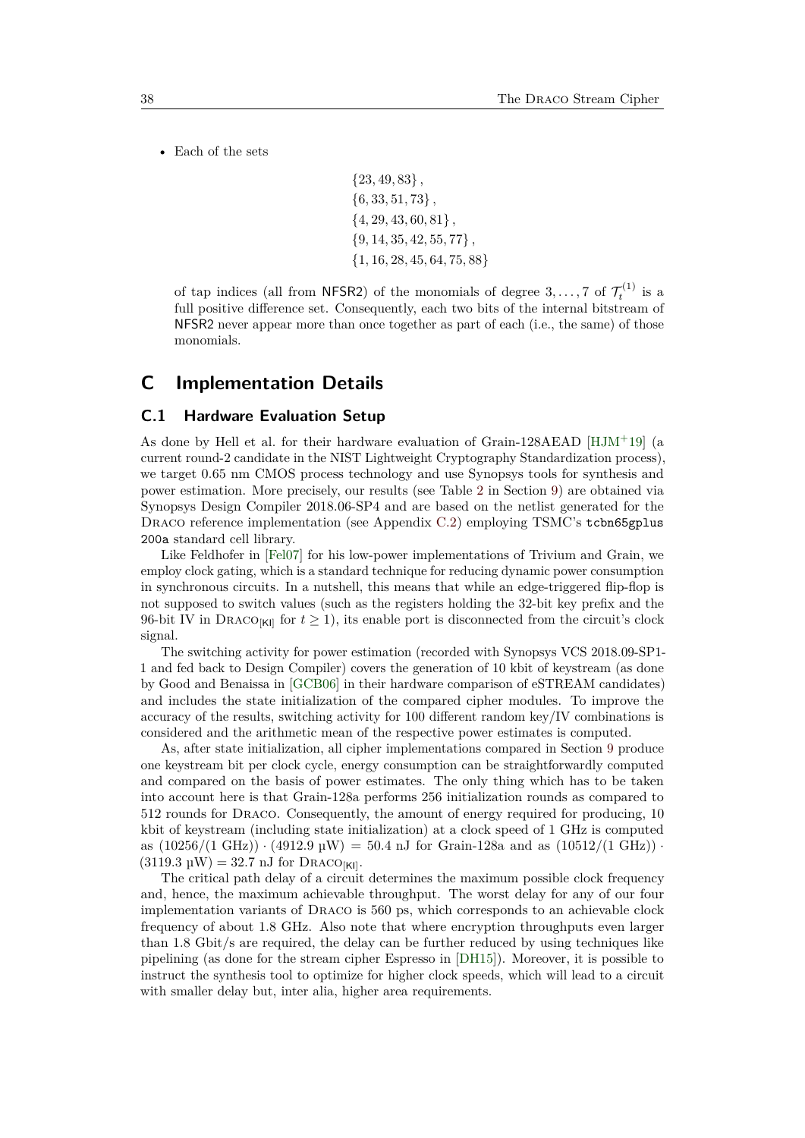• Each of the sets

{23*,* 49*,* 83} *,* {6*,* 33*,* 51*,* 73} *,* {4*,* 29*,* 43*,* 60*,* 81} *,* {9*,* 14*,* 35*,* 42*,* 55*,* 77} *,* {1*,* 16*,* 28*,* 45*,* 64*,* 75*,* 88}

of tap indices (all from NFSR2) of the monomials of degree  $3, \ldots, 7$  of  $\mathcal{T}_t^{(1)}$  is a full positive difference set. Consequently, each two bits of the internal bitstream of NFSR2 never appear more than once together as part of each (i.e., the same) of those monomials.

# **C Implementation Details**

### <span id="page-37-0"></span>**C.1 Hardware Evaluation Setup**

As done by Hell et al. for their hardware evaluation of Grain-128AEAD [\[HJM](#page-32-14)<sup>+</sup>19] (a current round-2 candidate in the NIST Lightweight Cryptography Standardization process), we target 0.65 nm CMOS process technology and use Synopsys tools for synthesis and power estimation. More precisely, our results (see Table [2](#page-29-0) in Section [9\)](#page-28-0) are obtained via Synopsys Design Compiler 2018.06-SP4 and are based on the netlist generated for the Draco reference implementation (see Appendix [C.2\)](#page-38-0) employing TSMC's tcbn65gplus 200a standard cell library.

Like Feldhofer in [\[Fel07\]](#page-32-11) for his low-power implementations of Trivium and Grain, we employ clock gating, which is a standard technique for reducing dynamic power consumption in synchronous circuits. In a nutshell, this means that while an edge-triggered flip-flop is not supposed to switch values (such as the registers holding the 32-bit key prefix and the 96-bit IV in DRACO<sub>[KI]</sub> for  $t \ge 1$ ), its enable port is disconnected from the circuit's clock signal.

The switching activity for power estimation (recorded with Synopsys VCS 2018.09-SP1- 1 and fed back to Design Compiler) covers the generation of 10 kbit of keystream (as done by Good and Benaissa in [\[GCB06\]](#page-32-15) in their hardware comparison of eSTREAM candidates) and includes the state initialization of the compared cipher modules. To improve the accuracy of the results, switching activity for 100 different random key/IV combinations is considered and the arithmetic mean of the respective power estimates is computed.

As, after state initialization, all cipher implementations compared in Section [9](#page-28-0) produce one keystream bit per clock cycle, energy consumption can be straightforwardly computed and compared on the basis of power estimates. The only thing which has to be taken into account here is that Grain-128a performs 256 initialization rounds as compared to 512 rounds for Draco. Consequently, the amount of energy required for producing, 10 kbit of keystream (including state initialization) at a clock speed of 1 GHz is computed as  $(10256/(1 \text{ GHz})) \cdot (4912.9 \text{ µW}) = 50.4 \text{ nJ}$  for Grain-128a and as  $(10512/(1 \text{ GHz})) \cdot$  $(3119.3 \text{ µW}) = 32.7 \text{ nJ}$  for DRACO<sub>[KI]</sub>.

The critical path delay of a circuit determines the maximum possible clock frequency and, hence, the maximum achievable throughput. The worst delay for any of our four implementation variants of Draco is 560 ps, which corresponds to an achievable clock frequency of about 1.8 GHz. Also note that where encryption throughputs even larger than 1.8 Gbit/s are required, the delay can be further reduced by using techniques like pipelining (as done for the stream cipher Espresso in [\[DH15\]](#page-32-13)). Moreover, it is possible to instruct the synthesis tool to optimize for higher clock speeds, which will lead to a circuit with smaller delay but, inter alia, higher area requirements.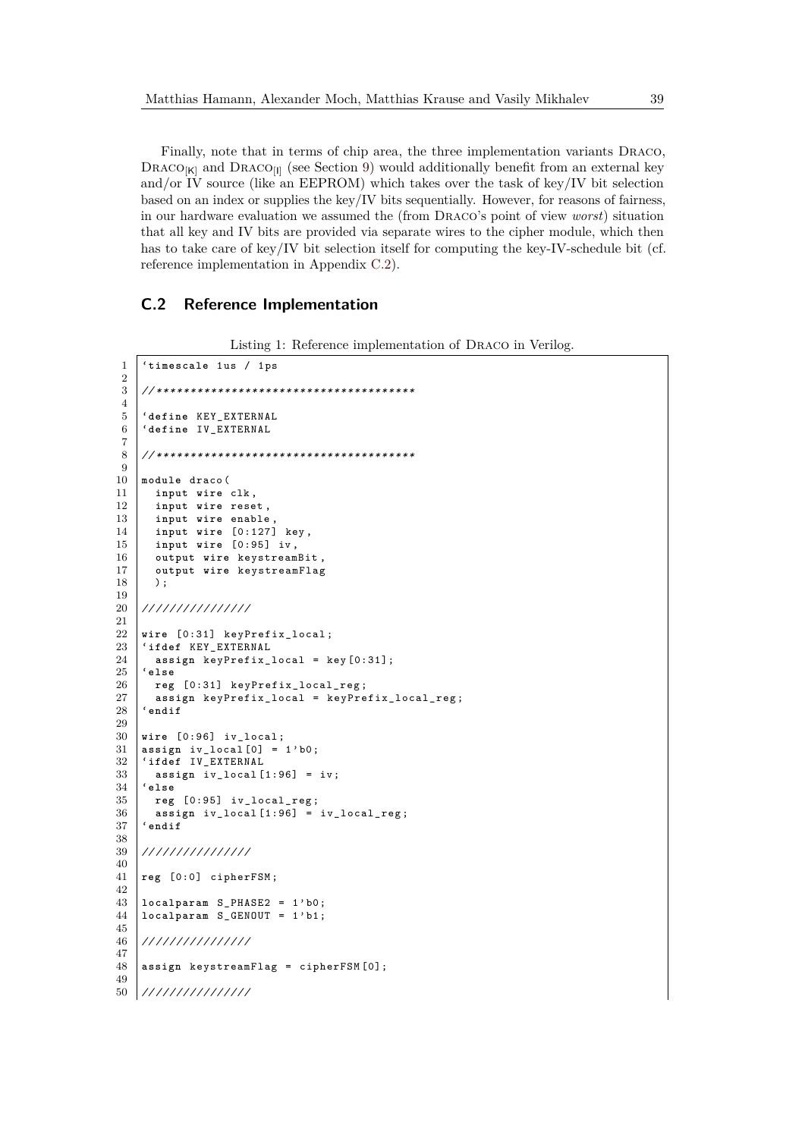Finally, note that in terms of chip area, the three implementation variants Draco, DRACO $_{\text{K}}$  and DRACO<sub>[I]</sub> (see Section [9\)](#page-28-0) would additionally benefit from an external key and/or IV source (like an EEPROM) which takes over the task of key/IV bit selection based on an index or supplies the key/IV bits sequentially. However, for reasons of fairness, in our hardware evaluation we assumed the (from Draco's point of view *worst*) situation that all key and IV bits are provided via separate wires to the cipher module, which then has to take care of key/IV bit selection itself for computing the key-IV-schedule bit (cf. reference implementation in Appendix [C.2\)](#page-38-0).

## <span id="page-38-0"></span>**C.2 Reference Implementation**

```
Listing 1: Reference implementation of Draco in Verilog.
```

```
1 'timescale 1us / 1ps
\frac{2}{3}3 // * * * * * * * * * * * * * * * * * * * * * * * * * * * * * * * * * * * * * *
4
 5 'define KEY_EXTERNAL
6 'define IV_EXTERNAL
 7
 8 // * * * * * * * * * * * * * * * * * * * * * * * * * * * * * * * * * * * * * *
9
10 module draco (<br>11 input wire
       11 input wire clk ,
12 input wire reset ,
13 input wire enable ,
14 input wire [0:127] key ,
15 input wire [0:95] iv ,
16 output wire keystreamBit<br>17 output wire keystreamFla
       output wire keystreamFlag
18 );
19
20 // / / / / / / / / / / / / / /
21
22 wire [0:31] keyPrefix_local ;
23 'ifdef KEY_EXTERNAL
\begin{array}{c|c}\n 24 & \text{assign keyPrefix\_local = key[0:31];}\n \end{array}25 'else
26 reg [0:31] keyPrefix_local_reg;<br>27 assign keyPrefix local = keyPre
       assign keyPrefix_local = keyPrefix_local_reg;
28 'endif
29
30 wire [0:96] iv_local ;
31 assign iv\_local [0] = 1' b0;<br>32 'ifdef IV\_EXTERNAL32 'ifdef IV_EXTERNAL
       assign iv\_local [1:96] = iv;34 'else
35 reg [0:95] iv_local_reg ;
36 assign iv_local [1:96] = iv_local_reg ;
37 'endif
38
39 // / / / / / / / / / / / / / /
40
41 reg [0:0] cipherFSM ;
42
43 | localparam S_PHASE2 = 1'b0;
44 localparam S_GENOUT = 1' b1 ;
45
46 // / / / / / / / / / / / / / /
\frac{47}{48}48 assign keystreamFlag = cipherFSM [0];
49
50 // / / / / / / / / / / / / / /
```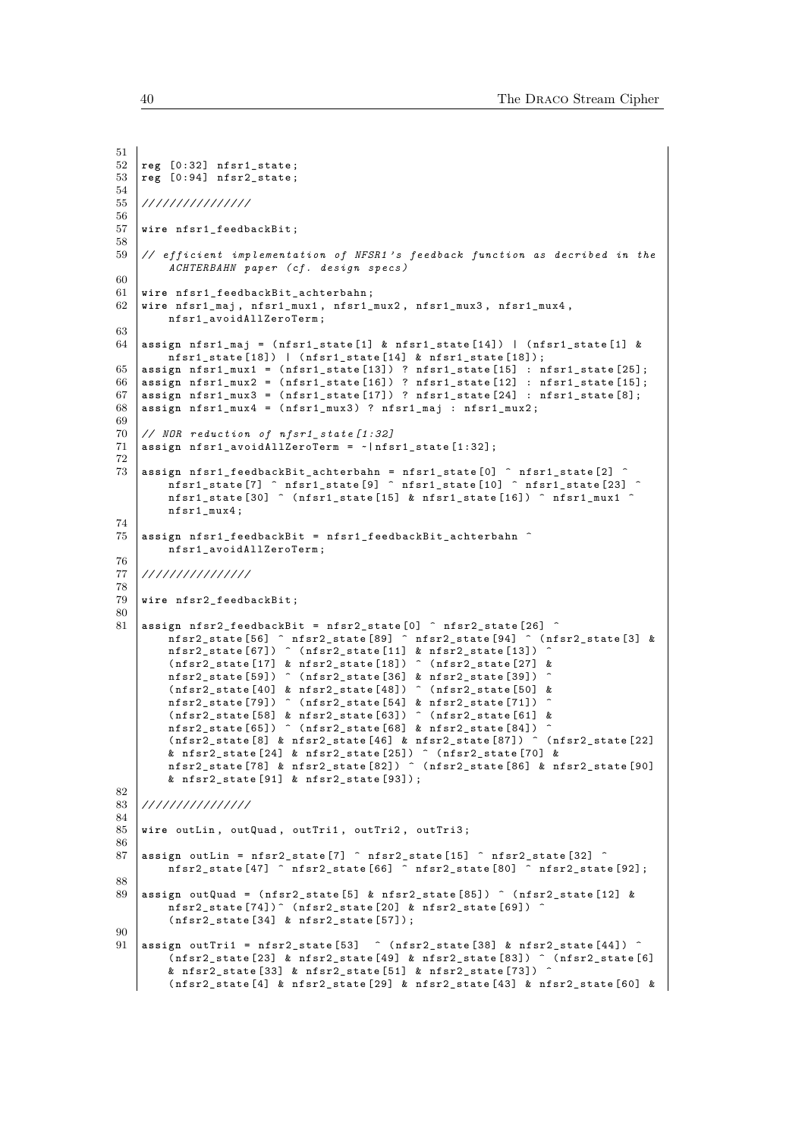```
51
52 reg [0:32] nfsr1_state ;
53 reg [0:94] nfsr2_state ;
54
55 // / / / / / / / / / / / / / /
56
57 wire nfsr1_feedbackBit ;
58
59 // efficient implementation of NFSR1's feedback function as decribed in the
        ACHTERBAHN paper ( cf . design specs )
60
61 wire nfsr1_feedbackBit_achterbahn ;
62 wire nfsr1_maj , nfsr1_mux1 , nfsr1_mux2 , nfsr1_mux3 , nfsr1_mux4 ,
        nfsr1_avoidAllZeroTerm ;
63
64 assign nfsr1_maj = ( nfsr1_state [1] & nfsr1_state [14]) | ( nfsr1_state [1] &
        nfsr1_state [18]) | ( nfsr1_state [14] & nfsr1_state [18]) ;
65 assign nfsr1_mux1 = ( nfsr1_state [13]) ? nfsr1_state [15] : nfsr1_state [25];
66 assign nfsr1_mux2 = ( nfsr1_state [16]) ? nfsr1_state [12] : nfsr1_state [15];
67 assign nfsr1_mux3 = ( nfsr1_state [17]) ? nfsr1_state [24] : nfsr1_state [8];
68 assign nfsr1_mux4 = ( nfsr1_mux3 ) ? nfsr1_maj : nfsr1_mux2 ;
69<br>70
    70 // NOR reduction of nfsr1_state [1:32]
71 assign nfsr1_avoidAllZeroTerm = ~| nfsr1_state [1:32];
72
73 assign nfsr1_feedbackBit_achterbahn = nfsr1_state [0] ^ nfsr1_state [2] ^
         nfsr1_state [7] ^ nfsr1_state [9] ^ nfsr1_state [10] ^ nfsr1_state [23] ^
        nfsr1_state [30] ^ (nfsr1_state [15] & nfsr1_state [16]) ^ nfsr1_mux1 ^
        nfsr1_mux4 ;
74
75 assign nfsr1_feedbackBit = nfsr1_feedbackBit_achterbahn ^
        nfsr1_avoidAllZeroTerm ;
76
77 // / / / / / / / / / / / / / /
78
79 wire nfsr2_feedbackBit ;
80
81 assign nfsr2_feedbackBit = nfsr2_state [0] ^ nfsr2_state [26] ^<br>nfsr2 state [56] ^ nfsr2 state [89] ^ nfsr2 state [94] ^ (nfsr2 state [3] &
         nfsr2_state [56] ^ nfsr2_state [89] ^ nfsr2_state [94] ^ ( nfsr2_state [3] &
         nfsr2_state [67]) ^ ( nfsr2_state [11] & nfsr2_state [13]) ^
        ( nfsr2_state [17] & nfsr2_state [18]) ^ ( nfsr2_state [27] &
        nfsr2_state [59]) ^ (nfsr2_state [36] & nfsr2_state [39])
        (nfsr2_state [40] & nfsr2_state [48]) ^ (nfsr2_state [50] &
        nfsr2_state [79]) ^ (nfsr2_state [54] & nfsr2_state [71])
        ( nfsr2_state [58] & nfsr2_state [63]) ^ ( nfsr2_state [61] &
        nfsr2_state [65]) ^ (nfsr2_state [68] & nfsr2_state [84]) ^<br>(nfsr2 state [8] & nfsr2 state [46] & nfsr2 state [87]) ^ (nfsr2 state [22]
        (nfsr2<sub>state</sub> [8] & nfsr2 state [46] & nfsr2 state [87])
         & nfsr2_state [24] & nfsr2_state [25]) ^ ( nfsr2_state [70] &
         nfsr2_state [78] & nfsr2_state [82]) ^ ( nfsr2_state [86] & nfsr2_state [90]
        & nfsr2 state [91] & nfsr2 state [93]) ;
82
83 // / / / / / / / / / / / / / /
84
85 wire outLin , outQuad , outTri1 , outTri2 , outTri3 ;
86
87 assign outLin = nfsr2_state [7] \hat{ } nfsr2_state [15] \hat{ } nfsr2_state [32] \hat{ }nfsr2_state [47] ^ nfsr2_state [66] ^ nfsr2_state [80] ^ nfsr2_state [92];
88
89 assign outQuad = ( nfsr2_state [5] & nfsr2_state [85]) ^ ( nfsr2_state [12] &
        nfsr2_state [74]) ^ (nfsr2_state [20] & nfsr2_state [69])( nfsr2_state [34] & nfsr2_state [57]) ;
90
91 assign outTri1 = nfsr2 state [53] ^ (nfsr2 state [38] & nfsr2 state [44]) ^
        (nfsr2_sstate[23] & nfsr2_state [49] & nfsr2_state [83]) ^ (nfsr2_state [6]
        & nfsr2_state [33] & nfsr2_state [51] & nfsr2_state [73]) ^
        ( nfsr2_state [4] & nfsr2_state [29] & nfsr2_state [43] & nfsr2_state [60] &
```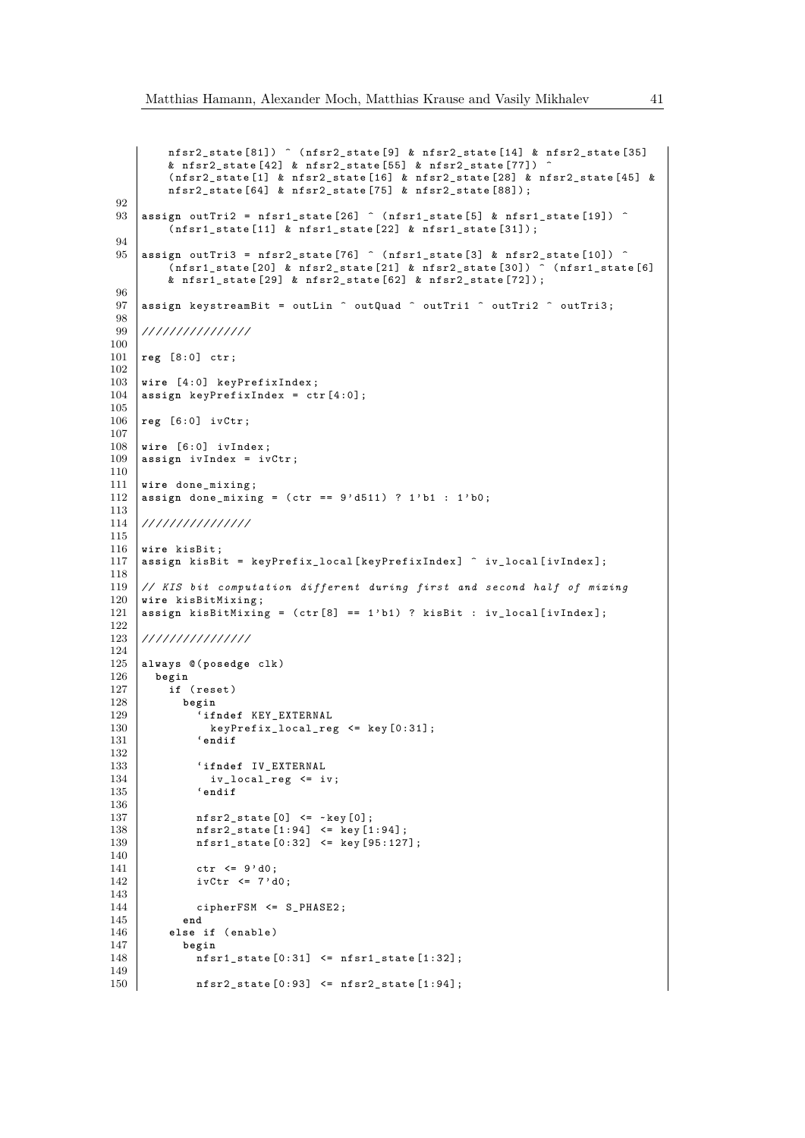```
nfsr2_state [81]) ^ ( nfsr2_state [9] & nfsr2_state [14] & nfsr2_state [35]
          & nfsr2_state [42] & nfsr2_state [55] & nfsr2_state [77]) ^
          ( nfsr2_state [1] & nfsr2_state [16] & nfsr2_state [28] & nfsr2_state [45] &
          nfsr2_state [64] & nfsr2_state [75] & nfsr2_state [88]) ;
 92
 93 assign outTri2 = nfsr1_state [26] ^ ( nfsr1_state [5] & nfsr1_state [19]) ^
          (nfsr1_state [11] \& nfsr1_state [22] \& nfsr1_state [31]);94
 95 \vert assign outTri3 = nfsr2_state [76] \hat{ } (nfsr1_state [3] & nfsr2_state [10]) \hat{ }(nfsr1_sstate[20] & nfsr2_state [21] & nfsr2_state [30]) ^ (nfsr1_state [6]
          & nfsr1_state [29] & nfsr2_state [62] & nfsr2_state [72]) ;
 96
 97 assign keystreamBit = outLin \hat{ } outQuad \hat{ } outTri1 \hat{ } outTri2 \hat{ } outTri3;
98
     99 // / / / / / / / / / / / / / /
100
101 reg [8:0] ctr ;
102
103 wire [4:0] keyPrefixIndex;<br>104 assign keyPrefixIndex = ct
     assign keyPrefixIndex = ctr [4:0];
105
106 reg [6:0] ivCtr ;
107
108 wire [6:0] ivIndex ;
109 assign ivIndex = ivCtr ;
110
111 wire done_mixing ;
112 | assign done_mixing = (\text{ctr} == 9' d511) ? 1'b1 : 1'b0;
\frac{113}{114}114 // / / / / / / / / / / / / / /
115
116 wire kisBit ;
117 assign kisBit = keyPrefix_local [keyPrefixIndex] ^ iv_local [ivIndex];
118
119 // KIS bit computation different during first and second half of mixing
     wire kisBitMixing;
121 assign kisBitMixing = (ctr [8] == 1'b1) ? kisBit : iv_local [ivIndex];
\begin{array}{c} 122 \\ 123 \end{array}123 // / / / / / / / / / / / / / /
124
125 always @( posedge clk )
126 begin
          if (reset)
128 begin
129 ifndef KEY_EXTERNAL<br>130 RevPrefix local reg
                 keyPrefix\_local\_reg \leq key[0:31];131 'endif
132
133 'ifndef IV_EXTERNAL
\begin{array}{c|c}\n 134 & \text{iv\_local\_reg} \leq \text{iv}; \\
 135 & \text{'endif}\n \end{array}135 'endif
136
137 \Big| nfsr2_state [0] <= ~ key [0];
138 | nfsr2_state [1:94] <= key [1:94];<br>139 | nfsr1 state [0:32] <= key [95:127
               nfsr1_state [0:32] \leq key[95:127];140
141 ctr \langle 9 \rangle d0;
142 ivCtr <= 7' d0;
\begin{array}{c} 143 \\ 144 \end{array}ciphersM \leq S_PHASE2;
145 end
146 else if (enable)<br>147 begin
            147 begin
148 nfsr1_state [0:31] <= nfsr1_state [1:32];
\frac{149}{150}nfsr2_state [0:93] \leq nfsr2_state [1:94];
```